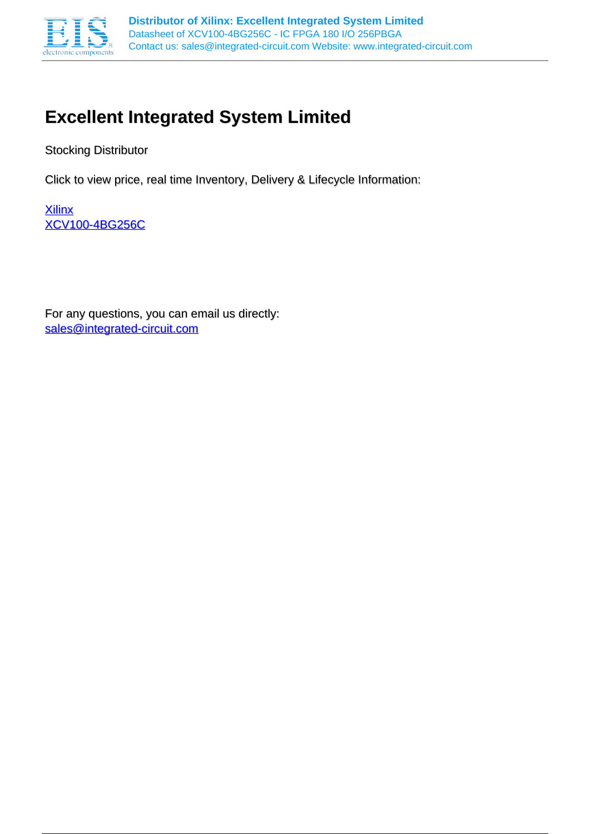

# **Excellent Integrated System Limited**

Stocking Distributor

Click to view price, real time Inventory, Delivery & Lifecycle Information:

**[Xilinx](http://www.integrated-circuit.com/manufacturers/Xilinx.html)** [XCV100-4BG256C](http://www.integrated-circuit.com/tag/XCV100-4BG256C.html)

For any questions, you can email us directly: [sales@integrated-circuit.com](mailto:sales@integrated-circuit.com)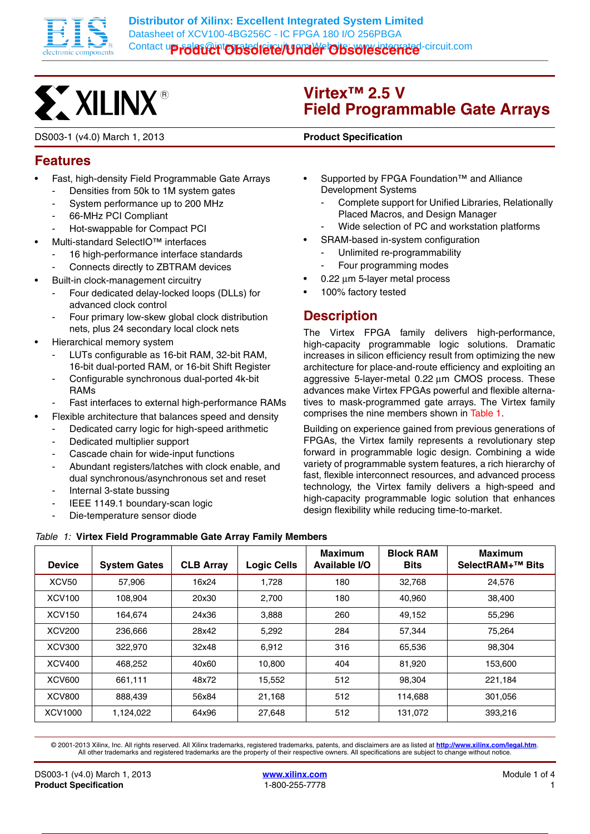



#### DS003-1 (v4.0) March 1, 2013 **0 0 Product Specification**

## **Features**

- Fast, high-density Field Programmable Gate Arrays
	- Densities from 50k to 1M system gates
	- System performance up to 200 MHz
	- 66-MHz PCI Compliant
	- Hot-swappable for Compact PCI
- Multi-standard SelectIO™ interfaces
	- 16 high-performance interface standards
	- Connects directly to ZBTRAM devices
- Built-in clock-management circuitry
	- Four dedicated delay-locked loops (DLLs) for advanced clock control
	- Four primary low-skew global clock distribution nets, plus 24 secondary local clock nets
- Hierarchical memory system
	- LUTs configurable as 16-bit RAM, 32-bit RAM, 16-bit dual-ported RAM, or 16-bit Shift Register
	- Configurable synchronous dual-ported 4k-bit RAMs
	- Fast interfaces to external high-performance RAMs
- Flexible architecture that balances speed and density
	- Dedicated carry logic for high-speed arithmetic
		- Dedicated multiplier support
	- Cascade chain for wide-input functions
	- Abundant registers/latches with clock enable, and dual synchronous/asynchronous set and reset
	- Internal 3-state bussing
	- IEEE 1149.1 boundary-scan logic
	- Die-temperature sensor diode
- Supported by FPGA Foundation™ and Alliance Development Systems
	- Complete support for Unified Libraries, Relationally Placed Macros, and Design Manager
	- Wide selection of PC and workstation platforms
	- SRAM-based in-system configuration
	- Unlimited re-programmability
	- Four programming modes
- 0.22 μm 5-layer metal process
- 100% factory tested

## **Description**

The Virtex FPGA family delivers high-performance, high-capacity programmable logic solutions. Dramatic increases in silicon efficiency result from optimizing the new architecture for place-and-route efficiency and exploiting an aggressive 5-layer-metal 0.22 μm CMOS process. These advances make Virtex FPGAs powerful and flexible alternatives to mask-programmed gate arrays. The Virtex family comprises the nine members shown in Table 1.

Building on experience gained from previous generations of FPGAs, the Virtex family represents a revolutionary step forward in programmable logic design. Combining a wide variety of programmable system features, a rich hierarchy of fast, flexible interconnect resources, and advanced process technology, the Virtex family delivers a high-speed and high-capacity programmable logic solution that enhances design flexibility while reducing time-to-market.

| <b>Device</b>     | <b>System Gates</b> | <b>CLB Array</b> | <b>Logic Cells</b> | <b>Maximum</b><br>Available I/O | <b>Block RAM</b><br><b>Bits</b> | <b>Maximum</b><br>SelectRAM+ <sup>™</sup> Bits |
|-------------------|---------------------|------------------|--------------------|---------------------------------|---------------------------------|------------------------------------------------|
| XCV <sub>50</sub> | 57,906              | 16x24            | 1,728              | 180                             | 32,768                          | 24.576                                         |
| <b>XCV100</b>     | 108.904             | 20x30            | 2.700              | 180                             | 40.960                          | 38.400                                         |
| <b>XCV150</b>     | 164.674             | 24x36            | 3,888              | 260                             | 49,152                          | 55,296                                         |
| <b>XCV200</b>     | 236,666             | 28x42            | 5,292              | 284                             | 57.344                          | 75.264                                         |
| <b>XCV300</b>     | 322,970             | 32x48            | 6.912              | 316                             | 65,536                          | 98.304                                         |
| <b>XCV400</b>     | 468,252             | 40x60            | 10.800             | 404                             | 81,920                          | 153.600                                        |
| <b>XCV600</b>     | 661.111             | 48x72            | 15,552             | 512                             | 98.304                          | 221.184                                        |
| <b>XCV800</b>     | 888,439             | 56x84            | 21,168             | 512                             | 114,688                         | 301,056                                        |
| XCV1000           | 1,124,022           | 64x96            | 27,648             | 512                             | 131,072                         | 393.216                                        |

*Table 1:* **Virtex Field Programmable Gate Array Family Members**

© 2001-2013 Xilinx, Inc. All rights reserved. All Xilinx trademarks, registered trademarks, patents, and disclaimers are as listed at **http://www.xilinx.com/legal.htm**. All other trademarks and registered trademarks are the property of their respective owners. All specifications are subject to change without notice.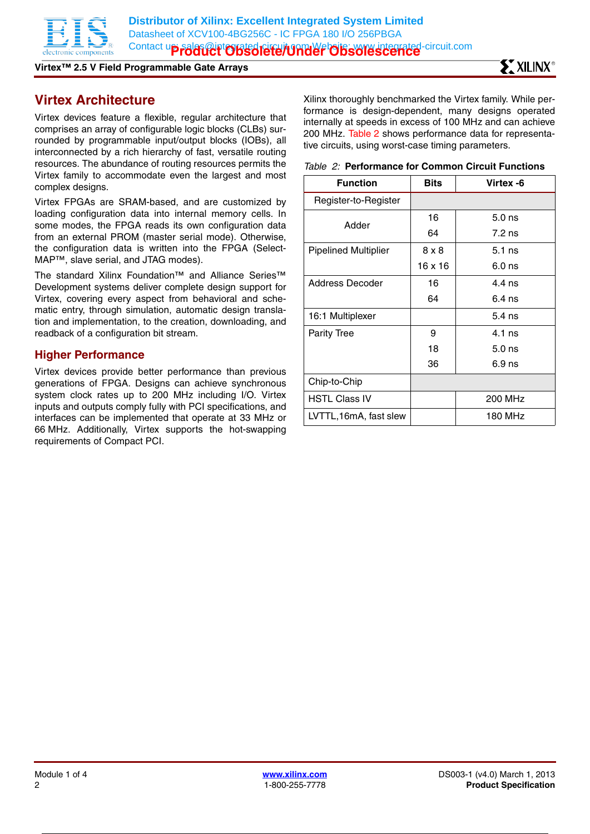

Virtex<sup>™</sup> 2.5 V Field Programmable Gate Arrays **Constructed Arrays** Research Construction Construction Construction Construction Construction Construction Construction Construction Construction Construction Construction C

## **Virtex Architecture**

Virtex devices feature a flexible, regular architecture that comprises an array of configurable logic blocks (CLBs) surrounded by programmable input/output blocks (IOBs), all interconnected by a rich hierarchy of fast, versatile routing resources. The abundance of routing resources permits the Virtex family to accommodate even the largest and most complex designs.

Virtex FPGAs are SRAM-based, and are customized by loading configuration data into internal memory cells. In some modes, the FPGA reads its own configuration data from an external PROM (master serial mode). Otherwise, the configuration data is written into the FPGA (Select-MAP™, slave serial, and JTAG modes).

The standard Xilinx Foundation™ and Alliance Series™ Development systems deliver complete design support for Virtex, covering every aspect from behavioral and schematic entry, through simulation, automatic design translation and implementation, to the creation, downloading, and readback of a configuration bit stream.

## **Higher Performance**

Virtex devices provide better performance than previous generations of FPGA. Designs can achieve synchronous system clock rates up to 200 MHz including I/O. Virtex inputs and outputs comply fully with PCI specifications, and interfaces can be implemented that operate at 33 MHz or 66 MHz. Additionally, Virtex supports the hot-swapping requirements of Compact PCI.

Xilinx thoroughly benchmarked the Virtex family. While performance is design-dependent, many designs operated internally at speeds in excess of 100 MHz and can achieve 200 MHz. Table 2 shows performance data for representative circuits, using worst-case timing parameters.

|  | <i>Table 2: Performance for Common Circuit Functions</i> |  |  |
|--|----------------------------------------------------------|--|--|
|--|----------------------------------------------------------|--|--|

| <b>Function</b>             | <b>Bits</b> | Virtex -6      |
|-----------------------------|-------------|----------------|
| Register-to-Register        |             |                |
| Adder                       | 16          | $5.0$ ns       |
|                             | 64          | $7.2$ ns       |
| <b>Pipelined Multiplier</b> | 8 x 8       | $5.1$ ns       |
|                             | 16 x 16     | $6.0$ ns       |
| Address Decoder             | 16          | 4.4 ns         |
|                             | 64          | $6.4$ ns       |
| 16:1 Multiplexer            |             | $5.4$ ns       |
| <b>Parity Tree</b>          | 9           | $4.1$ ns       |
|                             | 18          | $5.0$ ns       |
|                             | 36          | $6.9$ ns       |
| Chip-to-Chip                |             |                |
| <b>HSTL Class IV</b>        |             | 200 MHz        |
| LVTTL,16mA, fast slew       |             | <b>180 MHz</b> |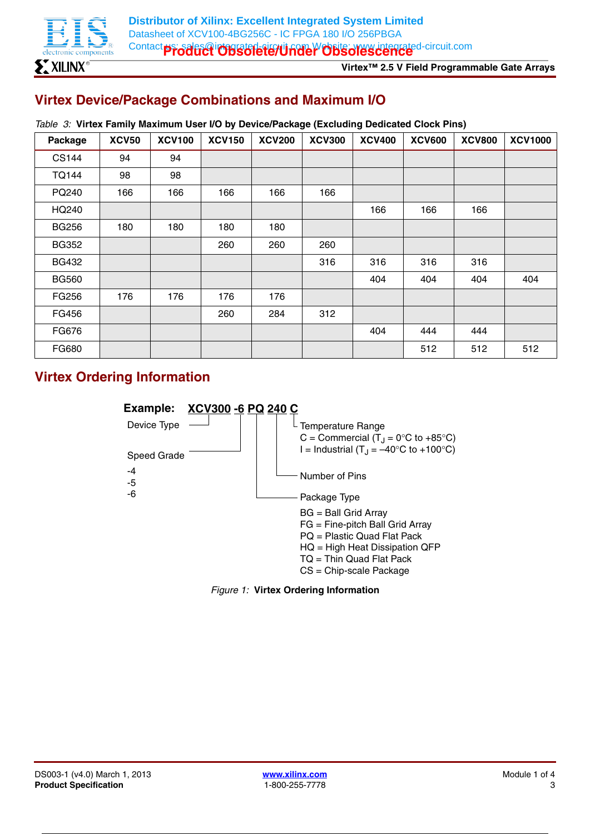

**EXAILINX<sup>®</sup> THE CONSTRUCTED AT A SEX CONSTRUCTED AT A SEX CONSTRUCTED AT A SEX CONSTRUCTED AT A SEX CONSTRUCTED AT A SEX CONSTRUCTED AT A SEX CONSTRUCTED AT A SEX CONSTRUCTED AT A SEX CONSTRUCTED AT A SEX CONSTRUCTED AT** 

# **Virtex Device/Package Combinations and Maximum I/O**

| Package      | <b>XCV50</b> | <b>XCV100</b> | <b>XCV150</b> | <b>XCV200</b> | <b>XCV300</b> | <b>XCV400</b> | <b>XCV600</b> | <b>XCV800</b> | <b>XCV1000</b> |
|--------------|--------------|---------------|---------------|---------------|---------------|---------------|---------------|---------------|----------------|
| <b>CS144</b> | 94           | 94            |               |               |               |               |               |               |                |
| <b>TQ144</b> | 98           | 98            |               |               |               |               |               |               |                |
| PQ240        | 166          | 166           | 166           | 166           | 166           |               |               |               |                |
| HQ240        |              |               |               |               |               | 166           | 166           | 166           |                |
| <b>BG256</b> | 180          | 180           | 180           | 180           |               |               |               |               |                |
| <b>BG352</b> |              |               | 260           | 260           | 260           |               |               |               |                |
| <b>BG432</b> |              |               |               |               | 316           | 316           | 316           | 316           |                |
| <b>BG560</b> |              |               |               |               |               | 404           | 404           | 404           | 404            |
| FG256        | 176          | 176           | 176           | 176           |               |               |               |               |                |
| FG456        |              |               | 260           | 284           | 312           |               |               |               |                |
| FG676        |              |               |               |               |               | 404           | 444           | 444           |                |
| FG680        |              |               |               |               |               |               | 512           | 512           | 512            |

#### *Table 3:* **Virtex Family Maximum User I/O by Device/Package (Excluding Dedicated Clock Pins)**

## **Virtex Ordering Information**



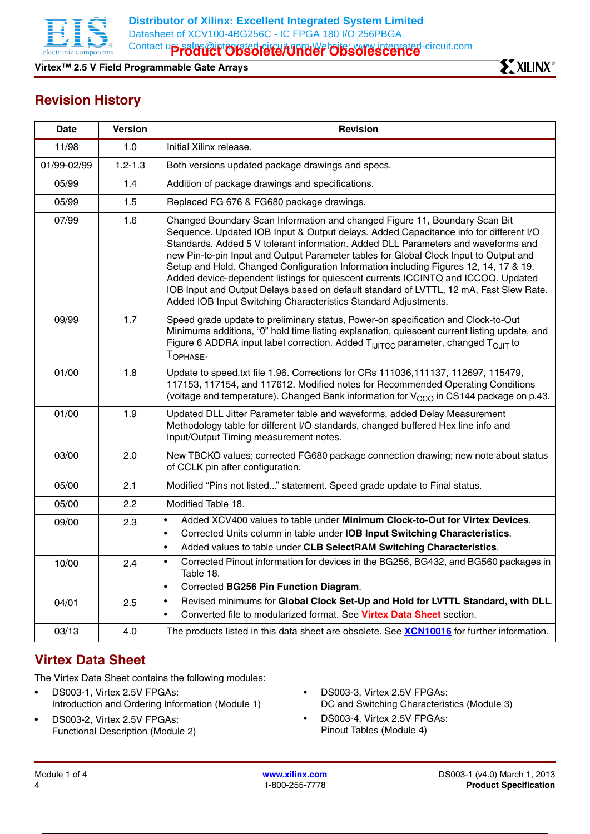

Virtex<sup>™</sup> 2.5 V Field Programmable Gate Arrays **Research Control of Arrays** XILINX<sup>®</sup>

# **Revision History**

| <b>Date</b> | <b>Version</b> | <b>Revision</b>                                                                                                                                                                                                                                                                                                                                                                                                                                                                                                                                                                                                                                                                             |
|-------------|----------------|---------------------------------------------------------------------------------------------------------------------------------------------------------------------------------------------------------------------------------------------------------------------------------------------------------------------------------------------------------------------------------------------------------------------------------------------------------------------------------------------------------------------------------------------------------------------------------------------------------------------------------------------------------------------------------------------|
| 11/98       | 1.0            | Initial Xilinx release.                                                                                                                                                                                                                                                                                                                                                                                                                                                                                                                                                                                                                                                                     |
| 01/99-02/99 | $1.2 - 1.3$    | Both versions updated package drawings and specs.                                                                                                                                                                                                                                                                                                                                                                                                                                                                                                                                                                                                                                           |
| 05/99       | 1.4            | Addition of package drawings and specifications.                                                                                                                                                                                                                                                                                                                                                                                                                                                                                                                                                                                                                                            |
| 05/99       | 1.5            | Replaced FG 676 & FG680 package drawings.                                                                                                                                                                                                                                                                                                                                                                                                                                                                                                                                                                                                                                                   |
| 07/99       | 1.6            | Changed Boundary Scan Information and changed Figure 11, Boundary Scan Bit<br>Sequence. Updated IOB Input & Output delays. Added Capacitance info for different I/O<br>Standards. Added 5 V tolerant information. Added DLL Parameters and waveforms and<br>new Pin-to-pin Input and Output Parameter tables for Global Clock Input to Output and<br>Setup and Hold. Changed Configuration Information including Figures 12, 14, 17 & 19.<br>Added device-dependent listings for quiescent currents ICCINTQ and ICCOQ. Updated<br>IOB Input and Output Delays based on default standard of LVTTL, 12 mA, Fast Slew Rate.<br>Added IOB Input Switching Characteristics Standard Adjustments. |
| 09/99       | 1.7            | Speed grade update to preliminary status, Power-on specification and Clock-to-Out<br>Minimums additions, "0" hold time listing explanation, quiescent current listing update, and<br>Figure 6 ADDRA input label correction. Added $T_{LJITCC}$ parameter, changed $T_{O, IIT}$ to<br>TOPHASE.                                                                                                                                                                                                                                                                                                                                                                                               |
| 01/00       | 1.8            | Update to speed.txt file 1.96. Corrections for CRs 111036,111137, 112697, 115479,<br>117153, 117154, and 117612. Modified notes for Recommended Operating Conditions<br>(voltage and temperature). Changed Bank information for $V_{CCO}$ in CS144 package on p.43.                                                                                                                                                                                                                                                                                                                                                                                                                         |
| 01/00       | 1.9            | Updated DLL Jitter Parameter table and waveforms, added Delay Measurement<br>Methodology table for different I/O standards, changed buffered Hex line info and<br>Input/Output Timing measurement notes.                                                                                                                                                                                                                                                                                                                                                                                                                                                                                    |
| 03/00       | 2.0            | New TBCKO values; corrected FG680 package connection drawing; new note about status<br>of CCLK pin after configuration.                                                                                                                                                                                                                                                                                                                                                                                                                                                                                                                                                                     |
| 05/00       | 2.1            | Modified "Pins not listed" statement. Speed grade update to Final status.                                                                                                                                                                                                                                                                                                                                                                                                                                                                                                                                                                                                                   |
| 05/00       | 2.2            | Modified Table 18.                                                                                                                                                                                                                                                                                                                                                                                                                                                                                                                                                                                                                                                                          |
| 09/00       | 2.3            | Added XCV400 values to table under Minimum Clock-to-Out for Virtex Devices.<br>Corrected Units column in table under IOB Input Switching Characteristics.<br>$\bullet$<br>Added values to table under CLB SelectRAM Switching Characteristics.                                                                                                                                                                                                                                                                                                                                                                                                                                              |
| 10/00       | 2.4            | Corrected Pinout information for devices in the BG256, BG432, and BG560 packages in<br>$\bullet$<br>Table 18.<br>Corrected BG256 Pin Function Diagram.<br>$\bullet$                                                                                                                                                                                                                                                                                                                                                                                                                                                                                                                         |
| 04/01       | 2.5            | Revised minimums for Global Clock Set-Up and Hold for LVTTL Standard, with DLL.<br>$\bullet$<br>Converted file to modularized format. See Virtex Data Sheet section.<br>$\bullet$                                                                                                                                                                                                                                                                                                                                                                                                                                                                                                           |
| 03/13       | 4.0            | The products listed in this data sheet are obsolete. See <b>XCN10016</b> for further information.                                                                                                                                                                                                                                                                                                                                                                                                                                                                                                                                                                                           |

# **Virtex Data Sheet**

The Virtex Data Sheet contains the following modules:

- DS003-1, Virtex 2.5V FPGAs: Introduction and Ordering Information (Module 1)
- DS003-2, Virtex 2.5V FPGAs: Functional Description (Module 2)
- DS003-3, Virtex 2.5V FPGAs: DC and Switching Characteristics (Module 3)
- DS003-4, Virtex 2.5V FPGAs: Pinout Tables (Module 4)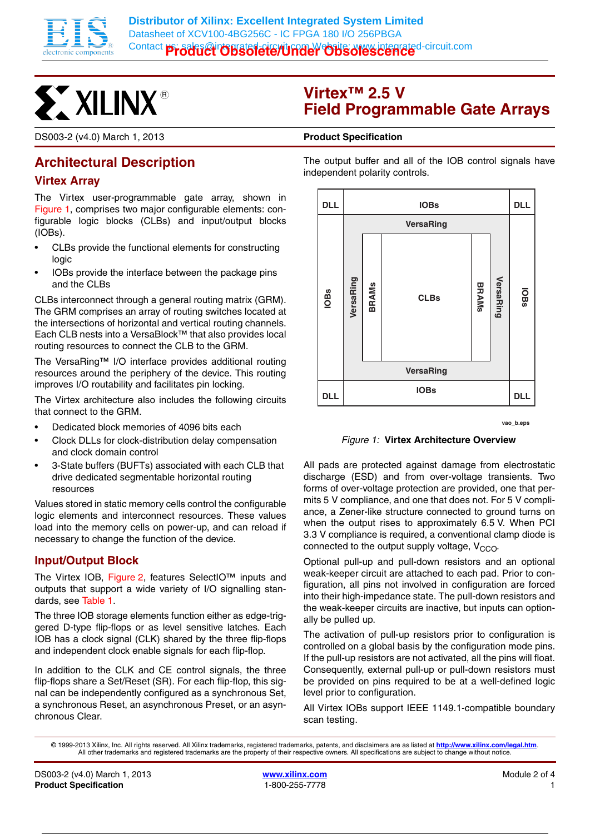



DS003-2 (v4.0) March 1, 2013 **0 0 Product Specification**

# **Architectural Description**

## **Virtex Array**

The Virtex user-programmable gate array, shown in Figure 1, comprises two major configurable elements: configurable logic blocks (CLBs) and input/output blocks (IOBs).

- CLBs provide the functional elements for constructing logic
- IOBs provide the interface between the package pins and the CLBs

CLBs interconnect through a general routing matrix (GRM). The GRM comprises an array of routing switches located at the intersections of horizontal and vertical routing channels. Each CLB nests into a VersaBlock™ that also provides local routing resources to connect the CLB to the GRM.

The VersaRing™ I/O interface provides additional routing resources around the periphery of the device. This routing improves I/O routability and facilitates pin locking.

The Virtex architecture also includes the following circuits that connect to the GRM.

- Dedicated block memories of 4096 bits each
- Clock DLLs for clock-distribution delay compensation and clock domain control
- 3-State buffers (BUFTs) associated with each CLB that drive dedicated segmentable horizontal routing resources

Values stored in static memory cells control the configurable logic elements and interconnect resources. These values load into the memory cells on power-up, and can reload if necessary to change the function of the device.

## **Input/Output Block**

The Virtex IOB, Figure 2, features SelectIO™ inputs and outputs that support a wide variety of I/O signalling standards, see Table 1.

The three IOB storage elements function either as edge-triggered D-type flip-flops or as level sensitive latches. Each IOB has a clock signal (CLK) shared by the three flip-flops and independent clock enable signals for each flip-flop.

In addition to the CLK and CE control signals, the three flip-flops share a Set/Reset (SR). For each flip-flop, this signal can be independently configured as a synchronous Set, a synchronous Reset, an asynchronous Preset, or an asynchronous Clear.

The output buffer and all of the IOB control signals have independent polarity controls.



**vao\_b.eps**

*Figure 1:* **Virtex Architecture Overview**

All pads are protected against damage from electrostatic discharge (ESD) and from over-voltage transients. Two forms of over-voltage protection are provided, one that permits 5 V compliance, and one that does not. For 5 V compliance, a Zener-like structure connected to ground turns on when the output rises to approximately 6.5 V. When PCI 3.3 V compliance is required, a conventional clamp diode is connected to the output supply voltage,  $V_{CCO}$ .

Optional pull-up and pull-down resistors and an optional weak-keeper circuit are attached to each pad. Prior to configuration, all pins not involved in configuration are forced into their high-impedance state. The pull-down resistors and the weak-keeper circuits are inactive, but inputs can optionally be pulled up.

The activation of pull-up resistors prior to configuration is controlled on a global basis by the configuration mode pins. If the pull-up resistors are not activated, all the pins will float. Consequently, external pull-up or pull-down resistors must be provided on pins required to be at a well-defined logic level prior to configuration.

All Virtex IOBs support IEEE 1149.1-compatible boundary scan testing.

© 1999-2013 Xilinx, Inc. All rights reserved. All Xilinx trademarks, registered trademarks, patents, and disclaimers are as listed at **http://www.xilinx.com/legal.htm**. All other trademarks and registered trademarks are the property of their respective owners. All specifications are subject to change without notice.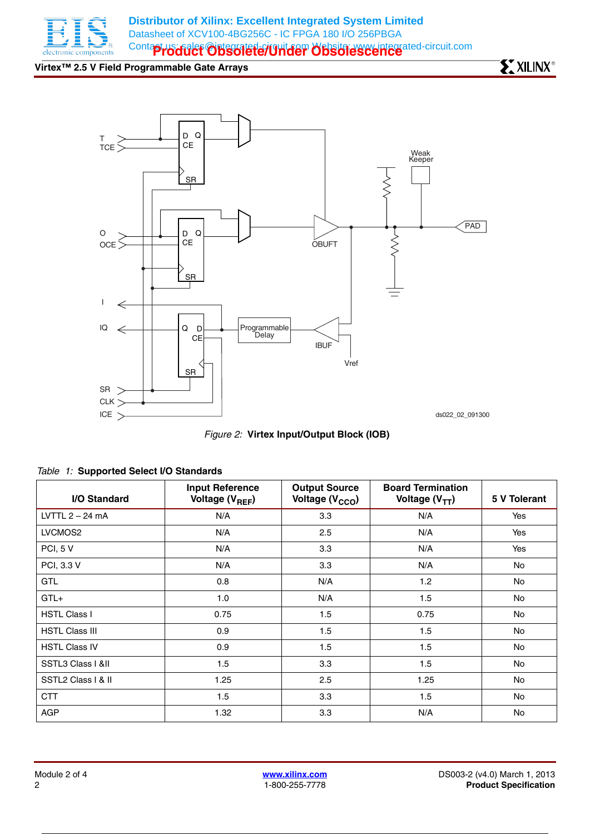

Virtex<sup>™</sup> 2.5 V Field Programmable Gate Arrays **Research Control of Arrays** Research Control Control of Arrays Research Research Research Research Research Research Research Research Research Research Research Research Re





| I/O Standard          | <b>Input Reference</b><br>Voltage (V <sub>REF</sub> ) | <b>Output Source</b><br>Voltage (V <sub>CCO</sub> ) | <b>Board Termination</b><br>Voltage $(V_{TT})$ | 5 V Tolerant |
|-----------------------|-------------------------------------------------------|-----------------------------------------------------|------------------------------------------------|--------------|
| LVTTL $2 - 24$ mA     | N/A                                                   | 3.3                                                 | N/A                                            | Yes          |
| LVCMOS2               | N/A                                                   | 2.5                                                 | N/A                                            | Yes          |
| PCI, 5 V              | N/A                                                   | 3.3                                                 | N/A                                            | Yes          |
| PCI, 3.3 V            | N/A                                                   | 3.3                                                 | N/A                                            | No           |
| <b>GTL</b>            | 0.8                                                   | N/A                                                 | 1.2                                            | No           |
| $GTL+$                | 1.0                                                   | N/A                                                 | 1.5                                            | No           |
| <b>HSTL Class I</b>   | 0.75                                                  | 1.5                                                 | 0.75                                           | No           |
| <b>HSTL Class III</b> | 0.9                                                   | 1.5                                                 | 1.5                                            | No           |
| <b>HSTL Class IV</b>  | 0.9                                                   | 1.5                                                 | 1.5                                            | No           |
| SSTL3 Class   &II     | 1.5                                                   | 3.3                                                 | 1.5                                            | No           |
| SSTL2 Class   & II    | 1.25                                                  | 2.5                                                 | 1.25                                           | No           |
| <b>CTT</b>            | 1.5                                                   | 3.3                                                 | 1.5                                            | No           |
| <b>AGP</b>            | 1.32                                                  | 3.3                                                 | N/A                                            | No           |

|  |  |  | Table 1: Supported Select I/O Standards |  |  |
|--|--|--|-----------------------------------------|--|--|
|--|--|--|-----------------------------------------|--|--|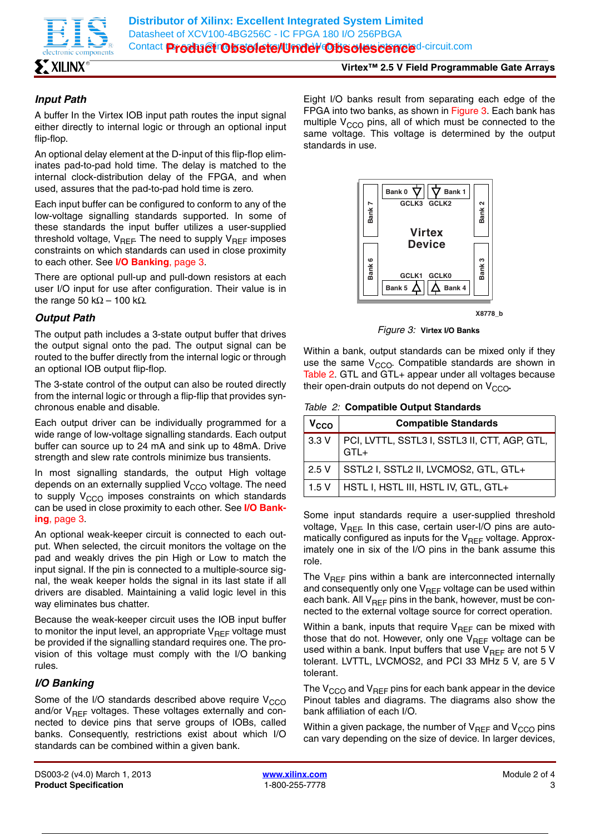

#### *Input Path*

A buffer In the Virtex IOB input path routes the input signal either directly to internal logic or through an optional input flip-flop.

An optional delay element at the D-input of this flip-flop eliminates pad-to-pad hold time. The delay is matched to the internal clock-distribution delay of the FPGA, and when used, assures that the pad-to-pad hold time is zero.

Each input buffer can be configured to conform to any of the low-voltage signalling standards supported. In some of these standards the input buffer utilizes a user-supplied threshold voltage,  $V_{REF}$  The need to supply  $V_{REF}$  imposes constraints on which standards can used in close proximity to each other. See **I/O Banking**, page 3.

There are optional pull-up and pull-down resistors at each user I/O input for use after configuration. Their value is in the range 50 kΩ – 100 kΩ.

#### *Output Path*

The output path includes a 3-state output buffer that drives the output signal onto the pad. The output signal can be routed to the buffer directly from the internal logic or through an optional IOB output flip-flop.

The 3-state control of the output can also be routed directly from the internal logic or through a flip-flip that provides synchronous enable and disable.

Each output driver can be individually programmed for a wide range of low-voltage signalling standards. Each output buffer can source up to 24 mA and sink up to 48mA. Drive strength and slew rate controls minimize bus transients.

In most signalling standards, the output High voltage depends on an externally supplied  $V_{CCO}$  voltage. The need to supply  $V_{CCO}$  imposes constraints on which standards can be used in close proximity to each other. See **I/O Banking**, page 3.

An optional weak-keeper circuit is connected to each output. When selected, the circuit monitors the voltage on the pad and weakly drives the pin High or Low to match the input signal. If the pin is connected to a multiple-source signal, the weak keeper holds the signal in its last state if all drivers are disabled. Maintaining a valid logic level in this way eliminates bus chatter.

Because the weak-keeper circuit uses the IOB input buffer to monitor the input level, an appropriate  $V_{\text{RFF}}$  voltage must be provided if the signalling standard requires one. The provision of this voltage must comply with the I/O banking rules.

#### *I/O Banking*

Some of the I/O standards described above require  $V_{CCO}$ and/or  $V_{\text{RFF}}$  voltages. These voltages externally and connected to device pins that serve groups of IOBs, called banks. Consequently, restrictions exist about which I/O standards can be combined within a given bank.

Eight I/O banks result from separating each edge of the FPGA into two banks, as shown in Figure 3. Each bank has multiple  $V_{CCO}$  pins, all of which must be connected to the same voltage. This voltage is determined by the output standards in use.



**X8778\_b**

*Figure 3:* **Virtex I/O Banks**

Within a bank, output standards can be mixed only if they use the same  $V_{CCO}$ . Compatible standards are shown in Table 2. GTL and GTL+ appear under all voltages because their open-drain outputs do not depend on V<sub>CCO</sub>.

*Table 2:* **Compatible Output Standards**

| $v_{\rm cco}$ | <b>Compatible Standards</b>                             |
|---------------|---------------------------------------------------------|
| 3.3V          | PCI, LVTTL, SSTL3 I, SSTL3 II, CTT, AGP, GTL,<br>$GTL+$ |
| 2.5V          | SSTL2 I, SSTL2 II, LVCMOS2, GTL, GTL+                   |
| 1.5V          | HSTL I, HSTL III, HSTL IV, GTL, GTL+                    |

Some input standards require a user-supplied threshold voltage,  $V_{REF}$  In this case, certain user-I/O pins are automatically configured as inputs for the  $V_{BFF}$  voltage. Approximately one in six of the I/O pins in the bank assume this role.

The  $V_{REF}$  pins within a bank are interconnected internally and consequently only one  $V_{REF}$  voltage can be used within each bank. All  $V_{\text{RFF}}$  pins in the bank, however, must be connected to the external voltage source for correct operation.

Within a bank, inputs that require  $V_{\text{RFF}}$  can be mixed with those that do not. However, only one  $V_{\text{RFF}}$  voltage can be used within a bank. Input buffers that use  $V_{BFF}$  are not 5 V tolerant. LVTTL, LVCMOS2, and PCI 33 MHz 5 V, are 5 V tolerant.

The  $V_{CCO}$  and  $V_{BFE}$  pins for each bank appear in the device Pinout tables and diagrams. The diagrams also show the bank affiliation of each I/O.

Within a given package, the number of  $V_{REF}$  and  $V_{CCO}$  pins can vary depending on the size of device. In larger devices,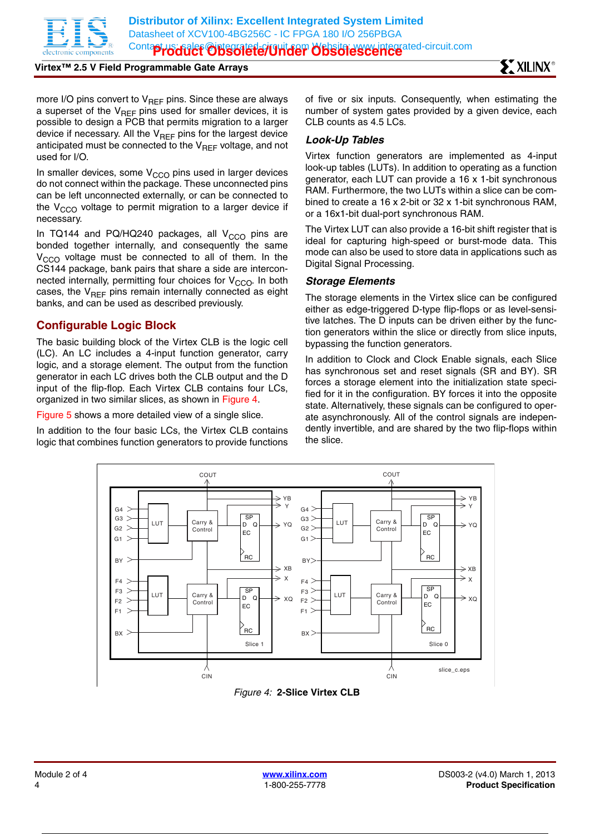

## Virtex<sup>™</sup> 2.5 V Field Programmable Gate Arrays **Research Control Control Control Control Control Control Control Control Control Control Control Control Control Control Control Control Control Control Control Control Cont**

more I/O pins convert to  $V_{REF}$  pins. Since these are always a superset of the  $V_{REF}$  pins used for smaller devices, it is possible to design a PCB that permits migration to a larger device if necessary. All the  $V_{REF}$  pins for the largest device anticipated must be connected to the  $V_{\text{RFF}}$  voltage, and not used for I/O.

In smaller devices, some  $V_{CCO}$  pins used in larger devices do not connect within the package. These unconnected pins can be left unconnected externally, or can be connected to the  $V<sub>CCO</sub>$  voltage to permit migration to a larger device if necessary.

In TQ144 and PQ/HQ240 packages, all  $V_{CCO}$  pins are bonded together internally, and consequently the same  $V<sub>CCO</sub>$  voltage must be connected to all of them. In the CS144 package, bank pairs that share a side are interconnected internally, permitting four choices for  $V_{CCO}$ . In both cases, the  $V_{REF}$  pins remain internally connected as eight banks, and can be used as described previously.

## **Configurable Logic Block**

The basic building block of the Virtex CLB is the logic cell (LC). An LC includes a 4-input function generator, carry logic, and a storage element. The output from the function generator in each LC drives both the CLB output and the D input of the flip-flop. Each Virtex CLB contains four LCs, organized in two similar slices, as shown in Figure 4.

#### Figure 5 shows a more detailed view of a single slice.

In addition to the four basic LCs, the Virtex CLB contains logic that combines function generators to provide functions of five or six inputs. Consequently, when estimating the number of system gates provided by a given device, each CLB counts as 4.5 LCs.

#### *Look-Up Tables*

Virtex function generators are implemented as 4-input look-up tables (LUTs). In addition to operating as a function generator, each LUT can provide a 16 x 1-bit synchronous RAM. Furthermore, the two LUTs within a slice can be combined to create a 16 x 2-bit or 32 x 1-bit synchronous RAM, or a 16x1-bit dual-port synchronous RAM.

The Virtex LUT can also provide a 16-bit shift register that is ideal for capturing high-speed or burst-mode data. This mode can also be used to store data in applications such as Digital Signal Processing.

#### *Storage Elements*

The storage elements in the Virtex slice can be configured either as edge-triggered D-type flip-flops or as level-sensitive latches. The D inputs can be driven either by the function generators within the slice or directly from slice inputs, bypassing the function generators.

In addition to Clock and Clock Enable signals, each Slice has synchronous set and reset signals (SR and BY). SR forces a storage element into the initialization state specified for it in the configuration. BY forces it into the opposite state. Alternatively, these signals can be configured to operate asynchronously. All of the control signals are independently invertible, and are shared by the two flip-flops within the slice.



*Figure 4:* **2-Slice Virtex CLB**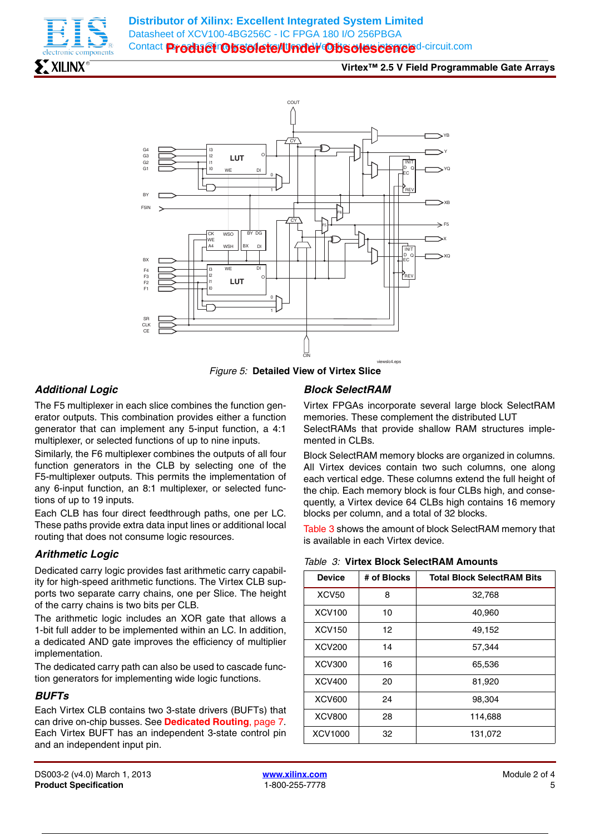



*Figure 5:* **Detailed View of Virtex Slice**

## *Additional Logic*

The F5 multiplexer in each slice combines the function generator outputs. This combination provides either a function generator that can implement any 5-input function, a 4:1 multiplexer, or selected functions of up to nine inputs.

Similarly, the F6 multiplexer combines the outputs of all four function generators in the CLB by selecting one of the F5-multiplexer outputs. This permits the implementation of any 6-input function, an 8:1 multiplexer, or selected functions of up to 19 inputs.

Each CLB has four direct feedthrough paths, one per LC. These paths provide extra data input lines or additional local routing that does not consume logic resources.

#### *Arithmetic Logic*

Dedicated carry logic provides fast arithmetic carry capability for high-speed arithmetic functions. The Virtex CLB supports two separate carry chains, one per Slice. The height of the carry chains is two bits per CLB.

The arithmetic logic includes an XOR gate that allows a 1-bit full adder to be implemented within an LC. In addition, a dedicated AND gate improves the efficiency of multiplier implementation.

The dedicated carry path can also be used to cascade function generators for implementing wide logic functions.

#### *BUFTs*

Each Virtex CLB contains two 3-state drivers (BUFTs) that can drive on-chip busses. See **Dedicated Routing**, page 7. Each Virtex BUFT has an independent 3-state control pin and an independent input pin.

## *Block SelectRAM*

Virtex FPGAs incorporate several large block SelectRAM memories. These complement the distributed LUT SelectRAMs that provide shallow RAM structures implemented in CLBs.

Block SelectRAM memory blocks are organized in columns. All Virtex devices contain two such columns, one along each vertical edge. These columns extend the full height of the chip. Each memory block is four CLBs high, and consequently, a Virtex device 64 CLBs high contains 16 memory blocks per column, and a total of 32 blocks.

Table 3 shows the amount of block SelectRAM memory that is available in each Virtex device.

| <b>Device</b> | # of Blocks | <b>Total Block SelectRAM Bits</b> |
|---------------|-------------|-----------------------------------|
| <b>XCV50</b>  | 8           | 32,768                            |
| <b>XCV100</b> | 10          | 40,960                            |
| <b>XCV150</b> | 12          | 49,152                            |
| XCV200        | 14          | 57,344                            |
| <b>XCV300</b> | 16          | 65,536                            |
| <b>XCV400</b> | 20          | 81,920                            |
| <b>XCV600</b> | 24          | 98,304                            |
| <b>XCV800</b> | 28          | 114,688                           |
| XCV1000       | 32          | 131,072                           |

#### *Table 3:* **Virtex Block SelectRAM Amounts**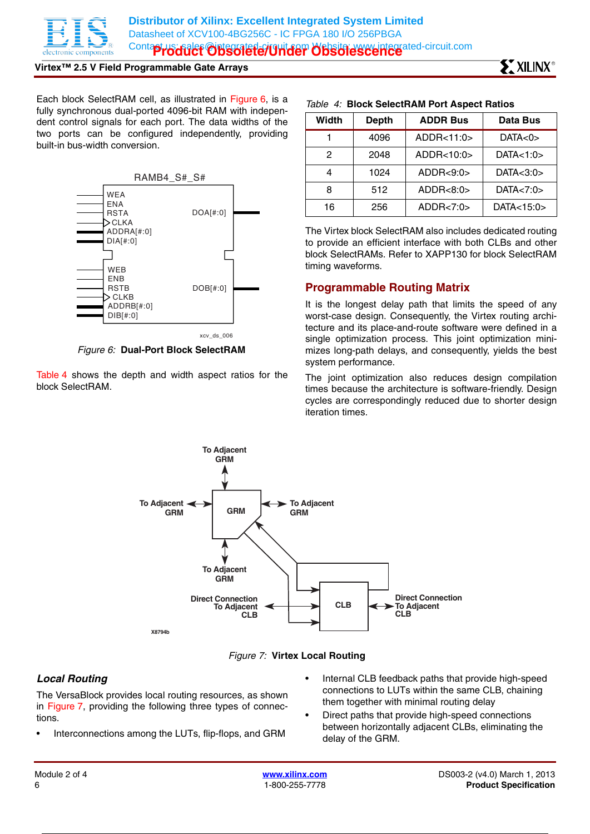

## Virtex<sup>™</sup> 2.5 V Field Programmable Gate Arrays **And Access 2009** XILINX<sup>®</sup>

Each block SelectRAM cell, as illustrated in Figure 6, is a fully synchronous dual-ported 4096-bit RAM with independent control signals for each port. The data widths of the two ports can be configured independently, providing built-in bus-width conversion.



*Figure 6:* **Dual-Port Block SelectRAM**

Table 4 shows the depth and width aspect ratios for the block SelectRAM.

| Width | <b>Depth</b> | <b>ADDR Bus</b> | <b>Data Bus</b>  |  |  |  |
|-------|--------------|-----------------|------------------|--|--|--|
|       | 4096         | ADDR<11:0>      | DATA<0>          |  |  |  |
| 2     | 2048         | ADDR<10:0>      | DATA < 1:0 >     |  |  |  |
|       | 1024         | ADDR < 9:0>     | DATA $<$ 3:0 $>$ |  |  |  |
| 8     | 512          | ADDR < 8:0>     | DATA < 7:0 >     |  |  |  |
| 16    | 256          | ADDR < 7:0>     | DATA<15:0>       |  |  |  |

#### *Table 4:* **Block SelectRAM Port Aspect Ratios**

The Virtex block SelectRAM also includes dedicated routing to provide an efficient interface with both CLBs and other block SelectRAMs. Refer to XAPP130 for block SelectRAM timing waveforms.

#### **Programmable Routing Matrix**

It is the longest delay path that limits the speed of any worst-case design. Consequently, the Virtex routing architecture and its place-and-route software were defined in a single optimization process. This joint optimization minimizes long-path delays, and consequently, yields the best system performance.

The joint optimization also reduces design compilation times because the architecture is software-friendly. Design cycles are correspondingly reduced due to shorter design iteration times.



#### *Figure 7:* **Virtex Local Routing**

#### *Local Routing*

The VersaBlock provides local routing resources, as shown in Figure 7, providing the following three types of connections.

- Interconnections among the LUTs, flip-flops, and GRM
- Internal CLB feedback paths that provide high-speed connections to LUTs within the same CLB, chaining them together with minimal routing delay
- Direct paths that provide high-speed connections between horizontally adjacent CLBs, eliminating the delay of the GRM.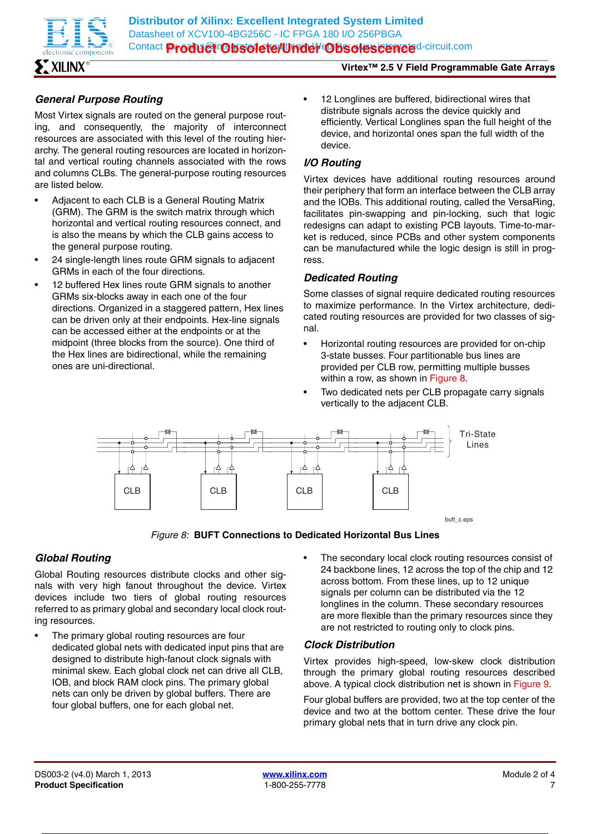

#### **EXALINX<sup>®</sup> THE CONSTRUCTED AT A SEX CONSTRUCTED AT A SEX CONSTRUCTED AT A SEX CONSTRUCTED AT A SEX CONSTRUCTED AT A SEX CONSTRUCTED AT A SEX CONSTRUCTED AT A SEX CONSTRUCTED AT A SEX CONSTRUCTED AT A SEX CONSTRUCTED AT A**

## *General Purpose Routing*

Most Virtex signals are routed on the general purpose routing, and consequently, the majority of interconnect resources are associated with this level of the routing hierarchy. The general routing resources are located in horizontal and vertical routing channels associated with the rows and columns CLBs. The general-purpose routing resources are listed below.

- Adjacent to each CLB is a General Routing Matrix (GRM). The GRM is the switch matrix through which horizontal and vertical routing resources connect, and is also the means by which the CLB gains access to the general purpose routing.
- 24 single-length lines route GRM signals to adjacent GRMs in each of the four directions.
- 12 buffered Hex lines route GRM signals to another GRMs six-blocks away in each one of the four directions. Organized in a staggered pattern, Hex lines can be driven only at their endpoints. Hex-line signals can be accessed either at the endpoints or at the midpoint (three blocks from the source). One third of the Hex lines are bidirectional, while the remaining ones are uni-directional.

12 Longlines are buffered, bidirectional wires that distribute signals across the device quickly and efficiently. Vertical Longlines span the full height of the device, and horizontal ones span the full width of the device.

## *I/O Routing*

Virtex devices have additional routing resources around their periphery that form an interface between the CLB array and the IOBs. This additional routing, called the VersaRing, facilitates pin-swapping and pin-locking, such that logic redesigns can adapt to existing PCB layouts. Time-to-market is reduced, since PCBs and other system components can be manufactured while the logic design is still in progress.

#### *Dedicated Routing*

Some classes of signal require dedicated routing resources to maximize performance. In the Virtex architecture, dedicated routing resources are provided for two classes of signal.

- Horizontal routing resources are provided for on-chip 3-state busses. Four partitionable bus lines are provided per CLB row, permitting multiple busses within a row, as shown in Figure 8.
- Two dedicated nets per CLB propagate carry signals vertically to the adjacent CLB.



*Figure 8:* **BUFT Connections to Dedicated Horizontal Bus Lines**

## *Global Routing*

Global Routing resources distribute clocks and other signals with very high fanout throughout the device. Virtex devices include two tiers of global routing resources referred to as primary global and secondary local clock routing resources.

- The primary global routing resources are four dedicated global nets with dedicated input pins that are designed to distribute high-fanout clock signals with minimal skew. Each global clock net can drive all CLB, IOB, and block RAM clock pins. The primary global nets can only be driven by global buffers. There are four global buffers, one for each global net.
- The secondary local clock routing resources consist of 24 backbone lines, 12 across the top of the chip and 12 across bottom. From these lines, up to 12 unique signals per column can be distributed via the 12 longlines in the column. These secondary resources are more flexible than the primary resources since they are not restricted to routing only to clock pins.

#### *Clock Distribution*

Virtex provides high-speed, low-skew clock distribution through the primary global routing resources described above. A typical clock distribution net is shown in Figure 9.

Four global buffers are provided, two at the top center of the device and two at the bottom center. These drive the four primary global nets that in turn drive any clock pin.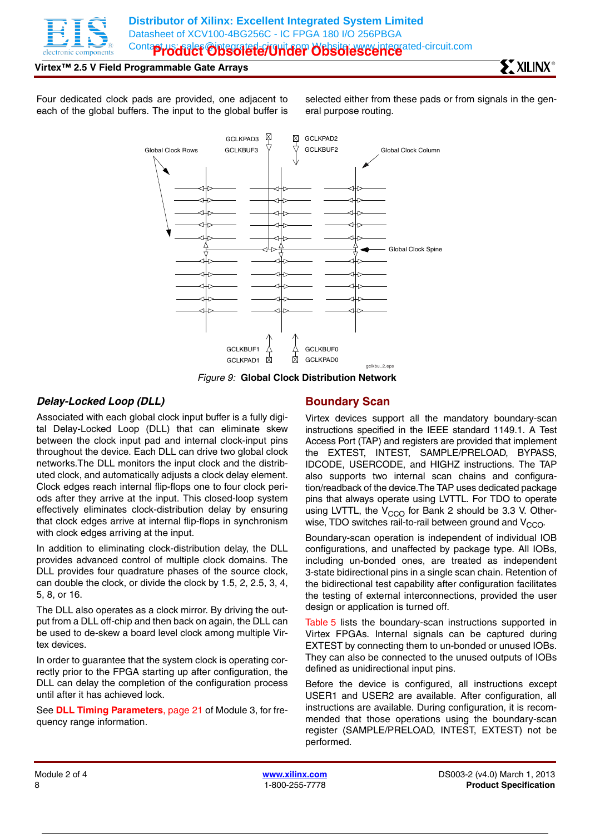

Four dedicated clock pads are provided, one adjacent to each of the global buffers. The input to the global buffer is selected either from these pads or from signals in the general purpose routing.



*Figure 9:* **Global Clock Distribution Network**

## *Delay-Locked Loop (DLL)*

Associated with each global clock input buffer is a fully digital Delay-Locked Loop (DLL) that can eliminate skew between the clock input pad and internal clock-input pins throughout the device. Each DLL can drive two global clock networks.The DLL monitors the input clock and the distributed clock, and automatically adjusts a clock delay element. Clock edges reach internal flip-flops one to four clock periods after they arrive at the input. This closed-loop system effectively eliminates clock-distribution delay by ensuring that clock edges arrive at internal flip-flops in synchronism with clock edges arriving at the input.

In addition to eliminating clock-distribution delay, the DLL provides advanced control of multiple clock domains. The DLL provides four quadrature phases of the source clock, can double the clock, or divide the clock by 1.5, 2, 2.5, 3, 4, 5, 8, or 16.

The DLL also operates as a clock mirror. By driving the output from a DLL off-chip and then back on again, the DLL can be used to de-skew a board level clock among multiple Virtex devices.

In order to guarantee that the system clock is operating correctly prior to the FPGA starting up after configuration, the DLL can delay the completion of the configuration process until after it has achieved lock.

See **DLL Timing Parameters**, page 21 of Module 3, for frequency range information.

## **Boundary Scan**

Virtex devices support all the mandatory boundary-scan instructions specified in the IEEE standard 1149.1. A Test Access Port (TAP) and registers are provided that implement the EXTEST, INTEST, SAMPLE/PRELOAD, BYPASS, IDCODE, USERCODE, and HIGHZ instructions. The TAP also supports two internal scan chains and configuration/readback of the device.The TAP uses dedicated package pins that always operate using LVTTL. For TDO to operate using LVTTL, the  $V_{CCO}$  for Bank 2 should be 3.3 V. Otherwise, TDO switches rail-to-rail between ground and  $V<sub>CCO</sub>$ .

Boundary-scan operation is independent of individual IOB configurations, and unaffected by package type. All IOBs, including un-bonded ones, are treated as independent 3-state bidirectional pins in a single scan chain. Retention of the bidirectional test capability after configuration facilitates the testing of external interconnections, provided the user design or application is turned off.

Table 5 lists the boundary-scan instructions supported in Virtex FPGAs. Internal signals can be captured during EXTEST by connecting them to un-bonded or unused IOBs. They can also be connected to the unused outputs of IOBs defined as unidirectional input pins.

Before the device is configured, all instructions except USER1 and USER2 are available. After configuration, all instructions are available. During configuration, it is recommended that those operations using the boundary-scan register (SAMPLE/PRELOAD, INTEST, EXTEST) not be performed.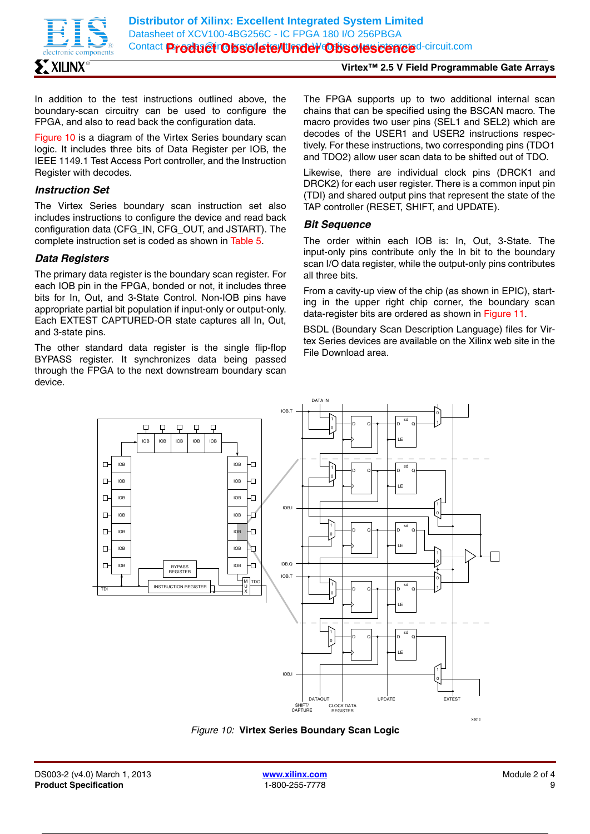

In addition to the test instructions outlined above, the boundary-scan circuitry can be used to configure the FPGA, and also to read back the configuration data.

Figure 10 is a diagram of the Virtex Series boundary scan logic. It includes three bits of Data Register per IOB, the IEEE 1149.1 Test Access Port controller, and the Instruction Register with decodes.

#### *Instruction Set*

The Virtex Series boundary scan instruction set also includes instructions to configure the device and read back configuration data (CFG\_IN, CFG\_OUT, and JSTART). The complete instruction set is coded as shown in Table 5.

#### *Data Registers*

The primary data register is the boundary scan register. For each IOB pin in the FPGA, bonded or not, it includes three bits for In, Out, and 3-State Control. Non-IOB pins have appropriate partial bit population if input-only or output-only. Each EXTEST CAPTURED-OR state captures all In, Out, and 3-state pins.

The other standard data register is the single flip-flop BYPASS register. It synchronizes data being passed through the FPGA to the next downstream boundary scan device.

The FPGA supports up to two additional internal scan chains that can be specified using the BSCAN macro. The macro provides two user pins (SEL1 and SEL2) which are decodes of the USER1 and USER2 instructions respectively. For these instructions, two corresponding pins (TDO1 and TDO2) allow user scan data to be shifted out of TDO.

Likewise, there are individual clock pins (DRCK1 and DRCK2) for each user register. There is a common input pin (TDI) and shared output pins that represent the state of the TAP controller (RESET, SHIFT, and UPDATE).

#### *Bit Sequence*

The order within each IOB is: In, Out, 3-State. The input-only pins contribute only the In bit to the boundary scan I/O data register, while the output-only pins contributes all three bits.

From a cavity-up view of the chip (as shown in EPIC), starting in the upper right chip corner, the boundary scan data-register bits are ordered as shown in Figure 11.

BSDL (Boundary Scan Description Language) files for Virtex Series devices are available on the Xilinx web site in the File Download area.



*Figure 10:* **Virtex Series Boundary Scan Logic**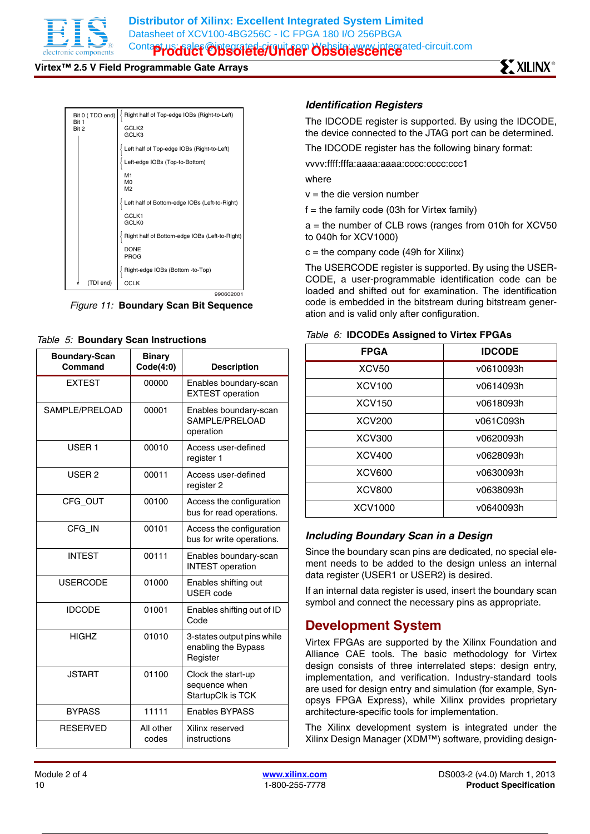

| Bit 0 (TDO end)<br>Bit 1<br>Bit 2 | Right half of Top-edge IOBs (Right-to-Left)<br>GCLK <sub>2</sub> |
|-----------------------------------|------------------------------------------------------------------|
|                                   | GCLK3                                                            |
|                                   | Left half of Top-edge IOBs (Right-to-Left)                       |
|                                   | Left-edge IOBs (Top-to-Bottom)                                   |
|                                   | M <sub>1</sub>                                                   |
|                                   | M <sub>0</sub><br>M <sub>2</sub>                                 |
|                                   | Left half of Bottom-edge IOBs (Left-to-Right)                    |
|                                   | GCLK1<br><b>GCLK0</b>                                            |
|                                   | Right half of Bottom-edge IOBs (Left-to-Right)                   |
|                                   | <b>DONE</b><br><b>PROG</b>                                       |
|                                   | Right-edge IOBs (Bottom -to-Top)                                 |
| (TDI end)                         | <b>CCLK</b>                                                      |



990602001

#### *Table 5:* **Boundary Scan Instructions**

| <b>Boundary-Scan</b><br>Command | <b>Binary</b><br>Code(4:0) | <b>Description</b>                                            |
|---------------------------------|----------------------------|---------------------------------------------------------------|
| <b>EXTEST</b>                   | 00000                      | Enables boundary-scan<br><b>EXTEST</b> operation              |
| SAMPLE/PRELOAD                  | 00001                      | Enables boundary-scan<br>SAMPLE/PRELOAD<br>operation          |
| USER <sub>1</sub>               | 00010                      | Access user-defined<br>register 1                             |
| USER <sub>2</sub>               | 00011                      | Access user-defined<br>register 2                             |
| CFG_OUT                         | 00100                      | Access the configuration<br>bus for read operations.          |
| CFG_IN                          | 00101                      | Access the configuration<br>bus for write operations.         |
| <b>INTEST</b>                   | 00111                      | Enables boundary-scan<br><b>INTEST</b> operation              |
| <b>USERCODE</b>                 | 01000                      | Enables shifting out<br><b>USER</b> code                      |
| <b>IDCODE</b>                   | 01001                      | Enables shifting out of ID<br>Code                            |
| <b>HIGHZ</b>                    | 01010                      | 3-states output pins while<br>enabling the Bypass<br>Register |
| <b>JSTART</b>                   | 01100                      | Clock the start-up<br>sequence when<br>StartupClk is TCK      |
| <b>BYPASS</b>                   | 11111                      | Enables BYPASS                                                |
| <b>RESERVED</b>                 | All other<br>codes         | Xilinx reserved<br>instructions                               |

#### *Identification Registers*

The IDCODE register is supported. By using the IDCODE, the device connected to the JTAG port can be determined.

The IDCODE register has the following binary format:

vvvv:ffff:fffa:aaaa:aaaa:cccc:cccc:ccc1

where

 $v =$  the die version number

 $f =$  the family code (03h for Virtex family)

a = the number of CLB rows (ranges from 010h for XCV50 to 040h for XCV1000)

 $c =$  the company code (49h for Xilinx)

The USERCODE register is supported. By using the USER-CODE, a user-programmable identification code can be loaded and shifted out for examination. The identification code is embedded in the bitstream during bitstream generation and is valid only after configuration.

| <b>FPGA</b>        | <b>IDCODE</b> |
|--------------------|---------------|
| <b>XCV50</b>       | v0610093h     |
| <b>XCV100</b>      | v0614093h     |
| XCV <sub>150</sub> | v0618093h     |
| <b>XCV200</b>      | v061C093h     |
| <b>XCV300</b>      | v0620093h     |
| <b>XCV400</b>      | v0628093h     |
| <b>XCV600</b>      | v0630093h     |
| <b>XCV800</b>      | v0638093h     |
| XCV1000            | v0640093h     |

#### *Table 6:* **IDCODEs Assigned to Virtex FPGAs**

## *Including Boundary Scan in a Design*

Since the boundary scan pins are dedicated, no special element needs to be added to the design unless an internal data register (USER1 or USER2) is desired.

If an internal data register is used, insert the boundary scan symbol and connect the necessary pins as appropriate.

## **Development System**

Virtex FPGAs are supported by the Xilinx Foundation and Alliance CAE tools. The basic methodology for Virtex design consists of three interrelated steps: design entry, implementation, and verification. Industry-standard tools are used for design entry and simulation (for example, Synopsys FPGA Express), while Xilinx provides proprietary architecture-specific tools for implementation.

The Xilinx development system is integrated under the Xilinx Design Manager (XDM™) software, providing design-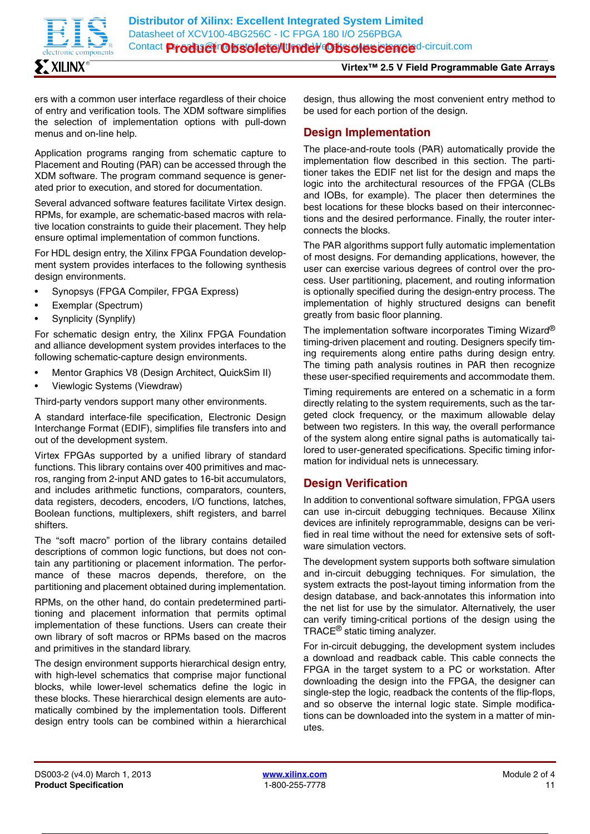

ers with a common user interface regardless of their choice of entry and verification tools. The XDM software simplifies the selection of implementation options with pull-down menus and on-line help.

Application programs ranging from schematic capture to Placement and Routing (PAR) can be accessed through the XDM software. The program command sequence is generated prior to execution, and stored for documentation.

Several advanced software features facilitate Virtex design. RPMs, for example, are schematic-based macros with relative location constraints to guide their placement. They help ensure optimal implementation of common functions.

For HDL design entry, the Xilinx FPGA Foundation development system provides interfaces to the following synthesis design environments.

- Synopsys (FPGA Compiler, FPGA Express)
- Exemplar (Spectrum)
- Synplicity (Synplify)

For schematic design entry, the Xilinx FPGA Foundation and alliance development system provides interfaces to the following schematic-capture design environments.

- Mentor Graphics V8 (Design Architect, QuickSim II)
- Viewlogic Systems (Viewdraw)

Third-party vendors support many other environments.

A standard interface-file specification, Electronic Design Interchange Format (EDIF), simplifies file transfers into and out of the development system.

Virtex FPGAs supported by a unified library of standard functions. This library contains over 400 primitives and macros, ranging from 2-input AND gates to 16-bit accumulators, and includes arithmetic functions, comparators, counters, data registers, decoders, encoders, I/O functions, latches, Boolean functions, multiplexers, shift registers, and barrel shifters.

The "soft macro" portion of the library contains detailed descriptions of common logic functions, but does not contain any partitioning or placement information. The performance of these macros depends, therefore, on the partitioning and placement obtained during implementation.

RPMs, on the other hand, do contain predetermined partitioning and placement information that permits optimal implementation of these functions. Users can create their own library of soft macros or RPMs based on the macros and primitives in the standard library.

The design environment supports hierarchical design entry, with high-level schematics that comprise major functional blocks, while lower-level schematics define the logic in these blocks. These hierarchical design elements are automatically combined by the implementation tools. Different design entry tools can be combined within a hierarchical

design, thus allowing the most convenient entry method to be used for each portion of the design.

#### **Design Implementation**

The place-and-route tools (PAR) automatically provide the implementation flow described in this section. The partitioner takes the EDIF net list for the design and maps the logic into the architectural resources of the FPGA (CLBs and IOBs, for example). The placer then determines the best locations for these blocks based on their interconnections and the desired performance. Finally, the router interconnects the blocks.

The PAR algorithms support fully automatic implementation of most designs. For demanding applications, however, the user can exercise various degrees of control over the process. User partitioning, placement, and routing information is optionally specified during the design-entry process. The implementation of highly structured designs can benefit greatly from basic floor planning.

The implementation software incorporates Timing Wizard® timing-driven placement and routing. Designers specify timing requirements along entire paths during design entry. The timing path analysis routines in PAR then recognize these user-specified requirements and accommodate them.

Timing requirements are entered on a schematic in a form directly relating to the system requirements, such as the targeted clock frequency, or the maximum allowable delay between two registers. In this way, the overall performance of the system along entire signal paths is automatically tailored to user-generated specifications. Specific timing information for individual nets is unnecessary.

#### **Design Verification**

In addition to conventional software simulation, FPGA users can use in-circuit debugging techniques. Because Xilinx devices are infinitely reprogrammable, designs can be verified in real time without the need for extensive sets of software simulation vectors.

The development system supports both software simulation and in-circuit debugging techniques. For simulation, the system extracts the post-layout timing information from the design database, and back-annotates this information into the net list for use by the simulator. Alternatively, the user can verify timing-critical portions of the design using the TRACE® static timing analyzer.

For in-circuit debugging, the development system includes a download and readback cable. This cable connects the FPGA in the target system to a PC or workstation. After downloading the design into the FPGA, the designer can single-step the logic, readback the contents of the flip-flops, and so observe the internal logic state. Simple modifications can be downloaded into the system in a matter of minutes.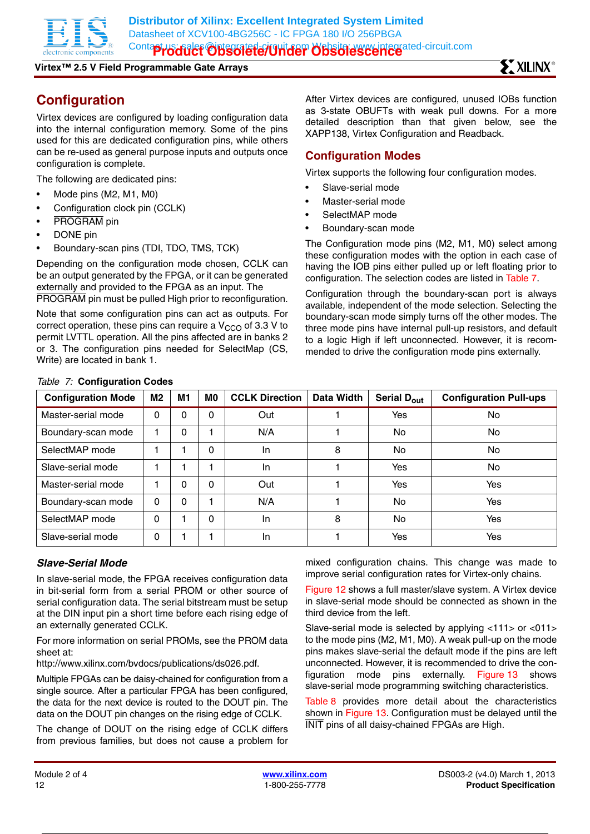

# **Configuration**

Virtex devices are configured by loading configuration data into the internal configuration memory. Some of the pins used for this are dedicated configuration pins, while others can be re-used as general purpose inputs and outputs once configuration is complete.

The following are dedicated pins:

- Mode pins (M2, M1, M0)
- Configuration clock pin (CCLK)
- PROGRAM pin
- DONE pin
- Boundary-scan pins (TDI, TDO, TMS, TCK)

Depending on the configuration mode chosen, CCLK can be an output generated by the FPGA, or it can be generated externally and provided to the FPGA as an input. The PROGRAM pin must be pulled High prior to reconfiguration.

Note that some configuration pins can act as outputs. For correct operation, these pins can require a  $V_{CCO}$  of 3.3 V to permit LVTTL operation. All the pins affected are in banks 2 or 3. The configuration pins needed for SelectMap (CS, Write) are located in bank 1.

After Virtex devices are configured, unused IOBs function as 3-state OBUFTs with weak pull downs. For a more detailed description than that given below, see the XAPP138, Virtex Configuration and Readback.

## **Configuration Modes**

Virtex supports the following four configuration modes.

- Slave-serial mode
- Master-serial mode
- SelectMAP mode
- Boundary-scan mode

The Configuration mode pins (M2, M1, M0) select among these configuration modes with the option in each case of having the IOB pins either pulled up or left floating prior to configuration. The selection codes are listed in Table 7.

Configuration through the boundary-scan port is always available, independent of the mode selection. Selecting the boundary-scan mode simply turns off the other modes. The three mode pins have internal pull-up resistors, and default to a logic High if left unconnected. However, it is recommended to drive the configuration mode pins externally.

| <b>Configuration Mode</b> | M <sub>2</sub> | M1 | M0       | <b>CCLK Direction</b> | Data Width | Serial D <sub>out</sub> | <b>Configuration Pull-ups</b> |
|---------------------------|----------------|----|----------|-----------------------|------------|-------------------------|-------------------------------|
| Master-serial mode        | 0              | 0  | $\Omega$ | Out                   |            | Yes                     | No                            |
| Boundary-scan mode        |                | 0  |          | N/A                   |            | No.                     | No                            |
| SelectMAP mode            |                |    | 0        | In.                   | 8          | No.                     | No.                           |
| Slave-serial mode         |                |    |          | In                    |            | Yes                     | No                            |
| Master-serial mode        |                | 0  | $\Omega$ | Out                   |            | Yes                     | Yes                           |
| Boundary-scan mode        | $\Omega$       | 0  |          | N/A                   |            | No.                     | Yes                           |
| SelectMAP mode            | 0              |    | 0        | In                    | 8          | No.                     | Yes                           |
| Slave-serial mode         | 0              |    |          | In.                   |            | Yes                     | Yes                           |

*Table 7:* **Configuration Codes**

## *Slave-Serial Mode*

In slave-serial mode, the FPGA receives configuration data in bit-serial form from a serial PROM or other source of serial configuration data. The serial bitstream must be setup at the DIN input pin a short time before each rising edge of an externally generated CCLK.

For more information on serial PROMs, see the PROM data sheet at:

http://www.xilinx.com/bvdocs/publications/ds026.pdf.

Multiple FPGAs can be daisy-chained for configuration from a single source. After a particular FPGA has been configured, the data for the next device is routed to the DOUT pin. The data on the DOUT pin changes on the rising edge of CCLK.

The change of DOUT on the rising edge of CCLK differs from previous families, but does not cause a problem for mixed configuration chains. This change was made to improve serial configuration rates for Virtex-only chains.

Figure 12 shows a full master/slave system. A Virtex device in slave-serial mode should be connected as shown in the third device from the left.

Slave-serial mode is selected by applying <111> or <011> to the mode pins (M2, M1, M0). A weak pull-up on the mode pins makes slave-serial the default mode if the pins are left unconnected. However, it is recommended to drive the configuration mode pins externally. Figure 13 shows slave-serial mode programming switching characteristics.

Table 8 provides more detail about the characteristics shown in Figure 13. Configuration must be delayed until the INIT pins of all daisy-chained FPGAs are High.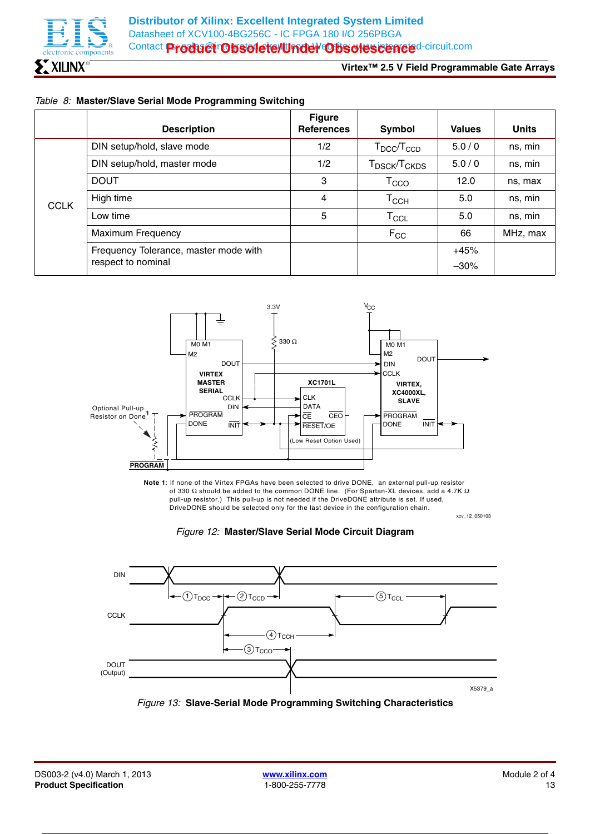

#### *Table 8:* **Master/Slave Serial Mode Programming Switching**

|             | <b>Description</b>                    | <b>Figure</b><br><b>References</b> | Symbol                               | <b>Values</b> | <b>Units</b> |
|-------------|---------------------------------------|------------------------------------|--------------------------------------|---------------|--------------|
| <b>CCLK</b> | DIN setup/hold, slave mode            | 1/2                                | $T_{\text{DCC}}$ $T_{\text{CCD}}$    | 5.0/0         | ns, min      |
|             | DIN setup/hold, master mode           | 1/2                                | T <sub>DSCK</sub> /T <sub>CKDS</sub> | 5.0/0         | ns, min      |
|             | <b>DOUT</b>                           | 3                                  | $\mathsf{T}_{\text{CCO}}$            | 12.0          | ns, max      |
|             | High time                             | 4                                  | Т $_{\rm CCH}$                       | 5.0           | ns, min      |
|             | Low time                              | 5                                  | $\mathsf{T}_{\textsf{CCL}}$          | 5.0           | ns, min      |
|             | Maximum Frequency                     |                                    | <b>F<sub>cc</sub></b>                | 66            | MHz, max     |
|             | Frequency Tolerance, master mode with |                                    |                                      | $+45%$        |              |
|             | respect to nominal                    |                                    |                                      | $-30%$        |              |



xcv\_12\_050103 **Note 1**: If none of the Virtex FPGAs have been selected to drive DONE, an external pull-up resistor of 330  $Ω$  should be added to the common DONE line. (For Spartan-XL devices, add a 4.7K  $Ω$  pull-up resistor.) This pull-up is not needed if the DriveDONE attribute is set. If used, DriveDONE should be selected only for the last device in the configuration chain.





*Figure 13:* **Slave-Serial Mode Programming Switching Characteristics**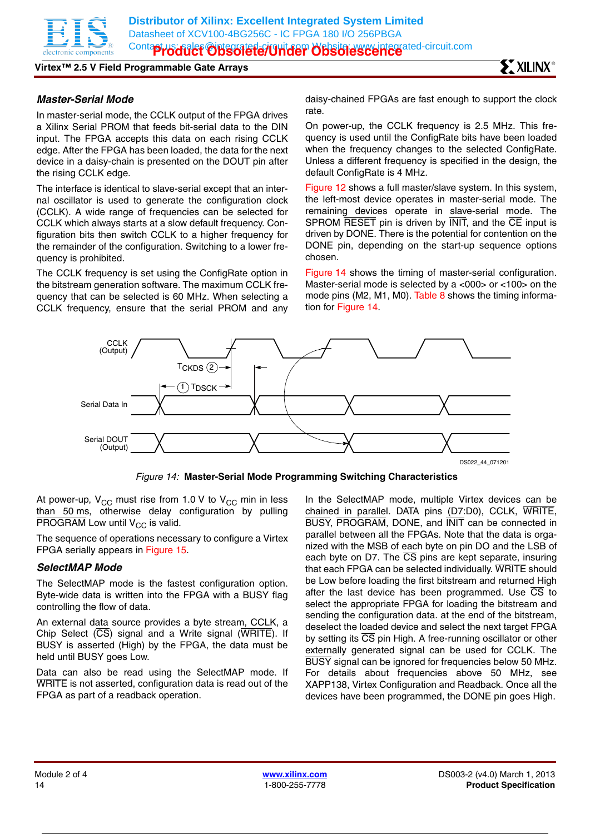

#### *Master-Serial Mode*

In master-serial mode, the CCLK output of the FPGA drives a Xilinx Serial PROM that feeds bit-serial data to the DIN input. The FPGA accepts this data on each rising CCLK edge. After the FPGA has been loaded, the data for the next device in a daisy-chain is presented on the DOUT pin after the rising CCLK edge.

The interface is identical to slave-serial except that an internal oscillator is used to generate the configuration clock (CCLK). A wide range of frequencies can be selected for CCLK which always starts at a slow default frequency. Configuration bits then switch CCLK to a higher frequency for the remainder of the configuration. Switching to a lower frequency is prohibited.

The CCLK frequency is set using the ConfigRate option in the bitstream generation software. The maximum CCLK frequency that can be selected is 60 MHz. When selecting a CCLK frequency, ensure that the serial PROM and any

daisy-chained FPGAs are fast enough to support the clock rate.

On power-up, the CCLK frequency is 2.5 MHz. This frequency is used until the ConfigRate bits have been loaded when the frequency changes to the selected ConfigRate. Unless a different frequency is specified in the design, the default ConfigRate is 4 MHz.

Figure 12 shows a full master/slave system. In this system, the left-most device operates in master-serial mode. The remaining devices operate in slave-serial mode. The SPROM RESET pin is driven by INIT, and the CE input is driven by DONE. There is the potential for contention on the DONE pin, depending on the start-up sequence options chosen.

Figure 14 shows the timing of master-serial configuration. Master-serial mode is selected by a <000> or <100> on the mode pins (M2, M1, M0). Table 8 shows the timing information for Figure 14.



*Figure 14:* **Master-Serial Mode Programming Switching Characteristics**

At power-up,  $V_{CC}$  must rise from 1.0 V to  $V_{CC}$  min in less than 50 ms, otherwise delay configuration by pulling PROGRAM Low until  $V_{CC}$  is valid.

The sequence of operations necessary to configure a Virtex FPGA serially appears in Figure 15.

#### *SelectMAP Mode*

The SelectMAP mode is the fastest configuration option. Byte-wide data is written into the FPGA with a BUSY flag controlling the flow of data.

An external data source provides a byte stream, CCLK, a Chip Select  $(\overline{CS})$  signal and a Write signal  $(\overline{WRITE})$ . If BUSY is asserted (High) by the FPGA, the data must be held until BUSY goes Low.

Data can also be read using the SelectMAP mode. If WRITE is not asserted, configuration data is read out of the FPGA as part of a readback operation.

In the SelectMAP mode, multiple Virtex devices can be chained in parallel. DATA pins (D7:D0), CCLK, WRITE, BUSY, PROGRAM, DONE, and INIT can be connected in parallel between all the FPGAs. Note that the data is organized with the MSB of each byte on pin DO and the LSB of each byte on D7. The  $\overline{CS}$  pins are kept separate, insuring that each FPGA can be selected individually. WRITE should be Low before loading the first bitstream and returned High after the last device has been programmed. Use  $\overline{\text{CS}}$  to select the appropriate FPGA for loading the bitstream and sending the configuration data. at the end of the bitstream, deselect the loaded device and select the next target FPGA by setting its CS pin High. A free-running oscillator or other externally generated signal can be used for CCLK. The BUSY signal can be ignored for frequencies below 50 MHz. For details about frequencies above 50 MHz, see XAPP138, Virtex Configuration and Readback. Once all the devices have been programmed, the DONE pin goes High.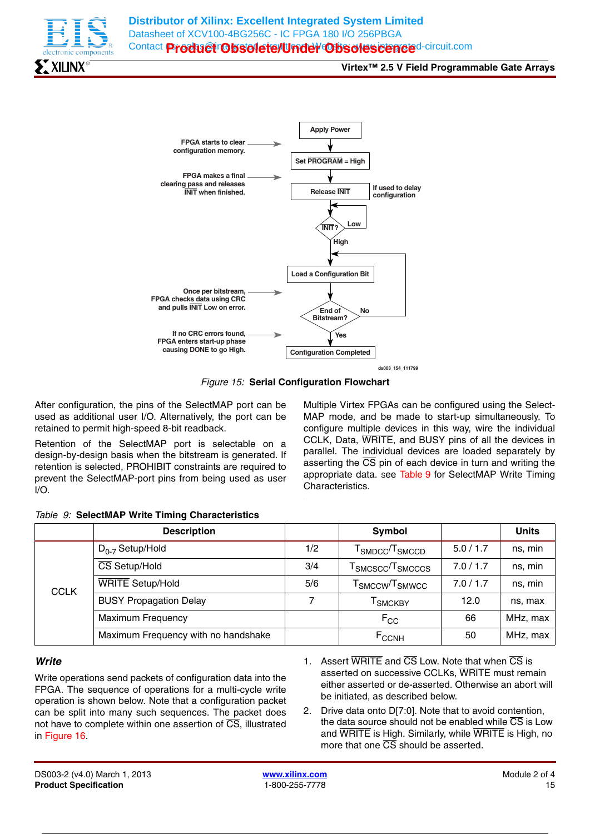



**ds003\_154\_111799**

*Figure 15:* **Serial Configuration Flowchart**

After configuration, the pins of the SelectMAP port can be used as additional user I/O. Alternatively, the port can be retained to permit high-speed 8-bit readback.

Retention of the SelectMAP port is selectable on a design-by-design basis when the bitstream is generated. If retention is selected, PROHIBIT constraints are required to prevent the SelectMAP-port pins from being used as user I/O.

Multiple Virtex FPGAs can be configured using the Select-MAP mode, and be made to start-up simultaneously. To configure multiple devices in this way, wire the individual CCLK, Data, WRITE, and BUSY pins of all the devices in parallel. The individual devices are loaded separately by asserting the  $\overline{CS}$  pin of each device in turn and writing the appropriate data. See Table 9 for SelectMAP Write Timing Characteristics.

|  |  |  |  |  | Table 9: SelectMAP Write Timing Characteristics |
|--|--|--|--|--|-------------------------------------------------|
|--|--|--|--|--|-------------------------------------------------|

|             | <b>Description</b>                  |     | Symbol                                                                    |           | <b>Units</b> |
|-------------|-------------------------------------|-----|---------------------------------------------------------------------------|-----------|--------------|
| <b>CCLK</b> | $D_{0-7}$ Setup/Hold                | 1/2 | $T_{\rm SMDCC}/T_{\rm SMCCD}$                                             | 5.0/1.7   | ns, min      |
|             | $\overline{\text{CS}}$ Setup/Hold   | 3/4 | $\mathsf{\Gamma}_{\mathsf{SMCSCC}}$ / $\mathsf{\Gamma}_{\mathsf{SMCCCS}}$ | 7.0/1.7   | ns, min      |
|             | <b>WRITE</b> Setup/Hold             | 5/6 | ${\sf T}_{\mathsf{SMCCW}}$ / ${\sf T}_{\mathsf{SMWCC}}$                   | 7.0 / 1.7 | ns, min      |
|             | <b>BUSY Propagation Delay</b>       |     | <b>T</b> SMCKBY                                                           | 12.0      | ns, max      |
|             | <b>Maximum Frequency</b>            |     | F <sub>cc</sub>                                                           | 66        | MHz, max     |
|             | Maximum Frequency with no handshake |     | $F_{CCNH}$                                                                | 50        | MHz, max     |

#### *Write*

Write operations send packets of configuration data into the FPGA. The sequence of operations for a multi-cycle write operation is shown below. Note that a configuration packet can be split into many such sequences. The packet does not have to complete within one assertion of  $\overline{CS}$ , illustrated in Figure 16.

- 1. Assert  $\overline{\text{WRITE}}$  and  $\overline{\text{CS}}$  Low. Note that when  $\overline{\text{CS}}$  is asserted on successive CCLKs, WRITE must remain either asserted or de-asserted. Otherwise an abort will be initiated, as described below.
- 2. Drive data onto D[7:0]. Note that to avoid contention, the data source should not be enabled while  $\overline{\text{CS}}$  is Low and WRITE is High. Similarly, while WRITE is High, no more that one  $\overline{CS}$  should be asserted.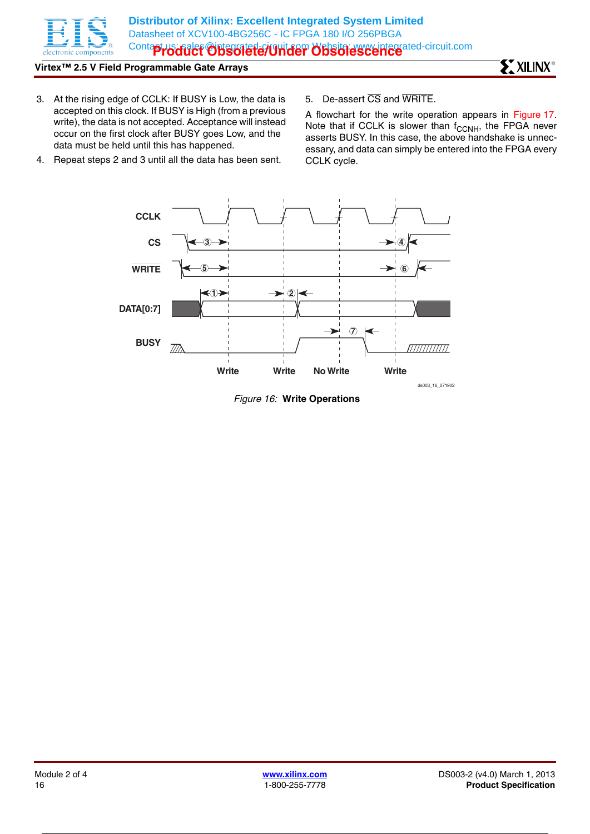

3. At the rising edge of CCLK: If BUSY is Low, the data is accepted on this clock. If BUSY is High (from a previous write), the data is not accepted. Acceptance will instead occur on the first clock after BUSY goes Low, and the data must be held until this has happened.

4. Repeat steps 2 and 3 until all the data has been sent.

5. De-assert CS and WRITE.

A flowchart for the write operation appears in Figure 17. Note that if CCLK is slower than  $f_{\text{CCNH}}$ , the FPGA never asserts BUSY. In this case, the above handshake is unnecessary, and data can simply be entered into the FPGA every CCLK cycle.

**CCLK CS 3 4 WRITE 5 6**  $\leftarrow$  **2 DATA[0:7] 7 BUSY**  $\mathbb{Z}/\mathbb{Z}$ *MMMMM* **Write Write No Write Write** ds003\_16\_071902

*Figure 16:* **Write Operations**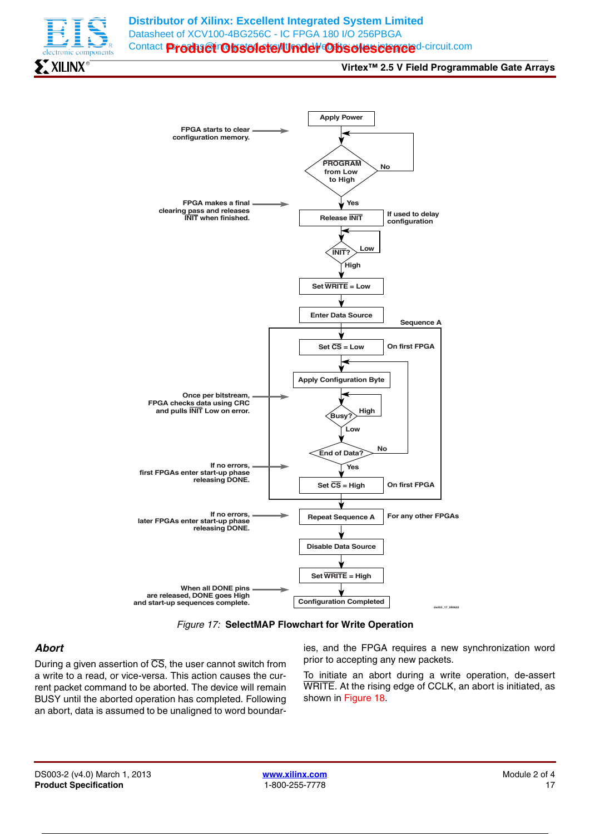



*Figure 17:* **SelectMAP Flowchart for Write Operation**

## *Abort*

During a given assertion of  $\overline{CS}$ , the user cannot switch from a write to a read, or vice-versa. This action causes the current packet command to be aborted. The device will remain BUSY until the aborted operation has completed. Following an abort, data is assumed to be unaligned to word boundaries, and the FPGA requires a new synchronization word prior to accepting any new packets.

To initiate an abort during a write operation, de-assert WRITE. At the rising edge of CCLK, an abort is initiated, as shown in Figure 18.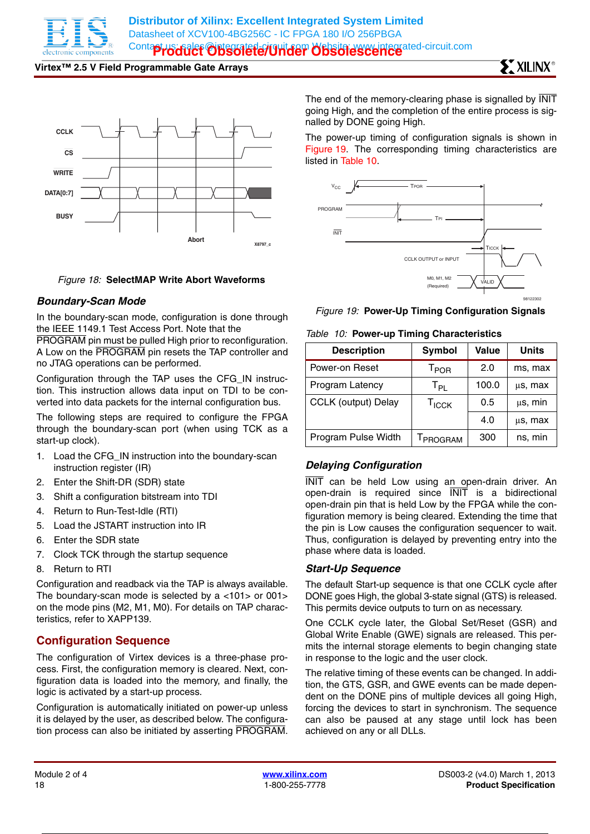

Virtex<sup>™</sup> 2.5 V Field Programmable Gate Arrays **All Access Programmable Gate Arrays** Research Array Research Array Research Array Research Array Research Array Research Array Research Array Research Array Research Array R



*Figure 18:* **SelectMAP Write Abort Waveforms**

#### *Boundary-Scan Mode*

In the boundary-scan mode, configuration is done through the IEEE 1149.1 Test Access Port. Note that the

PROGRAM pin must be pulled High prior to reconfiguration. A Low on the PROGRAM pin resets the TAP controller and no JTAG operations can be performed.

Configuration through the TAP uses the CFG\_IN instruction. This instruction allows data input on TDI to be converted into data packets for the internal configuration bus.

The following steps are required to configure the FPGA through the boundary-scan port (when using TCK as a start-up clock).

- 1. Load the CFG\_IN instruction into the boundary-scan instruction register (IR)
- 2. Enter the Shift-DR (SDR) state
- 3. Shift a configuration bitstream into TDI
- 4. Return to Run-Test-Idle (RTI)
- 5. Load the JSTART instruction into IR
- 6. Enter the SDR state
- 7. Clock TCK through the startup sequence
- 8. Return to RTI

Configuration and readback via the TAP is always available. The boundary-scan mode is selected by a <101> or 001> on the mode pins (M2, M1, M0). For details on TAP characteristics, refer to XAPP139.

## **Configuration Sequence**

The configuration of Virtex devices is a three-phase process. First, the configuration memory is cleared. Next, configuration data is loaded into the memory, and finally, the logic is activated by a start-up process.

Configuration is automatically initiated on power-up unless it is delayed by the user, as described below. The configuration process can also be initiated by asserting PROGRAM. The end of the memory-clearing phase is signalled by **INIT** going High, and the completion of the entire process is signalled by DONE going High.

The power-up timing of configuration signals is shown in Figure 19. The corresponding timing characteristics are listed in Table 10.



*Figure 19:* **Power-Up Timing Configuration Signals**

#### *Table 10:* **Power-up Timing Characteristics**

| <b>Description</b>         | Symbol                      | Value | <b>Units</b> |
|----------------------------|-----------------------------|-------|--------------|
| Power-on Reset             | $\mathsf{T}_{\mathsf{POR}}$ | 2.0   | ms, max      |
| Program Latency            | T <sub>PI</sub>             | 100.0 | us, max      |
| <b>CCLK (output) Delay</b> | T <sub>ICCK</sub>           | 0.5   | $\mu$ s, min |
|                            |                             | 4.0   | us, max      |
| Program Pulse Width        | <b>I</b> PROGRAM            | 300   | ns, min      |

## *Delaying Configuration*

INIT can be held Low using an open-drain driver. An open-drain is required since INIT is a bidirectional open-drain pin that is held Low by the FPGA while the configuration memory is being cleared. Extending the time that the pin is Low causes the configuration sequencer to wait. Thus, configuration is delayed by preventing entry into the phase where data is loaded.

#### *Start-Up Sequence*

The default Start-up sequence is that one CCLK cycle after DONE goes High, the global 3-state signal (GTS) is released. This permits device outputs to turn on as necessary.

One CCLK cycle later, the Global Set/Reset (GSR) and Global Write Enable (GWE) signals are released. This permits the internal storage elements to begin changing state in response to the logic and the user clock.

The relative timing of these events can be changed. In addition, the GTS, GSR, and GWE events can be made dependent on the DONE pins of multiple devices all going High, forcing the devices to start in synchronism. The sequence can also be paused at any stage until lock has been achieved on any or all DLLs.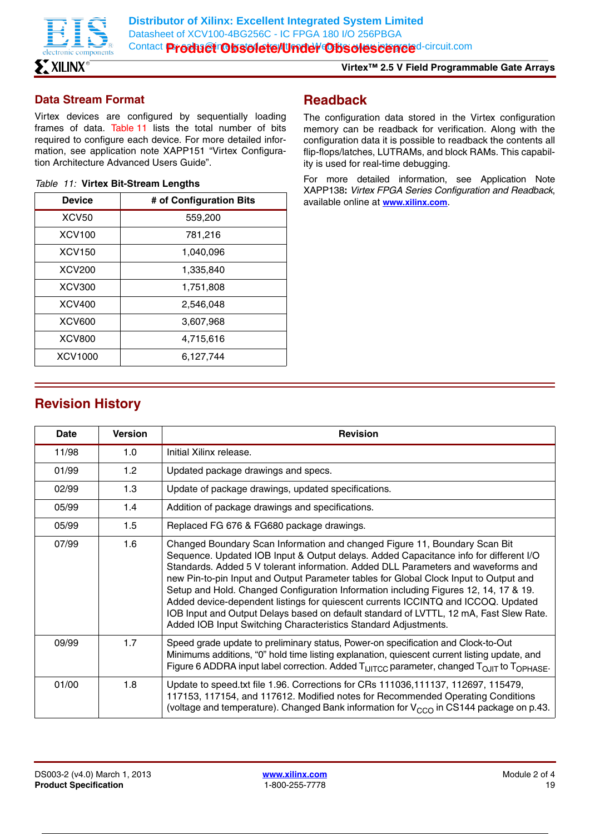

## **Data Stream Format**

Virtex devices are configured by sequentially loading frames of data. Table 11 lists the total number of bits required to configure each device. For more detailed information, see application note XAPP151 "Virtex Configuration Architecture Advanced Users Guide".

|  |  |  | Table 11: Virtex Bit-Stream Lengths |  |
|--|--|--|-------------------------------------|--|
|--|--|--|-------------------------------------|--|

| <b>Device</b>     | # of Configuration Bits |
|-------------------|-------------------------|
| XCV <sub>50</sub> | 559,200                 |
| <b>XCV100</b>     | 781,216                 |
| <b>XCV150</b>     | 1,040,096               |
| XCV200            | 1,335,840               |
| <b>XCV300</b>     | 1,751,808               |
| <b>XCV400</b>     | 2,546,048               |
| <b>XCV600</b>     | 3,607,968               |
| <b>XCV800</b>     | 4,715,616               |
| XCV1000           | 6,127,744               |

## **Readback**

The configuration data stored in the Virtex configuration memory can be readback for verification. Along with the configuration data it is possible to readback the contents all flip-flops/latches, LUTRAMs, and block RAMs. This capability is used for real-time debugging.

For more detailed information, see Application Note XAPP138**:** *Virtex FPGA Series Configuration and Readback*, available online at **www.xilinx.com**.

## **Revision History**

| <b>Date</b> | <b>Version</b>   | <b>Revision</b>                                                                                                                                                                                                                                                                                                                                                                                                                                                                                                                                                                                                                                                                             |
|-------------|------------------|---------------------------------------------------------------------------------------------------------------------------------------------------------------------------------------------------------------------------------------------------------------------------------------------------------------------------------------------------------------------------------------------------------------------------------------------------------------------------------------------------------------------------------------------------------------------------------------------------------------------------------------------------------------------------------------------|
| 11/98       | 1.0              | Initial Xilinx release.                                                                                                                                                                                                                                                                                                                                                                                                                                                                                                                                                                                                                                                                     |
| 01/99       | 1.2 <sub>2</sub> | Updated package drawings and specs.                                                                                                                                                                                                                                                                                                                                                                                                                                                                                                                                                                                                                                                         |
| 02/99       | 1.3              | Update of package drawings, updated specifications.                                                                                                                                                                                                                                                                                                                                                                                                                                                                                                                                                                                                                                         |
| 05/99       | 1.4              | Addition of package drawings and specifications.                                                                                                                                                                                                                                                                                                                                                                                                                                                                                                                                                                                                                                            |
| 05/99       | 1.5              | Replaced FG 676 & FG680 package drawings.                                                                                                                                                                                                                                                                                                                                                                                                                                                                                                                                                                                                                                                   |
| 07/99       | 1.6              | Changed Boundary Scan Information and changed Figure 11, Boundary Scan Bit<br>Sequence. Updated IOB Input & Output delays. Added Capacitance info for different I/O<br>Standards. Added 5 V tolerant information. Added DLL Parameters and waveforms and<br>new Pin-to-pin Input and Output Parameter tables for Global Clock Input to Output and<br>Setup and Hold. Changed Configuration Information including Figures 12, 14, 17 & 19.<br>Added device-dependent listings for quiescent currents ICCINTQ and ICCOQ. Updated<br>IOB Input and Output Delays based on default standard of LVTTL, 12 mA, Fast Slew Rate.<br>Added IOB Input Switching Characteristics Standard Adjustments. |
| 09/99       | 1.7              | Speed grade update to preliminary status, Power-on specification and Clock-to-Out<br>Minimums additions, "0" hold time listing explanation, quiescent current listing update, and<br>Figure 6 ADDRA input label correction. Added T <sub>IJITCC</sub> parameter, changed T <sub>OJIT</sub> to T <sub>OPHASE</sub> .                                                                                                                                                                                                                                                                                                                                                                         |
| 01/00       | 1.8              | Update to speed.txt file 1.96. Corrections for CRs 111036,111137, 112697, 115479,<br>117153, 117154, and 117612. Modified notes for Recommended Operating Conditions<br>(voltage and temperature). Changed Bank information for $V_{CCO}$ in CS144 package on p.43.                                                                                                                                                                                                                                                                                                                                                                                                                         |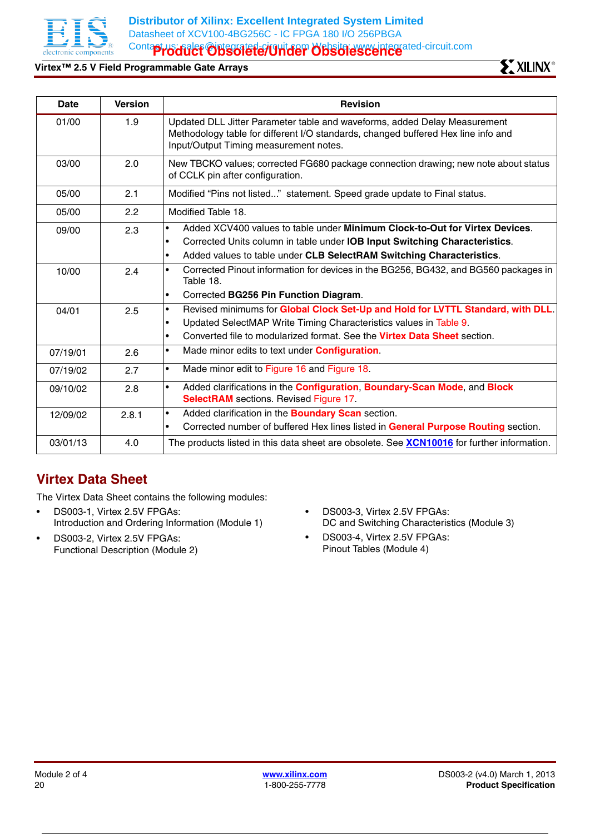

## Virtex<sup>™</sup> 2.5 V Field Programmable Gate Arrays **Research Control of Arrays** XILINX<sup>®</sup>

| <b>Date</b> | <b>Version</b> | <b>Revision</b>                                                                                                                                                                                                                                                          |
|-------------|----------------|--------------------------------------------------------------------------------------------------------------------------------------------------------------------------------------------------------------------------------------------------------------------------|
| 01/00       | 1.9            | Updated DLL Jitter Parameter table and waveforms, added Delay Measurement<br>Methodology table for different I/O standards, changed buffered Hex line info and<br>Input/Output Timing measurement notes.                                                                 |
| 03/00       | 2.0            | New TBCKO values; corrected FG680 package connection drawing; new note about status<br>of CCLK pin after configuration.                                                                                                                                                  |
| 05/00       | 2.1            | Modified "Pins not listed" statement. Speed grade update to Final status.                                                                                                                                                                                                |
| 05/00       | 2.2            | Modified Table 18.                                                                                                                                                                                                                                                       |
| 09/00       | 2.3            | Added XCV400 values to table under Minimum Clock-to-Out for Virtex Devices.<br>$\bullet$<br>Corrected Units column in table under IOB Input Switching Characteristics.<br>$\bullet$<br>Added values to table under CLB SelectRAM Switching Characteristics.<br>$\bullet$ |
| 10/00       | 2.4            | Corrected Pinout information for devices in the BG256, BG432, and BG560 packages in<br>$\bullet$<br>Table 18.<br>Corrected BG256 Pin Function Diagram.<br>$\bullet$                                                                                                      |
| 04/01       | 2.5            | Revised minimums for Global Clock Set-Up and Hold for LVTTL Standard, with DLL.<br>$\bullet$<br>Updated SelectMAP Write Timing Characteristics values in Table 9.<br>$\bullet$<br>Converted file to modularized format. See the Virtex Data Sheet section.<br>$\bullet$  |
| 07/19/01    | 2.6            | Made minor edits to text under <b>Configuration</b> .<br>$\bullet$                                                                                                                                                                                                       |
| 07/19/02    | 2.7            | Made minor edit to Figure 16 and Figure 18.<br>$\bullet$                                                                                                                                                                                                                 |
| 09/10/02    | 2.8            | Added clarifications in the Configuration, Boundary-Scan Mode, and Block<br>$\bullet$<br><b>SelectRAM</b> sections. Revised Figure 17.                                                                                                                                   |
| 12/09/02    | 2.8.1          | Added clarification in the <b>Boundary Scan</b> section.<br>$\bullet$<br>Corrected number of buffered Hex lines listed in General Purpose Routing section.<br>$\bullet$                                                                                                  |
| 03/01/13    | 4.0            | The products listed in this data sheet are obsolete. See <b>XCN10016</b> for further information.                                                                                                                                                                        |

# **Virtex Data Sheet**

The Virtex Data Sheet contains the following modules:

- DS003-1, Virtex 2.5V FPGAs: Introduction and Ordering Information (Module 1)
- DS003-2, Virtex 2.5V FPGAs: Functional Description (Module 2)
- DS003-3, Virtex 2.5V FPGAs: DC and Switching Characteristics (Module 3)
- DS003-4, Virtex 2.5V FPGAs: Pinout Tables (Module 4)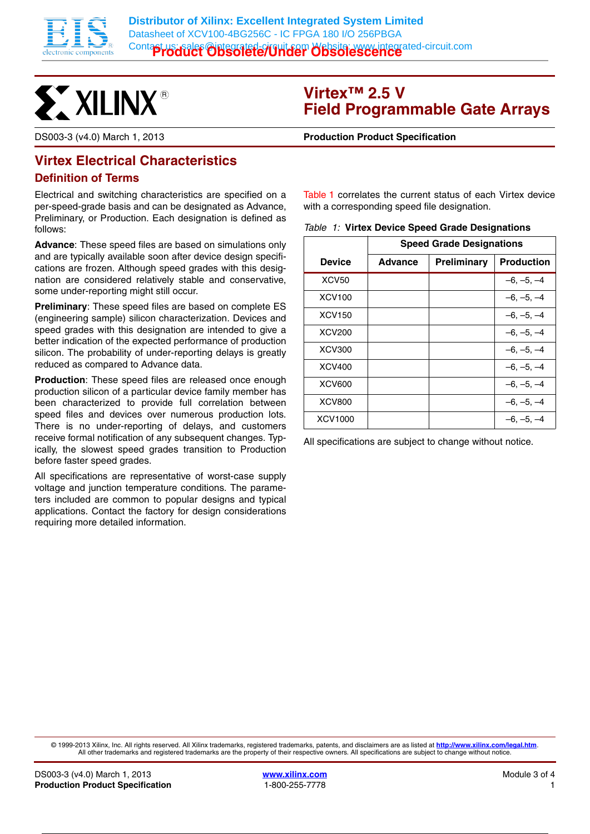



DS003-3 (v4.0) March 1, 2013 **0 0 Production Product Specification**

# **Virtex Electrical Characteristics**

## **Definition of Terms**

Electrical and switching characteristics are specified on a per-speed-grade basis and can be designated as Advance, Preliminary, or Production. Each designation is defined as follows:

**Advance**: These speed files are based on simulations only and are typically available soon after device design specifications are frozen. Although speed grades with this designation are considered relatively stable and conservative, some under-reporting might still occur.

**Preliminary**: These speed files are based on complete ES (engineering sample) silicon characterization. Devices and speed grades with this designation are intended to give a better indication of the expected performance of production silicon. The probability of under-reporting delays is greatly reduced as compared to Advance data.

**Production**: These speed files are released once enough production silicon of a particular device family member has been characterized to provide full correlation between speed files and devices over numerous production lots. There is no under-reporting of delays, and customers receive formal notification of any subsequent changes. Typically, the slowest speed grades transition to Production before faster speed grades.

All specifications are representative of worst-case supply voltage and junction temperature conditions. The parameters included are common to popular designs and typical applications. Contact the factory for design considerations requiring more detailed information.

Table 1 correlates the current status of each Virtex device with a corresponding speed file designation.

|  |  | Table 1: Virtex Device Speed Grade Designations |  |  |
|--|--|-------------------------------------------------|--|--|
|--|--|-------------------------------------------------|--|--|

|                   | <b>Speed Grade Designations</b> |             |                   |  |  |  |
|-------------------|---------------------------------|-------------|-------------------|--|--|--|
| <b>Device</b>     | <b>Advance</b>                  | Preliminary | <b>Production</b> |  |  |  |
| XCV <sub>50</sub> |                                 |             | $-6, -5, -4$      |  |  |  |
| <b>XCV100</b>     |                                 |             | $-6, -5, -4$      |  |  |  |
| <b>XCV150</b>     |                                 |             | $-6, -5, -4$      |  |  |  |
| XCV200            |                                 |             | $-6, -5, -4$      |  |  |  |
| <b>XCV300</b>     |                                 |             | $-6, -5, -4$      |  |  |  |
| XCV400            |                                 |             | $-6, -5, -4$      |  |  |  |
| <b>XCV600</b>     |                                 |             | $-6, -5, -4$      |  |  |  |
| <b>XCV800</b>     |                                 |             | $-6, -5, -4$      |  |  |  |
| XCV1000           |                                 |             | $-6, -5, -4$      |  |  |  |

All specifications are subject to change without notice.

© 1999-2013 Xilinx, Inc. All rights reserved. All Xilinx trademarks, registered trademarks, patents, and disclaimers are as listed at **http://www.xilinx.com/legal.htm**. All other trademarks and registered trademarks are the property of their respective owners. All specifications are subject to change without notice.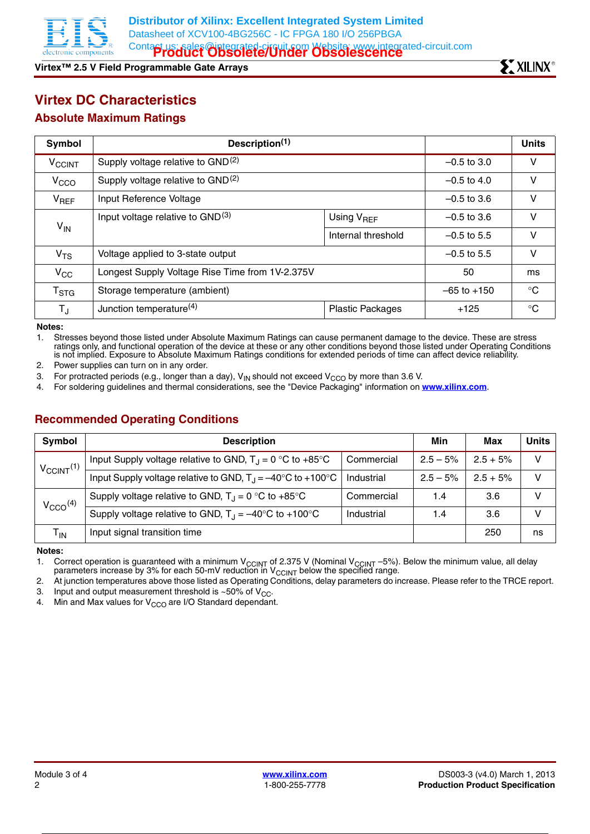

# **Virtex DC Characteristics**

## **Absolute Maximum Ratings**

| Symbol                   | Description <sup>(1)</sup>                      |                         |               | <b>Units</b> |
|--------------------------|-------------------------------------------------|-------------------------|---------------|--------------|
| <b>V<sub>CCINT</sub></b> | Supply voltage relative to GND <sup>(2)</sup>   |                         | $-0.5$ to 3.0 | V            |
| V <sub>CCO</sub>         | Supply voltage relative to GND <sup>(2)</sup>   |                         | $-0.5$ to 4.0 | V            |
| $V_{REF}$                | Input Reference Voltage                         | $-0.5$ to 3.6           | V             |              |
|                          | Input voltage relative to GND(3)                | Using $V_{REF}$         | $-0.5$ to 3.6 | v            |
| $V_{IN}$                 |                                                 | Internal threshold      | $-0.5$ to 5.5 | v            |
| V <sub>TS</sub>          | Voltage applied to 3-state output               |                         | $-0.5$ to 5.5 | V            |
| $V_{\rm CC}$             | Longest Supply Voltage Rise Time from 1V-2.375V |                         | 50            | ms           |
| $T_{\mathrm{STG}}$       | Storage temperature (ambient)                   | $-65$ to $+150$         | $^{\circ}$ C  |              |
| TJ                       | Junction temperature <sup>(4)</sup>             | <b>Plastic Packages</b> | $+125$        | $^{\circ}$ C |

**Notes:** 

1. Stresses beyond those listed under Absolute Maximum Ratings can cause permanent damage to the device. These are stress ratings only, and functional operation of the device at these or any other conditions beyond those listed under Operating Conditions is not implied. Exposure to Absolute Maximum Ratings conditions for extended periods of time can affect device reliability.

2. Power supplies can turn on in any order.

3. For protracted periods (e.g., longer than a day),  $V_{\text{IN}}$  should not exceed  $V_{\text{CCO}}$  by more than 3.6 V.<br>4. For soldering quidelines and thermal considerations, see the "Device Packaging" information on t

4. For soldering guidelines and thermal considerations, see the "Device Packaging" information on **www.xilinx.com**.

# Symbol **produce the Construction Construction** of the Min Max Units V<sub>CCINT</sub><sup>(1)</sup> Input Supply voltage relative to GND,  $T_J = 0$  °C to +85°C Commercial 2.5 – 5% 2.5 + 5% V<br>Input Supply voltage relative to GND,  $T_J = -40$ °C to +100°C Industrial 2.5 – 5% 2.5 + 5% V Input Supply voltage relative to GND,  $T_J = -40^\circ \text{C}$  to +100°C  $V_{\text{CCO}}^{(4)}$  Supply voltage relative to GND,  $T_J = 0$  °C to +85°C Commercial 1.4 3.6 V<br>Supply voltage relative to GND,  $T_J = -40$ °C to +100°C Industrial 1.4 3.6 V Supply voltage relative to GND,  $T_{\rm J} = -40^{\circ}$ C to +100°C  ${\sf T}_{\sf IN}$  Input signal transition time the contract of the contract of the contract of the contract of the contract of the contract of the contract of the contract of the contract of the contract of the contract of the c

**Recommended Operating Conditions** 

**Notes:** 

1. Correct operation is guaranteed with a minimum  $V_{CClNT}$  of 2.375 V (Nominal V<sub>CCINT</sub> –5%). Below the minimum value, all delay parameters increase by 3% for each 50-mV reduction in V $_{\rm CCINT}$  below the specified range.

2. At junction temperatures above those listed as Operating Conditions, delay parameters do increase. Please refer to the TRCE report.

3. Input and output measurement threshold is  $~50\%$  of V<sub>CC</sub>.<br>4. Min and Max values for V<sub>CCO</sub> are I/O Standard dependant

Min and Max values for  $V_{CCO}$  are I/O Standard dependant.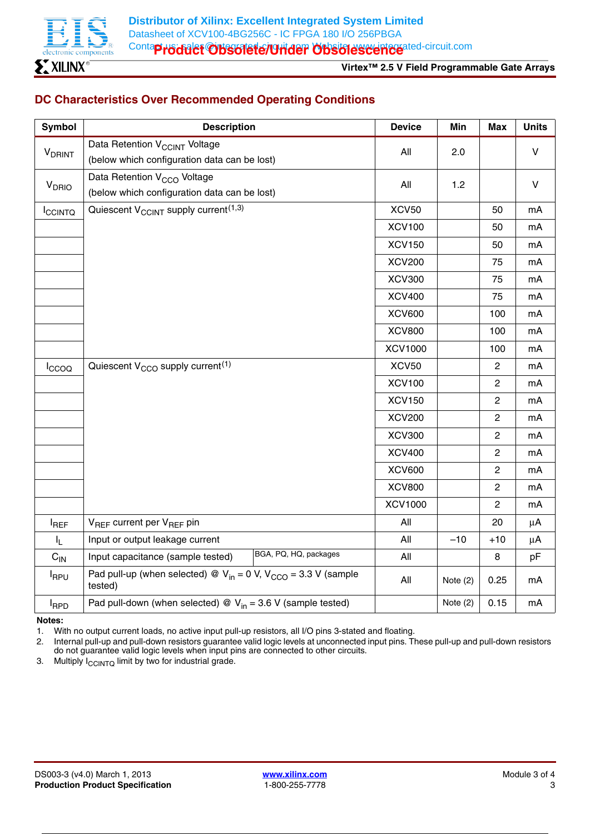

## **DC Characteristics Over Recommended Operating Conditions**

| <b>Symbol</b>            |                                                                                           | <b>Description</b>    |                | Min   | <b>Max</b>     | <b>Units</b> |
|--------------------------|-------------------------------------------------------------------------------------------|-----------------------|----------------|-------|----------------|--------------|
| <b>V<sub>DRINT</sub></b> | Data Retention V <sub>CCINT</sub> Voltage<br>(below which configuration data can be lost) |                       | All            | 2.0   |                | $\vee$       |
| V <sub>DRIO</sub>        | Data Retention V <sub>CCO</sub> Voltage<br>(below which configuration data can be lost)   |                       | All            | 1.2   |                | $\mathsf{V}$ |
| <b>I</b> CCINTQ          | Quiescent V <sub>CCINT</sub> supply current <sup>(1,3)</sup>                              | <b>XCV50</b>          |                | 50    | mA             |              |
|                          |                                                                                           |                       | <b>XCV100</b>  |       | 50             | mA           |
|                          |                                                                                           |                       | <b>XCV150</b>  |       | 50             | mA           |
|                          |                                                                                           | <b>XCV200</b>         |                | 75    | mA             |              |
|                          |                                                                                           |                       | <b>XCV300</b>  |       | 75             | mA           |
|                          |                                                                                           |                       | <b>XCV400</b>  |       | 75             | mA           |
|                          |                                                                                           | <b>XCV600</b>         |                | 100   | mA             |              |
|                          |                                                                                           | <b>XCV800</b>         |                | 100   | mA             |              |
|                          |                                                                                           |                       | <b>XCV1000</b> |       | 100            | mA           |
| Iccoo                    | Quiescent $V_{CCO}$ supply current <sup>(1)</sup>                                         |                       | <b>XCV50</b>   |       | $\overline{c}$ | mA           |
|                          |                                                                                           |                       | <b>XCV100</b>  |       | $\overline{c}$ | mA           |
|                          |                                                                                           |                       | <b>XCV150</b>  |       | $\overline{2}$ | mA           |
|                          |                                                                                           |                       | <b>XCV200</b>  |       | $\overline{c}$ | mA           |
|                          |                                                                                           |                       | <b>XCV300</b>  |       | $\overline{c}$ | mA           |
|                          |                                                                                           |                       | <b>XCV400</b>  |       | $\overline{c}$ | mA           |
|                          |                                                                                           |                       | <b>XCV600</b>  |       | $\sqrt{2}$     | mA           |
|                          |                                                                                           |                       | <b>XCV800</b>  |       | $\overline{c}$ | mA           |
|                          |                                                                                           |                       |                |       | $\overline{c}$ | mA           |
| $I_{REF}$                | V <sub>REF</sub> current per V <sub>REF</sub> pin                                         | All                   |                | 20    | $\mu$ A        |              |
| I <sub>L</sub>           | Input or output leakage current                                                           |                       | All            | $-10$ | $+10$          | μA           |
| $C_{IN}$                 | Input capacitance (sample tested)                                                         | BGA, PQ, HQ, packages | All            |       | 8              | pF           |
| <b>I</b> RPU             | Pad pull-up (when selected) @ $V_{in} = 0$ V, $V_{CCO} = 3.3$ V (sample<br>tested)        | All                   | Note $(2)$     | 0.25  | mA             |              |
| <b>I</b> RPD             | Pad pull-down (when selected) @ $V_{in}$ = 3.6 V (sample tested)                          |                       | Note $(2)$     | 0.15  | mA             |              |

#### **Notes:**

1. With no output current loads, no active input pull-up resistors, all I/O pins 3-stated and floating.

2. Internal pull-up and pull-down resistors guarantee valid logic levels at unconnected input pins. These pull-up and pull-down resistors do not guarantee valid logic levels when input pins are connected to other circuits.

3. Multiply  $I_{\text{CCINTQ}}$  limit by two for industrial grade.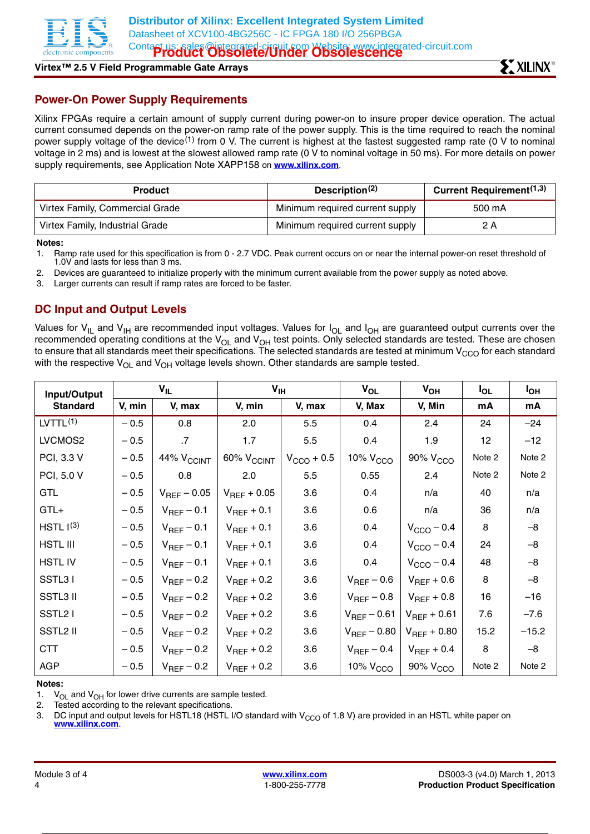

## **Power-On Power Supply Requirements**

Xilinx FPGAs require a certain amount of supply current during power-on to insure proper device operation. The actual current consumed depends on the power-on ramp rate of the power supply. This is the time required to reach the nominal power supply voltage of the device<sup>(1)</sup> from 0 V. The current is highest at the fastest suggested ramp rate (0 V to nominal voltage in 2 ms) and is lowest at the slowest allowed ramp rate (0 V to nominal voltage in 50 ms). For more details on power supply requirements, see Application Note XAPP158 on **www.xilinx.com**.

| <b>Product</b>                  | Description <sup>(2)</sup>      | <b>Current Requirement</b> <sup>(1,3)</sup> |
|---------------------------------|---------------------------------|---------------------------------------------|
| Virtex Family, Commercial Grade | Minimum required current supply | 500 mA                                      |
| Virtex Family, Industrial Grade | Minimum required current supply | 2 A                                         |

**Notes:** 

- 1. Ramp rate used for this specification is from 0 2.7 VDC. Peak current occurs on or near the internal power-on reset threshold of 1.0V and lasts for less than 3 ms.
- 2. Devices are guaranteed to initialize properly with the minimum current available from the power supply as noted above.
- 3. Larger currents can result if ramp rates are forced to be faster.

## **DC Input and Output Levels**

Values for  $V_{IL}$  and  $V_{IH}$  are recommended input voltages. Values for  $I_{OL}$  and  $I_{OH}$  are guaranteed output currents over the recommended operating conditions at the  $V_{OL}$  and  $V_{OH}$  test points. Only selected standards are tested. These are chosen to ensure that all standards meet their specifications. The selected standards are tested at minimum  $V_{CCO}$  for each standard with the respective  $V_{\text{OL}}$  and  $V_{\text{OH}}$  voltage levels shown. Other standards are sample tested.

| Input/Output         |        | $V_{IL}$               | V <sub>IH</sub>            |                        | $V_{OL}$             | $V_{OH}$               | $I_{OL}$ | I <sub>OH</sub> |
|----------------------|--------|------------------------|----------------------------|------------------------|----------------------|------------------------|----------|-----------------|
| <b>Standard</b>      | V, min | V, max                 | V, min                     | V, max                 | V, Max               | V, Min                 | mA       | mA              |
| LVTTL <sup>(1)</sup> | $-0.5$ | 0.8                    | 2.0                        | 5.5                    | 0.4                  | 2.4                    | 24       | $-24$           |
| LVCMOS2              | $-0.5$ | $.7\phantom{0}$        | 1.7                        | 5.5                    | 0.4                  | 1.9                    | 12       | $-12$           |
| PCI, 3.3 V           | $-0.5$ | 44% V <sub>CCINT</sub> | $60\%$ $\rm V_{\rm CCINT}$ | $V_{\text{CCO}} + 0.5$ | 10% V <sub>CCO</sub> | 90% V <sub>CCO</sub>   | Note 2   | Note 2          |
| PCI, 5.0 V           | $-0.5$ | 0.8                    | 2.0                        | 5.5                    | 0.55                 | 2.4                    | Note 2   | Note 2          |
| <b>GTL</b>           | $-0.5$ | $V_{REF}$ – 0.05       | $V_{REF}$ + 0.05           | 3.6                    | 0.4                  | n/a                    | 40       | n/a             |
| $GTL+$               | $-0.5$ | $V_{REF}$ – 0.1        | $V_{REF}$ + 0.1            | 3.6                    | 0.6                  | n/a                    | 36       | n/a             |
| HSTL $I^{(3)}$       | $-0.5$ | $V_{REF}$ – 0.1        | $V_{REF}$ + 0.1            | 3.6                    | 0.4                  | $V_{\text{CCO}}$ – 0.4 | 8        | $-8$            |
| <b>HSTL III</b>      | $-0.5$ | $V_{REF}$ – 0.1        | $V_{REF}$ + 0.1            | 3.6                    | 0.4                  | $V_{\text{CCO}}$ – 0.4 | 24       | $-8$            |
| <b>HSTLIV</b>        | $-0.5$ | $V_{REF}$ – 0.1        | $V_{REF}$ + 0.1            | 3.6                    | 0.4                  | $V_{\text{CCO}} - 0.4$ | 48       | $-8$            |
| SSTL31               | $-0.5$ | $V_{REF}$ – 0.2        | $V_{REF}$ + 0.2            | 3.6                    | $V_{REF}$ – 0.6      | $V_{REF}$ + 0.6        | 8        | $-8$            |
| <b>SSTL3 II</b>      | $-0.5$ | $V_{REF}$ – 0.2        | $V_{REF}$ + 0.2            | 3.6                    | $V_{REF}$ – 0.8      | $V_{REF}$ + 0.8        | 16       | $-16$           |
| SSTL <sub>2</sub> I  | $-0.5$ | $V_{REF}$ – 0.2        | $V_{REF}$ + 0.2            | 3.6                    | $V_{REF}$ – 0.61     | $V_{REF}$ + 0.61       | 7.6      | $-7.6$          |
| SSTL2 II             | $-0.5$ | $V_{REF}$ – 0.2        | $V_{REF}$ + 0.2            | 3.6                    | $V_{REF}$ – 0.80     | $V_{REF}$ + 0.80       | 15.2     | $-15.2$         |
| <b>CTT</b>           | $-0.5$ | $V_{REF}$ – 0.2        | $V_{REF}$ + 0.2            | 3.6                    | $V_{REF}$ – 0.4      | $V_{REF}$ + 0.4        | 8        | $-8$            |
| <b>AGP</b>           | $-0.5$ | $V_{REF}$ – 0.2        | $V_{REF}$ + 0.2            | 3.6                    | 10% $V_{\rm{CCO}}$   | 90% V <sub>CCO</sub>   | Note 2   | Note 2          |

#### **Notes:**

1.  $V_{OL}$  and  $V_{OH}$  for lower drive currents are sample tested.<br>2. Tested according to the relevant specifications

Tested according to the relevant specifications.

3. DC input and output levels for HSTL18 (HSTL I/O standard with  $V_{CCO}$  of 1.8 V) are provided in an HSTL white paper on **www.xilinx.com**.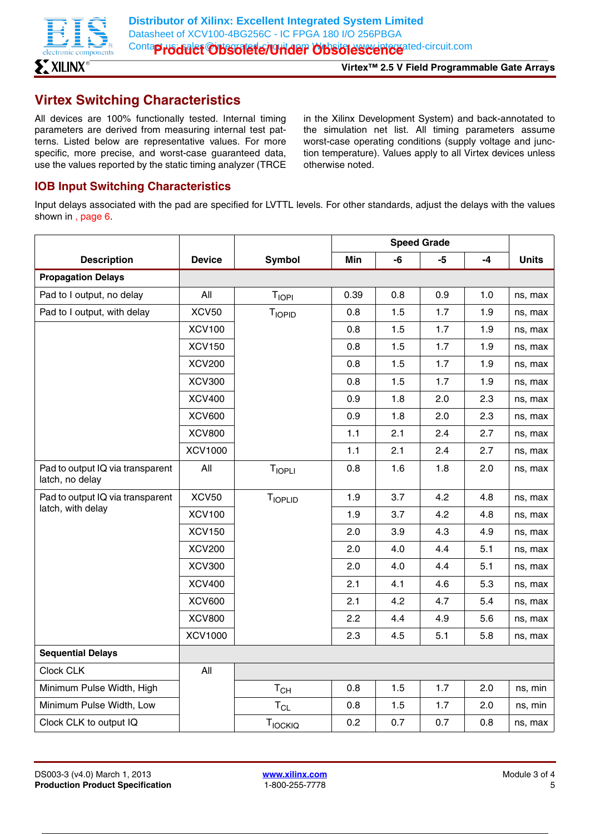

## **Virtex Switching Characteristics**

All devices are 100% functionally tested. Internal timing parameters are derived from measuring internal test patterns. Listed below are representative values. For more specific, more precise, and worst-case guaranteed data, use the values reported by the static timing analyzer (TRCE in the Xilinx Development System) and back-annotated to the simulation net list. All timing parameters assume worst-case operating conditions (supply voltage and junction temperature). Values apply to all Virtex devices unless otherwise noted.

## **IOB Input Switching Characteristics**

Input delays associated with the pad are specified for LVTTL levels. For other standards, adjust the delays with the values shown in , page 6.

|                                                     |                |               |      |     | <b>Speed Grade</b> |      |              |
|-----------------------------------------------------|----------------|---------------|------|-----|--------------------|------|--------------|
| <b>Description</b>                                  | <b>Device</b>  | <b>Symbol</b> | Min  | -6  | $-5$               | $-4$ | <b>Units</b> |
| <b>Propagation Delays</b>                           |                |               |      |     |                    |      |              |
| Pad to I output, no delay                           | All            | TIOPI         | 0.39 | 0.8 | 0.9                | 1.0  | ns, max      |
| Pad to I output, with delay                         | <b>XCV50</b>   | <b>TIOPID</b> | 0.8  | 1.5 | 1.7                | 1.9  | ns, max      |
|                                                     | <b>XCV100</b>  |               | 0.8  | 1.5 | 1.7                | 1.9  | ns, max      |
|                                                     | <b>XCV150</b>  |               | 0.8  | 1.5 | 1.7                | 1.9  | ns, max      |
|                                                     | <b>XCV200</b>  |               | 0.8  | 1.5 | 1.7                | 1.9  | ns, max      |
|                                                     | <b>XCV300</b>  |               | 0.8  | 1.5 | 1.7                | 1.9  | ns, max      |
|                                                     | <b>XCV400</b>  |               | 0.9  | 1.8 | 2.0                | 2.3  | ns, max      |
|                                                     | <b>XCV600</b>  |               | 0.9  | 1.8 | 2.0                | 2.3  | ns, max      |
|                                                     | <b>XCV800</b>  |               | 1.1  | 2.1 | 2.4                | 2.7  | ns, max      |
|                                                     | <b>XCV1000</b> |               | 1.1  | 2.1 | 2.4                | 2.7  | ns, max      |
| Pad to output IQ via transparent<br>latch, no delay | All            | TIOPLI        | 0.8  | 1.6 | 1.8                | 2.0  | ns, max      |
| Pad to output IQ via transparent                    | <b>XCV50</b>   | TIOPLID       | 1.9  | 3.7 | 4.2                | 4.8  | ns, max      |
| latch, with delay                                   | <b>XCV100</b>  |               | 1.9  | 3.7 | 4.2                | 4.8  | ns, max      |
|                                                     | <b>XCV150</b>  |               | 2.0  | 3.9 | 4.3                | 4.9  | ns, max      |
|                                                     | <b>XCV200</b>  |               | 2.0  | 4.0 | 4.4                | 5.1  | ns, max      |
|                                                     | <b>XCV300</b>  |               | 2.0  | 4.0 | 4.4                | 5.1  | ns, max      |
|                                                     | <b>XCV400</b>  |               | 2.1  | 4.1 | 4.6                | 5.3  | ns, max      |
|                                                     | <b>XCV600</b>  |               | 2.1  | 4.2 | 4.7                | 5.4  | ns, max      |
|                                                     | <b>XCV800</b>  |               | 2.2  | 4.4 | 4.9                | 5.6  | ns, max      |
|                                                     | <b>XCV1000</b> |               | 2.3  | 4.5 | 5.1                | 5.8  | ns, max      |
| <b>Sequential Delays</b>                            |                |               |      |     |                    |      |              |
| Clock CLK                                           | All            |               |      |     |                    |      |              |
| Minimum Pulse Width, High                           |                | $T_{CH}$      | 0.8  | 1.5 | 1.7                | 2.0  | ns, min      |
| Minimum Pulse Width, Low                            |                | $T_{CL}$      | 0.8  | 1.5 | 1.7                | 2.0  | ns, min      |
| Clock CLK to output IQ                              |                | TIOCKIQ       | 0.2  | 0.7 | 0.7                | 0.8  | ns, max      |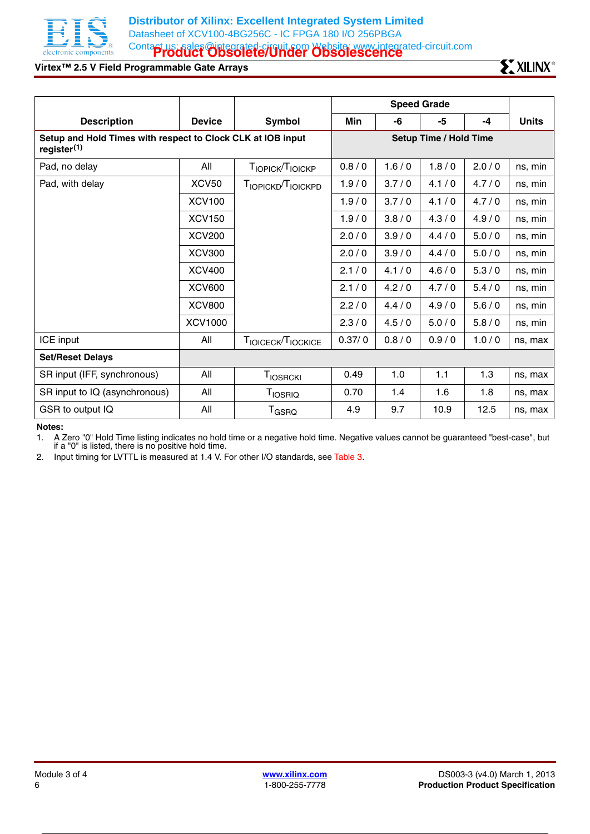

## Virtex<sup>™</sup> 2.5 V Field Programmable Gate Arrays **Research Control of Arrays** XILINX<sup>®</sup>

|                                                                               |                   |                                            |        |         | <b>Speed Grade</b>            |       |              |
|-------------------------------------------------------------------------------|-------------------|--------------------------------------------|--------|---------|-------------------------------|-------|--------------|
| <b>Description</b>                                                            | <b>Device</b>     | Symbol                                     | Min    | -6      | -5                            | -4    | <b>Units</b> |
| Setup and Hold Times with respect to Clock CLK at IOB input<br>register $(1)$ |                   |                                            |        |         | <b>Setup Time / Hold Time</b> |       |              |
| Pad, no delay                                                                 | All               | TIOPICK TIOICKP                            | 0.8/0  | 1.6/0   | 1.8/0                         | 2.0/0 | ns, min      |
| Pad, with delay                                                               | XCV <sub>50</sub> | TIOPICKD <sup>T</sup> IOICKPD              | 1.9/0  | 3.7/0   | 4.1/0                         | 4.7/0 | ns, min      |
|                                                                               | <b>XCV100</b>     |                                            | 1.9/0  | 3.7/0   | 4.1/0                         | 4.7/0 | ns, min      |
|                                                                               | <b>XCV150</b>     |                                            | 1.9/0  | 3.8/0   | 4.3/0                         | 4.9/0 | ns, min      |
|                                                                               | <b>XCV200</b>     |                                            | 2.0/0  | 3.9/0   | 4.4/0                         | 5.0/0 | ns, min      |
|                                                                               | <b>XCV300</b>     |                                            | 2.0/0  | 3.9/0   | 4.4/0                         | 5.0/0 | ns, min      |
|                                                                               | <b>XCV400</b>     |                                            | 2.1/0  | 4.1 / 0 | 4.6/0                         | 5.3/0 | ns, min      |
|                                                                               | <b>XCV600</b>     |                                            | 2.1/0  | 4.2/0   | 4.7/0                         | 5.4/0 | ns, min      |
|                                                                               | <b>XCV800</b>     |                                            | 2.2/0  | 4.4/0   | 4.9/0                         | 5.6/0 | ns, min      |
|                                                                               | XCV1000           |                                            | 2.3/0  | 4.5/0   | 5.0/0                         | 5.8/0 | ns, min      |
| ICE input                                                                     | All               | T <sub>IOICECK</sub> /T <sub>IOCKICE</sub> | 0.37/0 | 0.8/0   | 0.9/0                         | 1.0/0 | ns, max      |
| <b>Set/Reset Delays</b>                                                       |                   |                                            |        |         |                               |       |              |
| SR input (IFF, synchronous)                                                   | All               | T <sub>IOSRCKI</sub>                       | 0.49   | 1.0     | 1.1                           | 1.3   | ns, max      |
| SR input to IQ (asynchronous)                                                 | All               | <b>TIOSRIQ</b>                             | 0.70   | 1.4     | 1.6                           | 1.8   | ns, max      |
| GSR to output IQ                                                              | All               | T <sub>GSRQ</sub>                          | 4.9    | 9.7     | 10.9                          | 12.5  | ns, max      |

#### **Notes:**

1. A Zero "0" Hold Time listing indicates no hold time or a negative hold time. Negative values cannot be guaranteed "best-case", but if a "0" is listed, there is no positive hold time.

2. Input timing for LVTTL is measured at 1.4 V. For other I/O standards, see Table 3.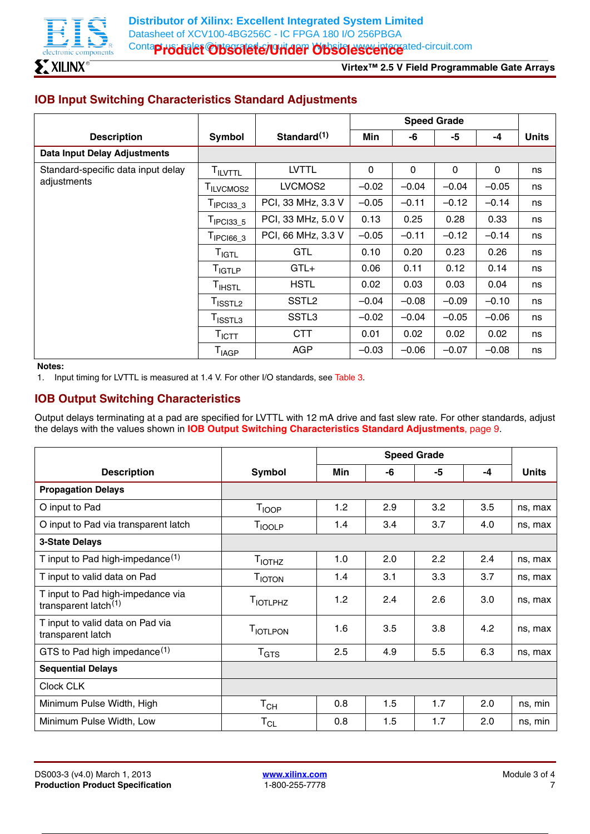

## **IOB Input Switching Characteristics Standard Adjustments**

|                                     |                        |                         |         |              | <b>Speed Grade</b> |             |              |
|-------------------------------------|------------------------|-------------------------|---------|--------------|--------------------|-------------|--------------|
| <b>Description</b>                  | Symbol                 | Standard <sup>(1)</sup> | Min     | -6           | -5                 | $-4$        | <b>Units</b> |
| <b>Data Input Delay Adjustments</b> |                        |                         |         |              |                    |             |              |
| Standard-specific data input delay  | <b>TILVTTL</b>         | <b>LVTTL</b>            | 0       | $\mathbf{0}$ | $\mathbf{0}$       | $\mathbf 0$ | ns           |
| adjustments                         | T <sub>ILVCMOS2</sub>  | LVCMOS2                 | $-0.02$ | $-0.04$      | $-0.04$            | $-0.05$     | ns           |
|                                     | $TIPCI33_3$            | PCI, 33 MHz, 3.3 V      | $-0.05$ | $-0.11$      | $-0.12$            | $-0.14$     | ns           |
|                                     | $T_{\text{IPCI33}\_5}$ | PCI, 33 MHz, 5.0 V      | 0.13    | 0.25         | 0.28               | 0.33        | ns           |
|                                     | $TIPCl66_3$            | PCI, 66 MHz, 3.3 V      | $-0.05$ | $-0.11$      | $-0.12$            | $-0.14$     | ns           |
|                                     | $T_{IGTL}$             | GTL                     | 0.10    | 0.20         | 0.23               | 0.26        | ns           |
|                                     | $T_{\sf IGTLP}$        | $GTL+$                  | 0.06    | 0.11         | 0.12               | 0.14        | ns           |
|                                     | $T_{\sf IHSTL}$        | <b>HSTL</b>             | 0.02    | 0.03         | 0.03               | 0.04        | ns           |
|                                     | $T_{\text{ISSTL2}}$    | SSTL <sub>2</sub>       | $-0.04$ | $-0.08$      | $-0.09$            | $-0.10$     | ns           |
|                                     | $T_{\textsf{ISSTL3}}$  | SSTL <sub>3</sub>       | $-0.02$ | $-0.04$      | $-0.05$            | $-0.06$     | ns           |
|                                     | $T_{\text{ICTT}}$      | <b>CTT</b>              | 0.01    | 0.02         | 0.02               | 0.02        | ns           |
|                                     | $T_{\sf IAGP}$         | <b>AGP</b>              | $-0.03$ | $-0.06$      | $-0.07$            | $-0.08$     | ns           |

**Notes:** 

1. Input timing for LVTTL is measured at 1.4 V. For other I/O standards, see Table 3.

## **IOB Output Switching Characteristics**

Output delays terminating at a pad are specified for LVTTL with 12 mA drive and fast slew rate. For other standards, adjust the delays with the values shown in **IOB Output Switching Characteristics Standard Adjustments**, page 9.

|                                                              |                            |     |     | <b>Speed Grade</b> |      |              |
|--------------------------------------------------------------|----------------------------|-----|-----|--------------------|------|--------------|
| <b>Description</b>                                           | Symbol                     | Min | -6  | -5                 | $-4$ | <b>Units</b> |
| <b>Propagation Delays</b>                                    |                            |     |     |                    |      |              |
| O input to Pad                                               | T <sub>IOOP</sub>          | 1.2 | 2.9 | 3.2                | 3.5  | ns, max      |
| O input to Pad via transparent latch                         | T <sub>IOOLP</sub>         | 1.4 | 3.4 | 3.7                | 4.0  | ns, max      |
| <b>3-State Delays</b>                                        |                            |     |     |                    |      |              |
| T input to Pad high-impedance <sup>(1)</sup>                 | T <sub>IOTHZ</sub>         | 1.0 | 2.0 | $2.2\phantom{0}$   | 2.4  | ns, max      |
| T input to valid data on Pad                                 | <b>T</b> IOTON             | 1.4 | 3.1 | 3.3                | 3.7  | ns, max      |
| T input to Pad high-impedance via<br>transparent latch $(1)$ | T <sub>IOTLPHZ</sub>       | 1.2 | 2.4 | 2.6                | 3.0  | ns, max      |
| T input to valid data on Pad via<br>transparent latch        | <b>TIOTLPON</b>            | 1.6 | 3.5 | 3.8                | 4.2  | ns, max      |
| GTS to Pad high impedance $(1)$                              | T <sub>GTS</sub>           | 2.5 | 4.9 | 5.5                | 6.3  | ns, max      |
| <b>Sequential Delays</b>                                     |                            |     |     |                    |      |              |
| Clock CLK                                                    |                            |     |     |                    |      |              |
| Minimum Pulse Width, High                                    | $T_{CH}$                   | 0.8 | 1.5 | 1.7                | 2.0  | ns, min      |
| Minimum Pulse Width, Low                                     | $\mathsf{T}_{\mathsf{CL}}$ | 0.8 | 1.5 | 1.7                | 2.0  | ns, min      |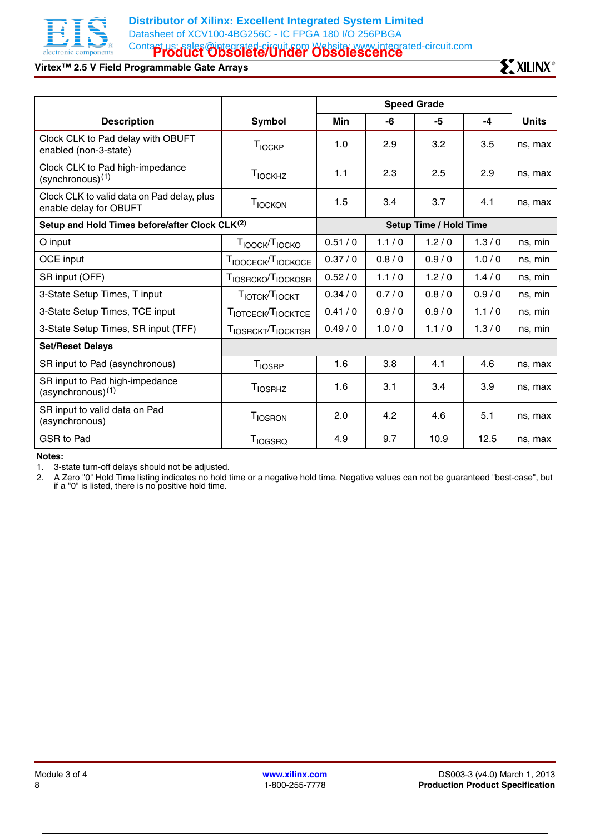

## Virtex<sup>™</sup> 2.5 V Field Programmable Gate Arrays **Research Control of Arrays** XILINX<sup>®</sup>

|                                                                      |                                       |        |       | <b>Speed Grade</b>            |       |              |
|----------------------------------------------------------------------|---------------------------------------|--------|-------|-------------------------------|-------|--------------|
| <b>Description</b>                                                   | <b>Symbol</b>                         | Min    | -6    | $-5$                          | $-4$  | <b>Units</b> |
| Clock CLK to Pad delay with OBUFT<br>enabled (non-3-state)           | T <sub>IOCKP</sub>                    | 1.0    | 2.9   | 3.2                           | 3.5   | ns, max      |
| Clock CLK to Pad high-impedance<br>$(s$ ynchronous $(1)$             | TIOCKHZ                               | 1.1    | 2.3   | 2.5                           | 2.9   | ns, max      |
| Clock CLK to valid data on Pad delay, plus<br>enable delay for OBUFT | TIOCKON                               | 1.5    | 3.4   | 3.7                           | 4.1   | ns, max      |
| Setup and Hold Times before/after Clock CLK <sup>(2)</sup>           |                                       |        |       | <b>Setup Time / Hold Time</b> |       |              |
| O input                                                              | T <sub>IOOCK</sub> T <sub>IOCKO</sub> | 0.51/0 | 1.1/0 | 1.2/0                         | 1.3/0 | ns, min      |
| OCE input                                                            | TIOOCECK <sup>T</sup> IOCKOCE         | 0.37/0 | 0.8/0 | 0.9/0                         | 1.0/0 | ns, min      |
| SR input (OFF)                                                       | TIOSRCKO <sup>T</sup> IOCKOSR         | 0.52/0 | 1.1/0 | 1.2/0                         | 1.4/0 | ns, min      |
| 3-State Setup Times, T input                                         | TIOTCK <sup>T</sup> IOCKT             | 0.34/0 | 0.7/0 | 0.8/0                         | 0.9/0 | ns, min      |
| 3-State Setup Times, TCE input                                       | TIOTCECK <sup>T</sup> IOCKTCE         | 0.41/0 | 0.9/0 | 0.9/0                         | 1.1/0 | ns, min      |
| 3-State Setup Times, SR input (TFF)                                  | TIOSRCKT <sup>/T</sup> IOCKTSR        | 0.49/0 | 1.0/0 | 1.1/0                         | 1.3/0 | ns, min      |
| <b>Set/Reset Delays</b>                                              |                                       |        |       |                               |       |              |
| SR input to Pad (asynchronous)                                       | T <sub>IOSRP</sub>                    | 1.6    | 3.8   | 4.1                           | 4.6   | ns, max      |
| SR input to Pad high-impedance<br>$(asynchronous)^{(1)}$             | T <sub>IOSRHZ</sub>                   | 1.6    | 3.1   | 3.4                           | 3.9   | ns, max      |
| SR input to valid data on Pad<br>(asynchronous)                      | T <sub>IOSRON</sub>                   | 2.0    | 4.2   | 4.6                           | 5.1   | ns, max      |
| GSR to Pad                                                           | T <sub>IOGSRQ</sub>                   | 4.9    | 9.7   | 10.9                          | 12.5  | ns, max      |

**Notes:** 

1. 3-state turn-off delays should not be adjusted.

2. A Zero "0" Hold Time listing indicates no hold time or a negative hold time. Negative values can not be guaranteed "best-case", but if a "0" is listed, there is no positive hold time.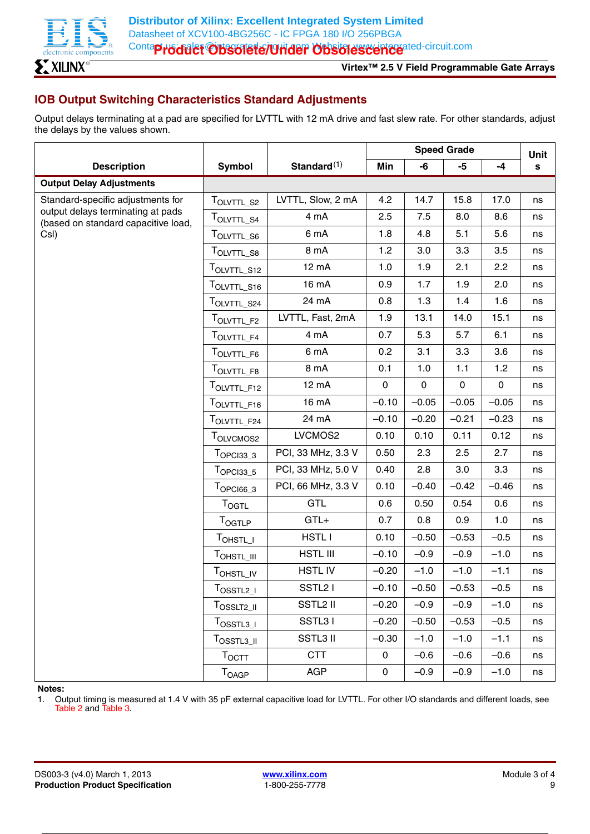

## **IOB Output Switching Characteristics Standard Adjustments**

Output delays terminating at a pad are specified for LVTTL with 12 mA drive and fast slew rate. For other standards, adjust the delays by the values shown.

|                                                                          |                                     |                     | <b>Speed Grade</b> |         | Unit        |             |    |
|--------------------------------------------------------------------------|-------------------------------------|---------------------|--------------------|---------|-------------|-------------|----|
| <b>Description</b>                                                       | Symbol                              | Standard $(1)$      | Min                | -6      | $-5$        | $-4$        | s  |
| <b>Output Delay Adjustments</b>                                          |                                     |                     |                    |         |             |             |    |
| Standard-specific adjustments for                                        | TOLVTTL_S2                          | LVTTL, Slow, 2 mA   | 4.2                | 14.7    | 15.8        | 17.0        | ns |
| output delays terminating at pads<br>(based on standard capacitive load, | TOLVTTL_S4                          | 4 mA                | 2.5                | 7.5     | 8.0         | 8.6         | ns |
| CsI)                                                                     | TOLVTTL_S6                          | 6 mA                | 1.8                | 4.8     | 5.1         | 5.6         | ns |
|                                                                          | $\mathsf{T}_{\mathsf{OLVTTL}\_}$ S8 | 8 mA                | 1.2                | 3.0     | 3.3         | 3.5         | ns |
|                                                                          | TOLVTTL_S12                         | 12 mA               | 1.0                | 1.9     | 2.1         | 2.2         | ns |
|                                                                          | TOLVTTL_S16                         | 16 mA               | 0.9                | 1.7     | 1.9         | 2.0         | ns |
|                                                                          | TOLVTTL_S24                         | 24 mA               | 0.8                | 1.3     | 1.4         | 1.6         | ns |
|                                                                          | T <sub>OLVTTL_F2</sub>              | LVTTL, Fast, 2mA    | 1.9                | 13.1    | 14.0        | 15.1        | ns |
|                                                                          | T <sub>OLVTTL_F4</sub>              | 4 mA                | 0.7                | 5.3     | 5.7         | 6.1         | ns |
|                                                                          | $\mathsf{T}_{\mathsf{OLVTTL\_F6}}$  | 6 mA                | 0.2                | 3.1     | 3.3         | 3.6         | ns |
|                                                                          | T <sub>OLVTTL_F8</sub>              | 8 mA                | 0.1                | 1.0     | 1.1         | 1.2         | ns |
|                                                                          | TOLVTTL_F12                         | 12 mA               | $\mathbf 0$        | 0       | $\mathbf 0$ | $\mathbf 0$ | ns |
|                                                                          | TOLVTTL_F16                         | 16 mA               | $-0.10$            | $-0.05$ | $-0.05$     | $-0.05$     | ns |
|                                                                          | TOLVTTL_F24                         | 24 mA               | $-0.10$            | $-0.20$ | $-0.21$     | $-0.23$     | ns |
|                                                                          | T <sub>OLVCMOS2</sub>               | LVCMOS2             | 0.10               | 0.10    | 0.11        | 0.12        | ns |
|                                                                          | $T_{OPCI33\_3}$                     | PCI, 33 MHz, 3.3 V  | 0.50               | 2.3     | 2.5         | 2.7         | ns |
|                                                                          | $T_{OPCI33_5}$                      | PCI, 33 MHz, 5.0 V  | 0.40               | 2.8     | 3.0         | 3.3         | ns |
|                                                                          | $T_{OPCl66\_3}$                     | PCI, 66 MHz, 3.3 V  | 0.10               | $-0.40$ | $-0.42$     | $-0.46$     | ns |
|                                                                          | <b>TOGTL</b>                        | <b>GTL</b>          | 0.6                | 0.50    | 0.54        | 0.6         | ns |
|                                                                          | <b>TOGTLP</b>                       | $GTL+$              | 0.7                | 0.8     | 0.9         | 1.0         | ns |
|                                                                          | TOHSTL_I                            | <b>HSTLI</b>        | 0.10               | $-0.50$ | $-0.53$     | $-0.5$      | ns |
|                                                                          | TOHSTL_III                          | <b>HSTL III</b>     | $-0.10$            | $-0.9$  | $-0.9$      | $-1.0$      | ns |
|                                                                          | TOHSTL_IV                           | <b>HSTLIV</b>       | $-0.20$            | $-1.0$  | $-1.0$      | $-1.1$      | ns |
|                                                                          | $T_{OSSTL2\_I}$                     | SSTL <sub>2</sub> I | $-0.10$            | $-0.50$ | $-0.53$     | $-0.5$      | ns |
|                                                                          | T <sub>OSSLT2_II</sub>              | SSTL2 II            | $-0.20$            | $-0.9$  | $-0.9$      | $-1.0$      | ns |
|                                                                          | $T_{\text{OSSIL3}\_I}$              | SSTL31              | $-0.20$            | $-0.50$ | $-0.53$     | $-0.5$      | ns |
|                                                                          | $T_{\rm OSSTL3\_II}$                | <b>SSTL3 II</b>     | $-0.30$            | $-1.0$  | $-1.0$      | $-1.1$      | ns |
|                                                                          | $T_{\text{OCTT}}$                   | <b>CTT</b>          | $\pmb{0}$          | $-0.6$  | $-0.6$      | $-0.6$      | ns |
|                                                                          | <b>T<sub>OAGP</sub></b>             | <b>AGP</b>          | $\pmb{0}$          | $-0.9$  | $-0.9$      | $-1.0$      | ns |

**Notes:** 

1. Output timing is measured at 1.4 V with 35 pF external capacitive load for LVTTL. For other I/O standards and different loads, see Table 2 and Table 3.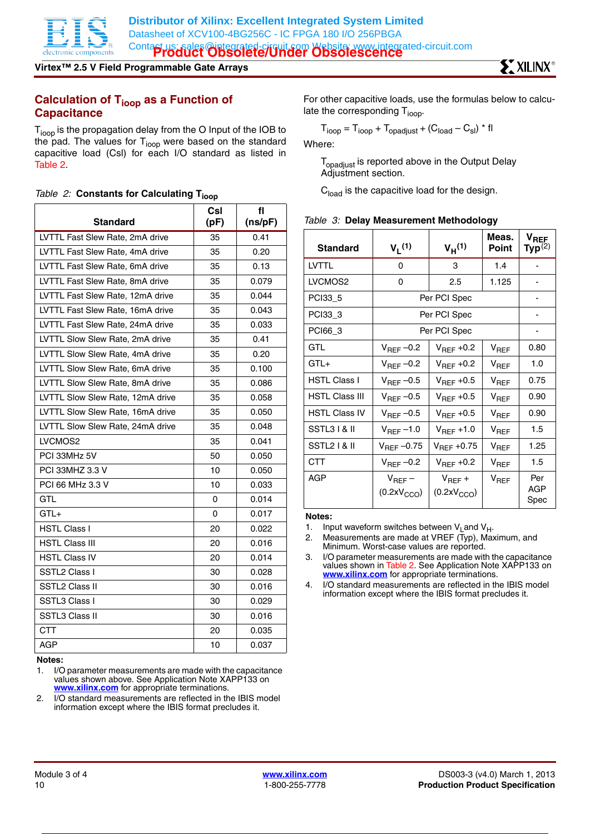

## **Calculation of T<sub>ioop</sub> as a Function of Capacitance**

T<sub>ioop</sub> is the propagation delay from the O Input of the IOB to the pad. The values for  $T_{\text{loop}}$  were based on the standard capacitive load (Csl) for each I/O standard as listed in Table 2.

## Table 2: **Constants for Calculating T** is the capacitive load for the design.

| Standard                         | Csl<br>(pF) | fl<br>(ns/pF) |
|----------------------------------|-------------|---------------|
| LVTTL Fast Slew Rate, 2mA drive  | 35          | 0.41          |
| LVTTL Fast Slew Rate, 4mA drive  | 35          | 0.20          |
| LVTTL Fast Slew Rate, 6mA drive  | 35          | 0.13          |
| LVTTL Fast Slew Rate, 8mA drive  | 35          | 0.079         |
| LVTTL Fast Slew Rate, 12mA drive | 35          | 0.044         |
| LVTTL Fast Slew Rate, 16mA drive | 35          | 0.043         |
| LVTTL Fast Slew Rate, 24mA drive | 35          | 0.033         |
| LVTTL Slow Slew Rate, 2mA drive  | 35          | 0.41          |
| LVTTL Slow Slew Rate, 4mA drive  | 35          | 0.20          |
| LVTTL Slow Slew Rate, 6mA drive  | 35          | 0.100         |
| LVTTL Slow Slew Rate, 8mA drive  | 35          | 0.086         |
| LVTTL Slow Slew Rate, 12mA drive | 35          | 0.058         |
| LVTTL Slow Slew Rate, 16mA drive | 35          | 0.050         |
| LVTTL Slow Slew Rate, 24mA drive | 35          | 0.048         |
| LVCMOS2                          | 35          | 0.041         |
| PCI 33MHz 5V                     | 50          | 0.050         |
| PCI 33MHZ 3.3 V                  | 10          | 0.050         |
| PCI 66 MHz 3.3 V                 | 10          | 0.033         |
| <b>GTL</b>                       | 0           | 0.014         |
| $GTL+$                           | 0           | 0.017         |
| <b>HSTL Class I</b>              | 20          | 0.022         |
| <b>HSTL Class III</b>            | 20          | 0.016         |
| <b>HSTL Class IV</b>             | 20          | 0.014         |
| SSTL2 Class I                    | 30          | 0.028         |
| <b>SSTL2 Class II</b>            | 30          | 0.016         |
| SSTL3 Class I                    | 30          | 0.029         |
| <b>SSTL3 Class II</b>            | 30          | 0.016         |
| CTT                              | 20          | 0.035         |
| <b>AGP</b>                       | 10          | 0.037         |

**Notes:** 

1. I/O parameter measurements are made with the capacitance values shown above. See Application Note XAPP133 on **www.xilinx.com** for appropriate terminations.

2. I/O standard measurements are reflected in the IBIS model information except where the IBIS format precludes it.

For other capacitive loads, use the formulas below to calculate the corresponding  $T_{\text{ioop}}$ .

$$
T_{\text{ioop}} = T_{\text{ioop}} + T_{\text{opadjust}} + (C_{\text{load}} - C_{\text{sl}}) * fl
$$

Where:

T<sub>opadjust</sub> is reported above in the Output Delay Adjustment section.

|  |  |  | Table 3: Delay Measurement Methodology |  |
|--|--|--|----------------------------------------|--|
|--|--|--|----------------------------------------|--|

| <b>Standard</b>       | $V_1(1)$                               | $V_H(1)$                               | Meas.<br>Point   | $V_{REF}$<br>Typ $^{(2)}$ |
|-----------------------|----------------------------------------|----------------------------------------|------------------|---------------------------|
| <b>LVTTL</b>          | 0                                      | 3                                      | 1.4              |                           |
| LVCMOS2               | 0                                      | 2.5                                    | 1.125            |                           |
| PCI33_5               | Per PCI Spec                           | ٠                                      |                  |                           |
| PCI33 3               | Per PCI Spec                           |                                        |                  |                           |
| PCI66_3               | Per PCI Spec                           |                                        |                  |                           |
| <b>GTL</b>            | $V_{REF}$ -0.2                         | $\rm V_{REF}$ +0.2                     | V <sub>REF</sub> | 0.80                      |
| $GTI +$               | $V_{REF}$ -0.2                         | $V_{REF}$ +0.2                         | $V_{REF}$        | 1.0                       |
| <b>HSTL Class I</b>   | $V_{REF}$ -0.5                         | $V_{REF}$ +0.5                         | $V_{BFF}$        | 0.75                      |
| <b>HSTL Class III</b> | $V_{REF}$ -0.5                         | $V_{REF}$ +0.5                         | $V_{REF}$        | 0.90                      |
| <b>HSTL Class IV</b>  | $V_{REF}$ -0.5                         | $\rm V_{REF}$ +0.5                     | $V_{REF}$        | 0.90                      |
| SSTL3   & II          | $V_{\text{REF}}$ –1.0                  | $V_{REF}$ +1.0                         | $V_{REF}$        | 1.5                       |
| SSTL2 I & II          | $V_{REF}$ -0.75                        | $V_{\text{RFF}}$ +0.75                 | $V_{REF}$        | 1.25                      |
| <b>CTT</b>            | $V_{REF}-0.2$                          | $V_{REF}$ +0.2                         | $V_{\text{RFF}}$ | 1.5                       |
| AGP                   | $V_{REF}$ –<br>(0.2xV <sub>CCO</sub> ) | $V_{REF}$ +<br>(0.2xV <sub>CCO</sub> ) | $V_{REF}$        | Per<br>AGP<br>Spec        |

#### **Notes:**

3. I/O parameter measurements are made with the capacitance values shown in Table 2. See Application Note XAPP133 on **www.xilinx.com** for appropriate terminations.

4. I/O standard measurements are reflected in the IBIS model information except where the IBIS format precludes it.

<sup>1.</sup> Input waveform switches between  $V<sub>L</sub>$  and  $V<sub>H</sub>$ .<br>2. Measurements are made at VREF (Typ), Max Measurements are made at VREF (Typ), Maximum, and Minimum. Worst-case values are reported.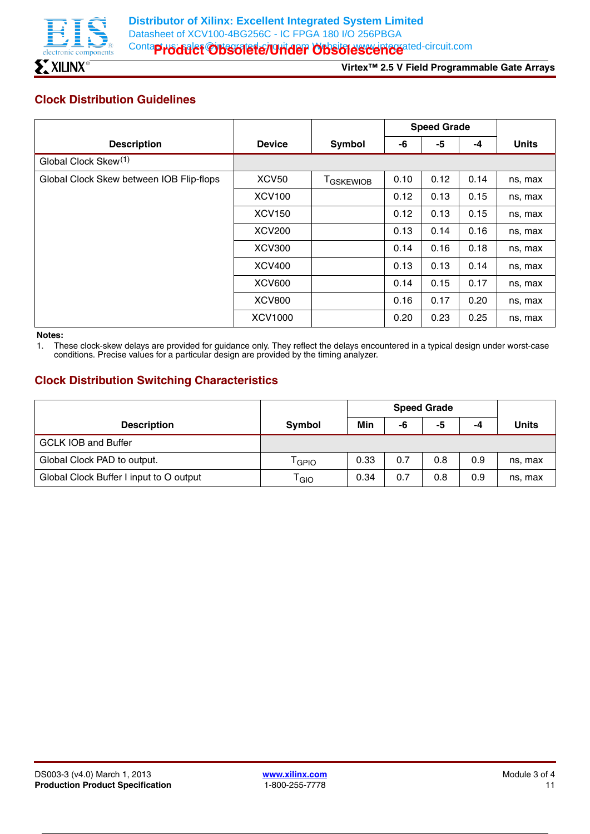

## **Clock Distribution Guidelines**

|                                          |               |                   | <b>Speed Grade</b> |      |      |              |
|------------------------------------------|---------------|-------------------|--------------------|------|------|--------------|
| <b>Description</b>                       | <b>Device</b> | <b>Symbol</b>     | -6                 | -5   | $-4$ | <b>Units</b> |
| Global Clock Skew <sup>(1)</sup>         |               |                   |                    |      |      |              |
| Global Clock Skew between IOB Flip-flops | XCV50         | <b>T</b> GSKEWIOB | 0.10               | 0.12 | 0.14 | ns, max      |
|                                          | <b>XCV100</b> |                   | 0.12               | 0.13 | 0.15 | ns, max      |
|                                          | <b>XCV150</b> |                   | 0.12               | 0.13 | 0.15 | ns, max      |
|                                          | <b>XCV200</b> |                   | 0.13               | 0.14 | 0.16 | ns, max      |
|                                          | <b>XCV300</b> |                   | 0.14               | 0.16 | 0.18 | ns, max      |
|                                          | <b>XCV400</b> |                   | 0.13               | 0.13 | 0.14 | ns, max      |
|                                          | <b>XCV600</b> |                   | 0.14               | 0.15 | 0.17 | ns, max      |
|                                          | <b>XCV800</b> |                   | 0.16               | 0.17 | 0.20 | ns, max      |
|                                          | XCV1000       |                   | 0.20               | 0.23 | 0.25 | ns, max      |

#### **Notes:**

1. These clock-skew delays are provided for guidance only. They reflect the delays encountered in a typical design under worst-case conditions. Precise values for a particular design are provided by the timing analyzer.

## **Clock Distribution Switching Characteristics**

|                                         |                             | <b>Speed Grade</b> |     |     |     |              |
|-----------------------------------------|-----------------------------|--------------------|-----|-----|-----|--------------|
| <b>Description</b>                      | Symbol                      | Min                | -6  | -5  | -4  | <b>Units</b> |
| <b>GCLK IOB and Buffer</b>              |                             |                    |     |     |     |              |
| Global Clock PAD to output.             | l GPIO                      | 0.33               | 0.7 | 0.8 | 0.9 | ns, max      |
| Global Clock Buffer I input to O output | $\mathsf{T}_{\mathsf{GIO}}$ | 0.34               | 0.7 | 0.8 | 0.9 | ns, max      |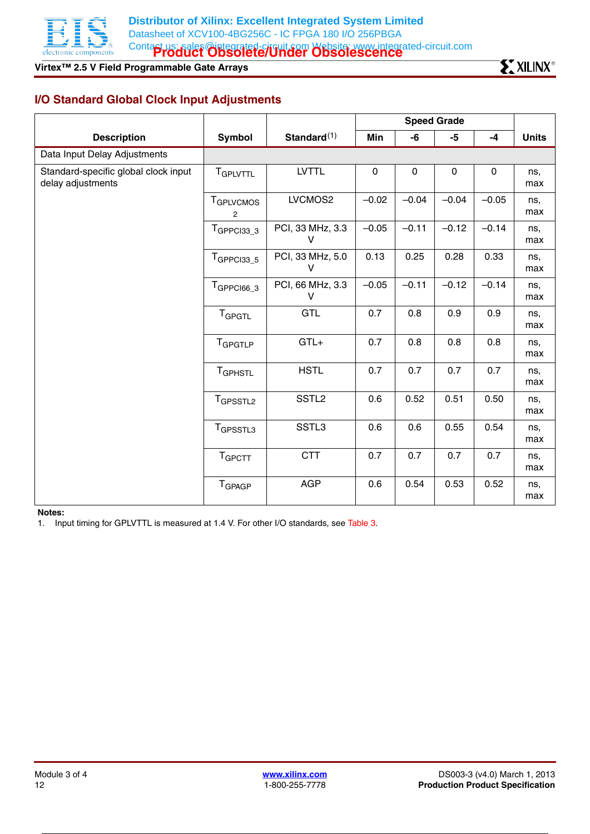

Virtex<sup>™</sup> 2.5 V Field Programmable Gate Arrays **Research Control of Arrays** Research Control Control of Arrays Research Research Research Research Research Research Research Research Research Research Research Research Re

# **I/O Standard Global Clock Input Adjustments**

|                                                           |                                     |                       |             |             | <b>Speed Grade</b> |             |              |
|-----------------------------------------------------------|-------------------------------------|-----------------------|-------------|-------------|--------------------|-------------|--------------|
| <b>Description</b>                                        | Symbol                              | Standard $(1)$        | Min         | -6          | $-5$               | $-4$        | <b>Units</b> |
| Data Input Delay Adjustments                              |                                     |                       |             |             |                    |             |              |
| Standard-specific global clock input<br>delay adjustments | <b>TGPLVTTL</b>                     | <b>LVTTL</b>          | $\mathbf 0$ | $\mathbf 0$ | $\mathbf 0$        | $\mathbf 0$ | ns,<br>max   |
|                                                           | <b>T</b> GPLVCMOS<br>$\overline{2}$ | LVCMOS2               | $-0.02$     | $-0.04$     | $-0.04$            | $-0.05$     | ns,<br>max   |
|                                                           | $T_{\text{GPPCl33\_3}}$             | PCI, 33 MHz, 3.3<br>V | $-0.05$     | $-0.11$     | $-0.12$            | $-0.14$     | ns,<br>max   |
|                                                           | $TGPPC133_5$                        | PCI, 33 MHz, 5.0<br>V | 0.13        | 0.25        | 0.28               | 0.33        | ns,<br>max   |
|                                                           | $TGPPCI66_3$                        | PCI, 66 MHz, 3.3<br>V | $-0.05$     | $-0.11$     | $-0.12$            | $-0.14$     | ns,<br>max   |
|                                                           | $T_{\text{GPGL}}$                   | <b>GTL</b>            | 0.7         | 0.8         | 0.9                | 0.9         | ns,<br>max   |
|                                                           | TGPGTLP                             | $GTL+$                | 0.7         | 0.8         | 0.8                | 0.8         | ns,<br>max   |
|                                                           | $T_{\text{GPHSTL}}$                 | <b>HSTL</b>           | 0.7         | 0.7         | 0.7                | 0.7         | ns,<br>max   |
|                                                           | T <sub>GPSSTL2</sub>                | SSTL <sub>2</sub>     | 0.6         | 0.52        | 0.51               | 0.50        | ns,<br>max   |
|                                                           | T <sub>GPSSTL3</sub>                | SSTL3                 | 0.6         | 0.6         | 0.55               | 0.54        | ns,<br>max   |
|                                                           | $T_{\text{GPCTT}}$                  | <b>CTT</b>            | 0.7         | 0.7         | 0.7                | 0.7         | ns,<br>max   |
|                                                           | <b>T</b> GPAGP                      | <b>AGP</b>            | 0.6         | 0.54        | 0.53               | 0.52        | ns,<br>max   |

**Notes:** 

1. Input timing for GPLVTTL is measured at 1.4 V. For other I/O standards, see Table 3.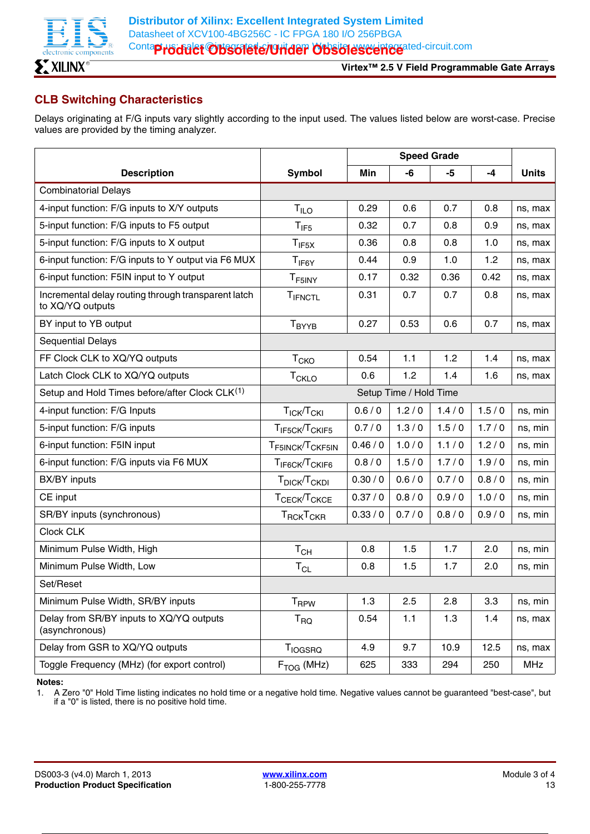

**Virtex™ 2.5 V Field Programmable Gate Arrays** <sup>R</sup>

# **CLB Switching Characteristics**

Delays originating at F/G inputs vary slightly according to the input used. The values listed below are worst-case. Precise values are provided by the timing analyzer.

|                                                                         |                                          |          | <b>Speed Grade</b> |       |       |              |
|-------------------------------------------------------------------------|------------------------------------------|----------|--------------------|-------|-------|--------------|
| <b>Description</b>                                                      | Symbol                                   | Min      | -6                 | -5    | $-4$  | <b>Units</b> |
| <b>Combinatorial Delays</b>                                             |                                          |          |                    |       |       |              |
| 4-input function: F/G inputs to X/Y outputs                             | $T_{ILO}$                                | 0.29     | 0.6                | 0.7   | 0.8   | ns, max      |
| 5-input function: F/G inputs to F5 output                               | $T_{IF5}$                                | 0.32     | 0.7                | 0.8   | 0.9   | ns, max      |
| 5-input function: F/G inputs to X output                                | $T_{IF5X}$                               | 0.36     | 0.8                | 0.8   | 1.0   | ns, max      |
| 6-input function: F/G inputs to Y output via F6 MUX                     | $T_{IF6Y}$                               | 0.44     | 0.9                | 1.0   | 1.2   | ns, max      |
| 6-input function: F5IN input to Y output                                | T <sub>F5INY</sub>                       | 0.17     | 0.32               | 0.36  | 0.42  | ns, max      |
| Incremental delay routing through transparent latch<br>to XQ/YQ outputs | TIFNCTL                                  | 0.31     | 0.7                | 0.7   | 0.8   | ns, max      |
| BY input to YB output                                                   | T <sub>BYYB</sub>                        | 0.27     | 0.53               | 0.6   | 0.7   | ns, max      |
| <b>Sequential Delays</b>                                                |                                          |          |                    |       |       |              |
| FF Clock CLK to XQ/YQ outputs                                           | T <sub>CKO</sub>                         | 0.54     | 1.1                | 1.2   | 1.4   | ns, max      |
| Latch Clock CLK to XQ/YQ outputs                                        | <b>T<sub>CKLO</sub></b>                  | 0.6      | 1.2                | 1.4   | 1.6   | ns, max      |
| Setup and Hold Times before/after Clock CLK(1)                          |                                          |          |                    |       |       |              |
| 4-input function: F/G Inputs                                            | $T_{\text{ICK}}/T_{\text{CKI}}$          | 0.6/0    | 1.2/0              | 1.4/0 | 1.5/0 | ns, min      |
| 5-input function: F/G inputs                                            | T <sub>IF5CK</sub> /T <sub>CKIF5</sub>   | 0.7/0    | 1.3/0              | 1.5/0 | 1.7/0 | ns, min      |
| 6-input function: F5IN input                                            | T <sub>F5INCK</sub> /T <sub>CKF5IN</sub> | 0.46/0   | 1.0/0              | 1.1/0 | 1.2/0 | ns, min      |
| 6-input function: F/G inputs via F6 MUX                                 | T <sub>IF6CK</sub> /T <sub>CKIF6</sub>   | 0.8 / 0  | 1.5/0              | 1.7/0 | 1.9/0 | ns, min      |
| BX/BY inputs                                                            | T <sub>DICK</sub> /T <sub>CKDI</sub>     | 0.30 / 0 | 0.6/0              | 0.7/0 | 0.8/0 | ns, min      |
| CE input                                                                | T <sub>CECK</sub> /T <sub>CKCE</sub>     | 0.37/0   | 0.8/0              | 0.9/0 | 1.0/0 | ns, min      |
| SR/BY inputs (synchronous)                                              | T <sub>RCK</sub> T <sub>CKR</sub>        | 0.33/0   | 0.7/0              | 0.8/0 | 0.9/0 | ns, min      |
| Clock CLK                                                               |                                          |          |                    |       |       |              |
| Minimum Pulse Width, High                                               | $T_{CH}$                                 | 0.8      | 1.5                | 1.7   | 2.0   | ns, min      |
| Minimum Pulse Width, Low                                                | $T_{CL}$                                 | 0.8      | 1.5                | 1.7   | 2.0   | ns, min      |
| Set/Reset                                                               |                                          |          |                    |       |       |              |
| Minimum Pulse Width, SR/BY inputs                                       | <b>T</b> <sub>RPW</sub>                  | 1.3      | 2.5                | 2.8   | 3.3   | ns, min      |
| Delay from SR/BY inputs to XQ/YQ outputs<br>(asynchronous)              | $T_{\sf RQ}$                             | 0.54     | 1.1                | 1.3   | 1.4   | ns, max      |
| Delay from GSR to XQ/YQ outputs                                         | T <sub>IOGSRQ</sub>                      | 4.9      | 9.7                | 10.9  | 12.5  | ns, max      |
| Toggle Frequency (MHz) (for export control)                             | $FTOG$ (MHz)                             | 625      | 333                | 294   | 250   | <b>MHz</b>   |

**Notes:** 

1. A Zero "0" Hold Time listing indicates no hold time or a negative hold time. Negative values cannot be guaranteed "best-case", but if a "0" is listed, there is no positive hold time.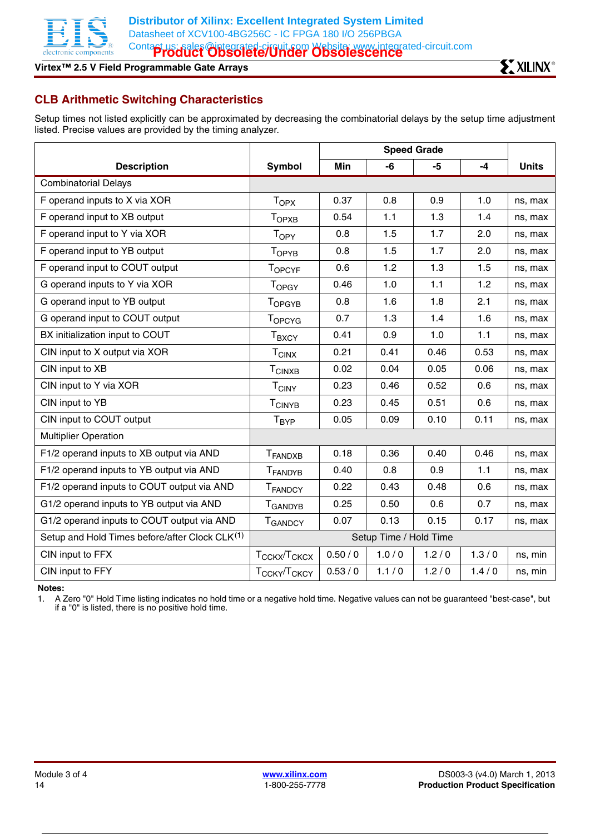

# **CLB Arithmetic Switching Characteristics**

Setup times not listed explicitly can be approximated by decreasing the combinatorial delays by the setup time adjustment listed. Precise values are provided by the timing analyzer.

|                                                            |                                      |        |       | <b>Speed Grade</b> |       |              |
|------------------------------------------------------------|--------------------------------------|--------|-------|--------------------|-------|--------------|
| <b>Description</b>                                         | Symbol                               | Min    | -6    | -5                 | -4    | <b>Units</b> |
| <b>Combinatorial Delays</b>                                |                                      |        |       |                    |       |              |
| F operand inputs to X via XOR                              | $T_{OPX}$                            | 0.37   | 0.8   | 0.9                | 1.0   | ns, max      |
| F operand input to XB output                               | <b>TOPXB</b>                         | 0.54   | 1.1   | 1.3                | 1.4   | ns, max      |
| F operand input to Y via XOR                               | <b>TOPY</b>                          | 0.8    | 1.5   | 1.7                | 2.0   | ns, max      |
| F operand input to YB output                               | <b>TOPYB</b>                         | 0.8    | 1.5   | 1.7                | 2.0   | ns, max      |
| F operand input to COUT output                             | T <sub>OPCYF</sub>                   | 0.6    | 1.2   | 1.3                | 1.5   | ns, max      |
| G operand inputs to Y via XOR                              | TOPGY                                | 0.46   | 1.0   | 1.1                | 1.2   | ns, max      |
| G operand input to YB output                               | <b>TOPGYB</b>                        | 0.8    | 1.6   | 1.8                | 2.1   | ns, max      |
| G operand input to COUT output                             | T <sub>OPCYG</sub>                   | 0.7    | 1.3   | 1.4                | 1.6   | ns, max      |
| BX initialization input to COUT                            | <b>T</b> <sub>BXCY</sub>             | 0.41   | 0.9   | 1.0                | 1.1   | ns, max      |
| CIN input to X output via XOR                              | $T_{CINX}$                           | 0.21   | 0.41  | 0.46               | 0.53  | ns, max      |
| CIN input to XB                                            | <b>TCINXB</b>                        | 0.02   | 0.04  | 0.05               | 0.06  | ns, max      |
| CIN input to Y via XOR                                     | T <sub>CINY</sub>                    | 0.23   | 0.46  | 0.52               | 0.6   | ns, max      |
| CIN input to YB                                            | T <sub>CINYB</sub>                   | 0.23   | 0.45  | 0.51               | 0.6   | ns, max      |
| CIN input to COUT output                                   | $T_{BYP}$                            | 0.05   | 0.09  | 0.10               | 0.11  | ns, max      |
| <b>Multiplier Operation</b>                                |                                      |        |       |                    |       |              |
| F1/2 operand inputs to XB output via AND                   | <b>TFANDXB</b>                       | 0.18   | 0.36  | 0.40               | 0.46  | ns, max      |
| F1/2 operand inputs to YB output via AND                   | T <sub>FANDYB</sub>                  | 0.40   | 0.8   | 0.9                | 1.1   | ns, max      |
| F1/2 operand inputs to COUT output via AND                 | T <sub>FANDCY</sub>                  | 0.22   | 0.43  | 0.48               | 0.6   | ns, max      |
| G1/2 operand inputs to YB output via AND                   | T <sub>GANDYB</sub>                  | 0.25   | 0.50  | 0.6                | 0.7   | ns, max      |
| G1/2 operand inputs to COUT output via AND                 | T <sub>GANDCY</sub>                  | 0.07   | 0.13  | 0.15               | 0.17  | ns, max      |
| Setup and Hold Times before/after Clock CLK <sup>(1)</sup> | Setup Time / Hold Time               |        |       |                    |       |              |
| CIN input to FFX                                           | T <sub>CCKX</sub> /T <sub>CKCX</sub> | 0.50/0 | 1.0/0 | 1.2/0              | 1.3/0 | ns, min      |
| CIN input to FFY                                           | T <sub>CCKY</sub> /T <sub>CKCY</sub> | 0.53/0 | 1.1/0 | 1.2/0              | 1.4/0 | ns, min      |

**Notes:** 

1. A Zero "0" Hold Time listing indicates no hold time or a negative hold time. Negative values can not be guaranteed "best-case", but if a "0" is listed, there is no positive hold time.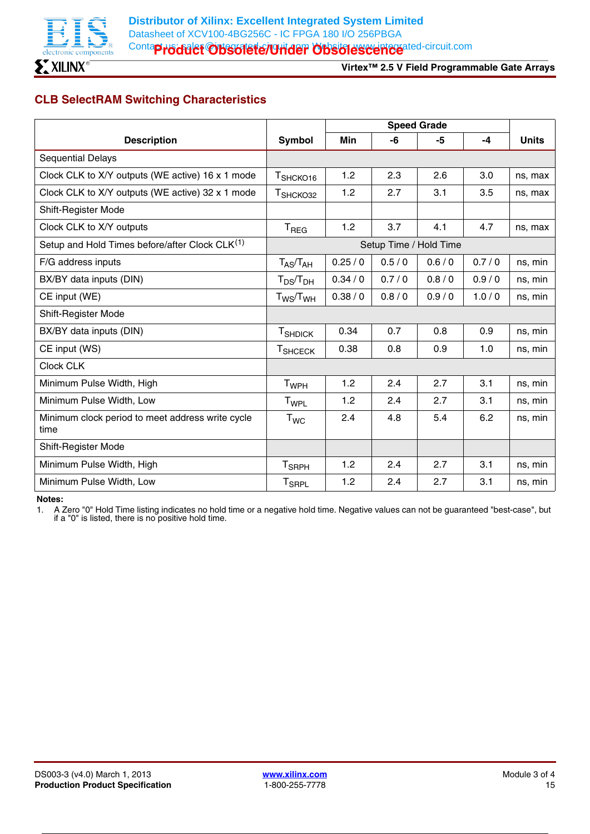

**Virtex™ 2.5 V Field Programmable Gate Arrays** <sup>R</sup>

# **CLB SelectRAM Switching Characteristics**

|                                                            |                                |          |       | <b>Speed Grade</b>     |       |              |
|------------------------------------------------------------|--------------------------------|----------|-------|------------------------|-------|--------------|
| <b>Description</b>                                         | Symbol                         | Min      | -6    | -5                     | $-4$  | <b>Units</b> |
| <b>Sequential Delays</b>                                   |                                |          |       |                        |       |              |
| Clock CLK to X/Y outputs (WE active) 16 x 1 mode           | T <sub>SHCKO16</sub>           | 1.2      | 2.3   | 2.6                    | 3.0   | ns, max      |
| Clock CLK to X/Y outputs (WE active) 32 x 1 mode           | T <sub>SHCKO32</sub>           | 1.2      | 2.7   | 3.1                    | 3.5   | ns, max      |
| Shift-Register Mode                                        |                                |          |       |                        |       |              |
| Clock CLK to X/Y outputs                                   | $T_{\text{REG}}$               | 1.2      | 3.7   | 4.1                    | 4.7   | ns, max      |
| Setup and Hold Times before/after Clock CLK <sup>(1)</sup> |                                |          |       | Setup Time / Hold Time |       |              |
| F/G address inputs                                         | $T_{AS}/T_{AH}$                | 0.25/0   | 0.5/0 | 0.6/0                  | 0.7/0 | ns, min      |
| BX/BY data inputs (DIN)                                    | $T_{DS}/T_{DH}$                | 0.34/0   | 0.7/0 | 0.8/0                  | 0.9/0 | ns, min      |
| CE input (WE)                                              | $T_{WS}/T_{WH}$                | 0.38 / 0 | 0.8/0 | 0.9/0                  | 1.0/0 | ns, min      |
| Shift-Register Mode                                        |                                |          |       |                        |       |              |
| BX/BY data inputs (DIN)                                    | T <sub>SHDICK</sub>            | 0.34     | 0.7   | 0.8                    | 0.9   | ns, min      |
| CE input (WS)                                              | $\mathsf{T}_{\mathsf{SHCECK}}$ | 0.38     | 0.8   | 0.9                    | 1.0   | ns, min      |
| Clock CLK                                                  |                                |          |       |                        |       |              |
| Minimum Pulse Width, High                                  | $T_{WPH}$                      | 1.2      | 2.4   | 2.7                    | 3.1   | ns, min      |
| Minimum Pulse Width, Low                                   | <b>T</b> <sub>WPL</sub>        | 1.2      | 2.4   | 2.7                    | 3.1   | ns, min      |
| Minimum clock period to meet address write cycle<br>time   | $\mathsf{T}_{\mathsf{WC}}$     | 2.4      | 4.8   | 5.4                    | 6.2   | ns, min      |
| Shift-Register Mode                                        |                                |          |       |                        |       |              |
| Minimum Pulse Width, High                                  | T <sub>SRPH</sub>              | 1.2      | 2.4   | 2.7                    | 3.1   | ns, min      |
| Minimum Pulse Width, Low                                   | $T_{SRPL}$                     | 1.2      | 2.4   | 2.7                    | 3.1   | ns, min      |

#### **Notes:**

1. A Zero "0" Hold Time listing indicates no hold time or a negative hold time. Negative values can not be guaranteed "best-case", but if a "0" is listed, there is no positive hold time.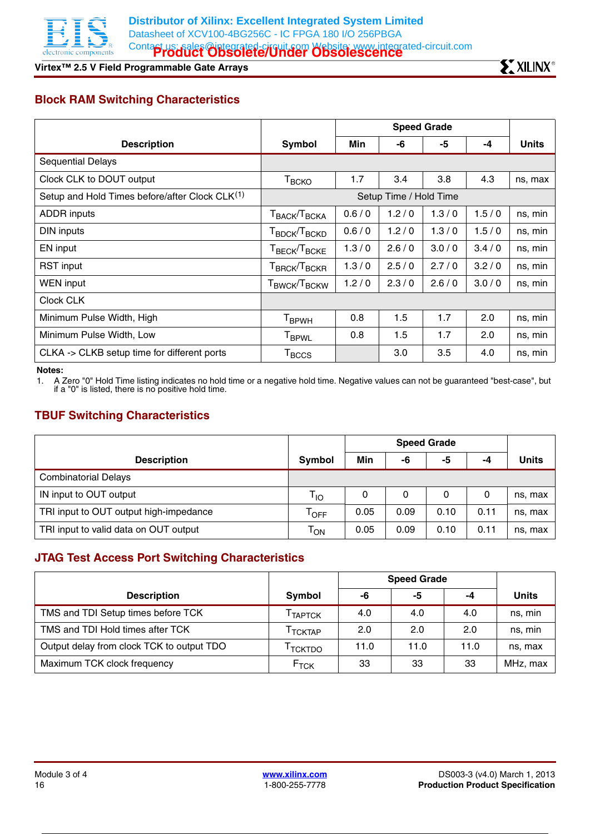

# **Block RAM Switching Characteristics**

|                                                            |                                      |       |       | <b>Speed Grade</b> |       |              |  |
|------------------------------------------------------------|--------------------------------------|-------|-------|--------------------|-------|--------------|--|
| <b>Description</b>                                         | Symbol                               | Min   | -6    | -5                 | -4    | <b>Units</b> |  |
| <b>Sequential Delays</b>                                   |                                      |       |       |                    |       |              |  |
| Clock CLK to DOUT output                                   | T <sub>BCKO</sub>                    | 1.7   | 3.4   | 3.8                | 4.3   | ns, max      |  |
| Setup and Hold Times before/after Clock CLK <sup>(1)</sup> | Setup Time / Hold Time               |       |       |                    |       |              |  |
| <b>ADDR</b> inputs                                         | T <sub>BACK</sub> /T <sub>BCKA</sub> | 0.6/0 | 1.2/0 | 1.3/0              | 1.5/0 | ns, min      |  |
| DIN inputs                                                 | T <sub>BDCK</sub> /T <sub>BCKD</sub> | 0.6/0 | 1.2/0 | 1.3/0              | 1.5/0 | ns, min      |  |
| EN input                                                   | T <sub>BECK</sub> /T <sub>BCKE</sub> | 1.3/0 | 2.6/0 | 3.0/0              | 3.4/0 | ns, min      |  |
| <b>RST input</b>                                           | T <sub>BRCK</sub> /T <sub>BCKR</sub> | 1.3/0 | 2.5/0 | 2.7/0              | 3.2/0 | ns, min      |  |
| <b>WEN</b> input                                           | T <sub>BWCK</sub> /T <sub>BCKW</sub> | 1.2/0 | 2.3/0 | 2.6/0              | 3.0/0 | ns, min      |  |
| Clock CLK                                                  |                                      |       |       |                    |       |              |  |
| Minimum Pulse Width, High                                  | <b>T</b> <sub>BPWH</sub>             | 0.8   | 1.5   | 1.7                | 2.0   | ns, min      |  |
| Minimum Pulse Width, Low                                   | <b>T</b> BPWL                        | 0.8   | 1.5   | 1.7                | 2.0   | ns, min      |  |
| CLKA -> CLKB setup time for different ports                | $T_{\rm BCCS}$                       |       | 3.0   | 3.5                | 4.0   | ns, min      |  |

**Notes:** 

1. A Zero "0" Hold Time listing indicates no hold time or a negative hold time. Negative values can not be guaranteed "best-case", but if a "0" is listed, there is no positive hold time.

# **TBUF Switching Characteristics**

|                                        |                   | <b>Speed Grade</b> |      |      |      |              |
|----------------------------------------|-------------------|--------------------|------|------|------|--------------|
| <b>Description</b>                     | Symbol            | Min                | -6   | -5   | -4   | <b>Units</b> |
| <b>Combinatorial Delays</b>            |                   |                    |      |      |      |              |
| IN input to OUT output                 | Τ <sub>IΟ</sub>   | 0                  | 0    | 0    | 0    | ns, max      |
| TRI input to OUT output high-impedance | $T_{\text{OFF}}$  | 0.05               | 0.09 | 0.10 | 0.11 | ns, max      |
| TRI input to valid data on OUT output  | $T_{\mathsf{ON}}$ | 0.05               | 0.09 | 0.10 | 0.11 | ns, max      |

# **JTAG Test Access Port Switching Characteristics**

|                                           |                     | <b>Speed Grade</b> |      |      |              |
|-------------------------------------------|---------------------|--------------------|------|------|--------------|
| <b>Description</b>                        | Symbol              | -6                 | -5   | -4   | <b>Units</b> |
| TMS and TDI Setup times before TCK        | <sup>I</sup> TAPTCK | 4.0                | 4.0  | 4.0  | ns, min      |
| TMS and TDI Hold times after TCK          | <b>I TCKTAP</b>     | 2.0                | 2.0  | 2.0  | ns, min      |
| Output delay from clock TCK to output TDO | <sup>I</sup> TCKTDO | 11.0               | 11.0 | 11.0 | ns, max      |
| Maximum TCK clock frequency               | F <sub>TCK</sub>    | 33                 | 33   | 33   | MHz, max     |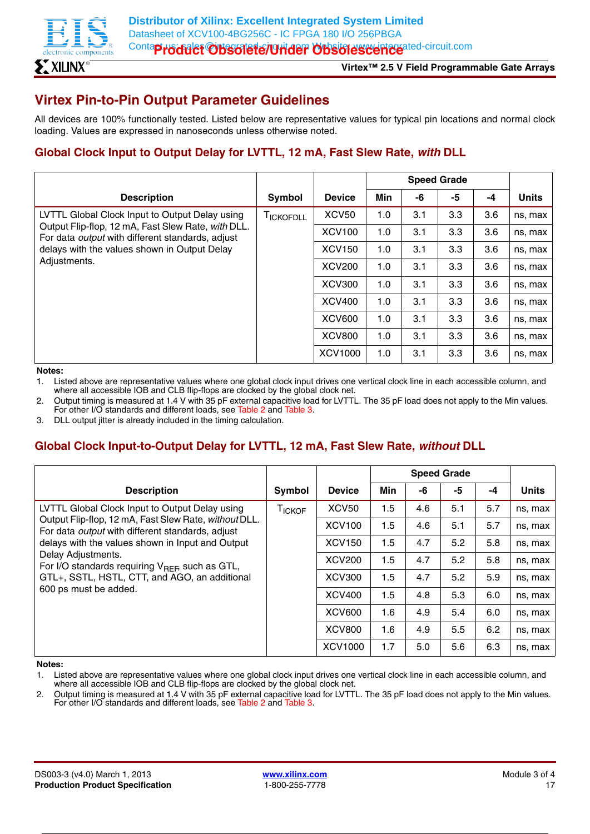

**EXAILINX<sup>®</sup> THE CONSTRUCTED AT A SEX CONSTRUCTED AT A SEX CONSTRUCTED AT A SEX CONSTRUCTED AT A SEX CONSTRUCTED AT A SEX CONSTRUCTED AT A SEX CONSTRUCTED AT A SEX CONSTRUCTED AT A SEX CONSTRUCTED AT A SEX CONSTRUCTED AT** 

# **Virtex Pin-to-Pin Output Parameter Guidelines**

All devices are 100% functionally tested. Listed below are representative values for typical pin locations and normal clock loading. Values are expressed in nanoseconds unless otherwise noted.

# **Global Clock Input to Output Delay for LVTTL, 12 mA, Fast Slew Rate,** *with* **DLL**

|                                                                                                                                                                                                                 |                  |               | <b>Speed Grade</b> |     |      |      |              |
|-----------------------------------------------------------------------------------------------------------------------------------------------------------------------------------------------------------------|------------------|---------------|--------------------|-----|------|------|--------------|
| <b>Description</b>                                                                                                                                                                                              | Symbol           | <b>Device</b> | Min                | -6  | $-5$ | $-4$ | <b>Units</b> |
| LVTTL Global Clock Input to Output Delay using<br>Output Flip-flop, 12 mA, Fast Slew Rate, with DLL.<br>For data <i>output</i> with different standards, adjust<br>delays with the values shown in Output Delay | <b>TICKOFDLL</b> | <b>XCV50</b>  | 1.0                | 3.1 | 3.3  | 3.6  | ns, max      |
|                                                                                                                                                                                                                 |                  | <b>XCV100</b> | 1.0                | 3.1 | 3.3  | 3.6  | ns, max      |
|                                                                                                                                                                                                                 |                  | <b>XCV150</b> | 1.0                | 3.1 | 3.3  | 3.6  | ns, max      |
| Adjustments.                                                                                                                                                                                                    |                  | <b>XCV200</b> | 1.0                | 3.1 | 3.3  | 3.6  | ns, max      |
|                                                                                                                                                                                                                 |                  | <b>XCV300</b> | 1.0                | 3.1 | 3.3  | 3.6  | ns, max      |
|                                                                                                                                                                                                                 |                  | <b>XCV400</b> | 1.0                | 3.1 | 3.3  | 3.6  | ns, max      |
|                                                                                                                                                                                                                 |                  | <b>XCV600</b> | 1.0                | 3.1 | 3.3  | 3.6  | ns, max      |
|                                                                                                                                                                                                                 |                  | <b>XCV800</b> | 1.0                | 3.1 | 3.3  | 3.6  | ns, max      |
|                                                                                                                                                                                                                 |                  | XCV1000       | 1.0                | 3.1 | 3.3  | 3.6  | ns, max      |

**Notes:** 

1. Listed above are representative values where one global clock input drives one vertical clock line in each accessible column, and where all accessible IOB and CLB flip-flops are clocked by the global clock net.

- 2. Output timing is measured at 1.4 V with 35 pF external capacitive load for LVTTL. The 35 pF load does not apply to the Min values. For other I/O standards and different loads, see Table 2 and Table 3.
- 3. DLL output jitter is already included in the timing calculation.

# **Global Clock Input-to-Output Delay for LVTTL, 12 mA, Fast Slew Rate,** *without* **DLL**

|                                                                                                                                                                                                                                                                                                             |               |                   | <b>Speed Grade</b> |     |     |      |              |
|-------------------------------------------------------------------------------------------------------------------------------------------------------------------------------------------------------------------------------------------------------------------------------------------------------------|---------------|-------------------|--------------------|-----|-----|------|--------------|
| <b>Description</b>                                                                                                                                                                                                                                                                                          | Symbol        | <b>Device</b>     | Min                | -6  | -5  | $-4$ | <b>Units</b> |
| LVTTL Global Clock Input to Output Delay using<br>Output Flip-flop, 12 mA, Fast Slew Rate, without DLL.<br>For data <i>output</i> with different standards, adjust<br>delays with the values shown in Input and Output<br>Delay Adjustments.<br>For I/O standards requiring V <sub>REF</sub> , such as GTL, | <b>TICKOF</b> | XCV <sub>50</sub> | 1.5                | 4.6 | 5.1 | 5.7  | ns, max      |
|                                                                                                                                                                                                                                                                                                             |               | <b>XCV100</b>     | 1.5                | 4.6 | 5.1 | 5.7  | ns, max      |
|                                                                                                                                                                                                                                                                                                             |               | <b>XCV150</b>     | 1.5                | 4.7 | 5.2 | 5.8  | ns, max      |
|                                                                                                                                                                                                                                                                                                             |               | <b>XCV200</b>     | 1.5                | 4.7 | 5.2 | 5.8  | ns, max      |
| GTL+, SSTL, HSTL, CTT, and AGO, an additional                                                                                                                                                                                                                                                               |               | <b>XCV300</b>     | 1.5                | 4.7 | 5.2 | 5.9  | ns, max      |
| 600 ps must be added.                                                                                                                                                                                                                                                                                       |               | <b>XCV400</b>     | 1.5                | 4.8 | 5.3 | 6.0  | ns, max      |
|                                                                                                                                                                                                                                                                                                             |               | <b>XCV600</b>     | 1.6                | 4.9 | 5.4 | 6.0  | ns, max      |
|                                                                                                                                                                                                                                                                                                             |               | <b>XCV800</b>     | 1.6                | 4.9 | 5.5 | 6.2  | ns, max      |
|                                                                                                                                                                                                                                                                                                             |               | XCV1000           | 1.7                | 5.0 | 5.6 | 6.3  | ns, max      |

**Notes:** 

2. Output timing is measured at 1.4 V with 35 pF external capacitive load for LVTTL. The 35 pF load does not apply to the Min values. For other I/O standards and different loads, see Table 2 and Table 3.

<sup>1.</sup> Listed above are representative values where one global clock input drives one vertical clock line in each accessible column, and where all accessible IOB and CLB flip-flops are clocked by the global clock net.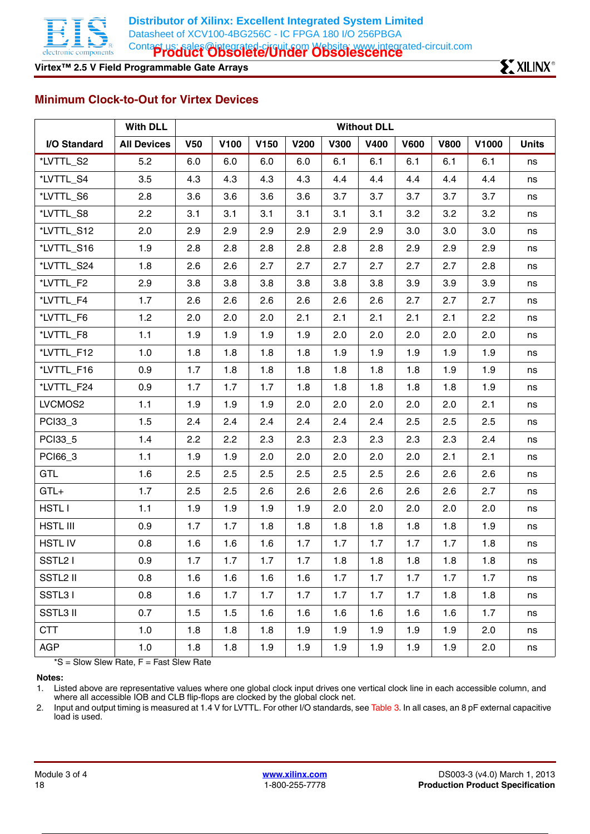

Virtex<sup>™</sup> 2.5 V Field Programmable Gate Arrays **Research Control Control Control Control Control Control Control Control Control Control Control Control Control Control Control Control Control Control Control Control Cont** 

# **Minimum Clock-to-Out for Virtex Devices**

|                      | <b>With DLL</b>    |            | <b>Without DLL</b> |             |             |             |      |             |             |       |              |
|----------------------|--------------------|------------|--------------------|-------------|-------------|-------------|------|-------------|-------------|-------|--------------|
| I/O Standard         | <b>All Devices</b> | <b>V50</b> | V100               | <b>V150</b> | <b>V200</b> | <b>V300</b> | V400 | <b>V600</b> | <b>V800</b> | V1000 | <b>Units</b> |
| *LVTTL_S2            | 5.2                | 6.0        | 6.0                | 6.0         | 6.0         | 6.1         | 6.1  | 6.1         | 6.1         | 6.1   | ns           |
| *LVTTL_S4            | 3.5                | 4.3        | 4.3                | 4.3         | 4.3         | 4.4         | 4.4  | 4.4         | 4.4         | 4.4   | ns           |
| *LVTTL_S6            | 2.8                | 3.6        | 3.6                | 3.6         | 3.6         | 3.7         | 3.7  | 3.7         | 3.7         | 3.7   | ns           |
| *LVTTL_S8            | 2.2                | 3.1        | 3.1                | 3.1         | 3.1         | 3.1         | 3.1  | 3.2         | 3.2         | 3.2   | ns           |
| *LVTTL_S12           | 2.0                | 2.9        | 2.9                | 2.9         | 2.9         | 2.9         | 2.9  | 3.0         | 3.0         | 3.0   | ns           |
| *LVTTL_S16           | 1.9                | 2.8        | 2.8                | 2.8         | 2.8         | 2.8         | 2.8  | 2.9         | 2.9         | 2.9   | ns           |
| *LVTTL_S24           | 1.8                | 2.6        | 2.6                | 2.7         | 2.7         | 2.7         | 2.7  | 2.7         | 2.7         | 2.8   | ns           |
| *LVTTL_F2            | 2.9                | 3.8        | 3.8                | 3.8         | 3.8         | 3.8         | 3.8  | 3.9         | 3.9         | 3.9   | ns           |
| *LVTTL_F4            | 1.7                | 2.6        | 2.6                | 2.6         | 2.6         | 2.6         | 2.6  | 2.7         | 2.7         | 2.7   | ns           |
| *LVTTL_F6            | 1.2                | 2.0        | 2.0                | 2.0         | 2.1         | 2.1         | 2.1  | 2.1         | 2.1         | 2.2   | ns           |
| *LVTTL_F8            | 1.1                | 1.9        | 1.9                | 1.9         | 1.9         | 2.0         | 2.0  | 2.0         | 2.0         | 2.0   | ns           |
| *LVTTL_F12           | 1.0                | 1.8        | 1.8                | 1.8         | 1.8         | 1.9         | 1.9  | 1.9         | 1.9         | 1.9   | ns           |
| *LVTTL_F16           | 0.9                | 1.7        | 1.8                | 1.8         | 1.8         | 1.8         | 1.8  | 1.8         | 1.9         | 1.9   | ns           |
| *LVTTL_F24           | 0.9                | 1.7        | 1.7                | 1.7         | 1.8         | 1.8         | 1.8  | 1.8         | 1.8         | 1.9   | ns           |
| LVCMOS2              | 1.1                | 1.9        | 1.9                | 1.9         | 2.0         | 2.0         | 2.0  | 2.0         | 2.0         | 2.1   | ns           |
| PCI33_3              | 1.5                | 2.4        | 2.4                | 2.4         | 2.4         | 2.4         | 2.4  | 2.5         | 2.5         | 2.5   | ns           |
| PCI33_5              | 1.4                | 2.2        | 2.2                | 2.3         | 2.3         | 2.3         | 2.3  | 2.3         | 2.3         | 2.4   | ns           |
| PCI66_3              | $1.1$              | 1.9        | 1.9                | 2.0         | 2.0         | 2.0         | 2.0  | 2.0         | 2.1         | 2.1   | ns           |
| <b>GTL</b>           | 1.6                | 2.5        | 2.5                | 2.5         | 2.5         | 2.5         | 2.5  | 2.6         | 2.6         | 2.6   | ns           |
| $GTL+$               | 1.7                | 2.5        | 2.5                | 2.6         | 2.6         | 2.6         | 2.6  | 2.6         | 2.6         | 2.7   | ns           |
| HSTL I               | 1.1                | 1.9        | 1.9                | 1.9         | 1.9         | 2.0         | 2.0  | 2.0         | 2.0         | 2.0   | ns           |
| <b>HSTL III</b>      | 0.9                | 1.7        | 1.7                | 1.8         | 1.8         | 1.8         | 1.8  | 1.8         | $1.8$       | 1.9   | ns           |
| <b>HSTLIV</b>        | 0.8                | 1.6        | 1.6                | 1.6         | 1.7         | 1.7         | 1.7  | 1.7         | 1.7         | 1.8   | ns           |
| SSTL <sub>2</sub> I  | 0.9                | 1.7        | 1.7                | 1.7         | 1.7         | 1.8         | 1.8  | 1.8         | 1.8         | 1.8   | ns           |
| SSTL <sub>2</sub> II | 0.8                | 1.6        | 1.6                | 1.6         | 1.6         | 1.7         | 1.7  | 1.7         | 1.7         | 1.7   | ns           |
| SSTL31               | 0.8                | 1.6        | 1.7                | 1.7         | 1.7         | 1.7         | 1.7  | 1.7         | 1.8         | 1.8   | ns           |
| <b>SSTL3 II</b>      | 0.7                | 1.5        | 1.5                | 1.6         | 1.6         | 1.6         | 1.6  | 1.6         | 1.6         | 1.7   | ns           |
| <b>CTT</b>           | 1.0                | 1.8        | 1.8                | 1.8         | 1.9         | 1.9         | 1.9  | 1.9         | 1.9         | 2.0   | ns           |
| <b>AGP</b>           | 1.0                | 1.8        | 1.8                | 1.9         | 1.9         | 1.9         | 1.9  | 1.9         | 1.9         | 2.0   | ns           |

 $*S =$  Slow Slew Rate,  $F =$  Fast Slew Rate

#### **Notes:**

1. Listed above are representative values where one global clock input drives one vertical clock line in each accessible column, and where all accessible IOB and CLB flip-flops are clocked by the global clock net.

2. Input and output timing is measured at 1.4 V for LVTTL. For other I/O standards, see Table 3. In all cases, an 8 pF external capacitive load is used.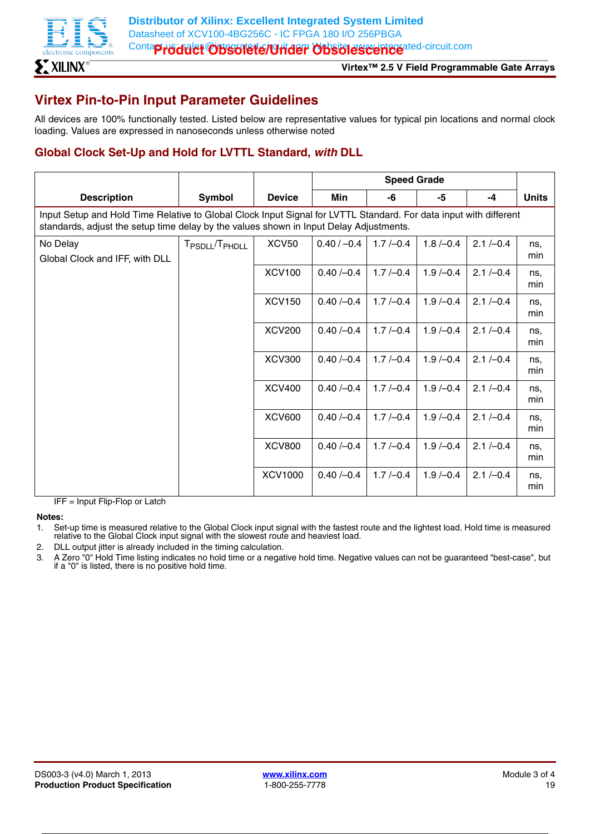

**EXAILINX<sup>®</sup> THE CONSTRUCTED AT A RESERVE THE CONSTRUCTED AT A Virtex™ 2.5 V Field Programmable Gate Arrays** 

# **Virtex Pin-to-Pin Input Parameter Guidelines**

All devices are 100% functionally tested. Listed below are representative values for typical pin locations and normal clock loading. Values are expressed in nanoseconds unless otherwise noted

## **Global Clock Set-Up and Hold for LVTTL Standard,** *with* **DLL**

| <b>Description</b>                                                                                                                                                                                          | Symbol                                 | <b>Device</b>  | Min         | -6         | -5          | $-4$         | <b>Units</b> |  |  |
|-------------------------------------------------------------------------------------------------------------------------------------------------------------------------------------------------------------|----------------------------------------|----------------|-------------|------------|-------------|--------------|--------------|--|--|
| Input Setup and Hold Time Relative to Global Clock Input Signal for LVTTL Standard. For data input with different<br>standards, adjust the setup time delay by the values shown in Input Delay Adjustments. |                                        |                |             |            |             |              |              |  |  |
| No Delay<br>Global Clock and IFF, with DLL                                                                                                                                                                  | T <sub>PSDLL</sub> /T <sub>PHDLL</sub> | <b>XCV50</b>   | $0.40/-0.4$ | $1.7/-0.4$ | $1.8/-0.4$  | $2.1 / -0.4$ | ns,<br>min   |  |  |
|                                                                                                                                                                                                             |                                        | <b>XCV100</b>  | $0.40/-0.4$ | $1.7/-0.4$ | $1.9/-0.4$  | $2.1 / -0.4$ | ns,<br>min   |  |  |
|                                                                                                                                                                                                             |                                        | <b>XCV150</b>  | $0.40/-0.4$ | $1.7/-0.4$ | $1.9/-0.4$  | $2.1 / -0.4$ | ns,<br>min   |  |  |
|                                                                                                                                                                                                             |                                        | <b>XCV200</b>  | $0.40/-0.4$ | $1.7/-0.4$ | $1.9/-0.4$  | $2.1 / -0.4$ | ns,<br>min   |  |  |
|                                                                                                                                                                                                             |                                        | <b>XCV300</b>  | $0.40/-0.4$ | $1.7/-0.4$ | $1.9 - 0.4$ | $2.1 / -0.4$ | ns,<br>min   |  |  |
|                                                                                                                                                                                                             |                                        | <b>XCV400</b>  | $0.40/-0.4$ | $1.7/-0.4$ | $1.9/-0.4$  | $2.1 / -0.4$ | ns,<br>min   |  |  |
|                                                                                                                                                                                                             |                                        | <b>XCV600</b>  | $0.40/-0.4$ | $1.7/-0.4$ | $1.9/-0.4$  | $2.1 / -0.4$ | ns,<br>min   |  |  |
|                                                                                                                                                                                                             |                                        | <b>XCV800</b>  | $0.40/-0.4$ | $1.7/-0.4$ | $1.9/-0.4$  | $2.1 / -0.4$ | ns,<br>min   |  |  |
|                                                                                                                                                                                                             |                                        | <b>XCV1000</b> | $0.40/-0.4$ | $1.7/-0.4$ | $1.9/-0.4$  | $2.1 / -0.4$ | ns,<br>min   |  |  |

IFF = Input Flip-Flop or Latch

**Notes:** 

1. Set-up time is measured relative to the Global Clock input signal with the fastest route and the lightest load. Hold time is measured relative to the Global Clock input signal with the slowest route and heaviest load.

2. DLL output jitter is already included in the timing calculation.

3. A Zero "0" Hold Time listing indicates no hold time or a negative hold time. Negative values can not be guaranteed "best-case", but if a "0" is listed, there is no positive hold time.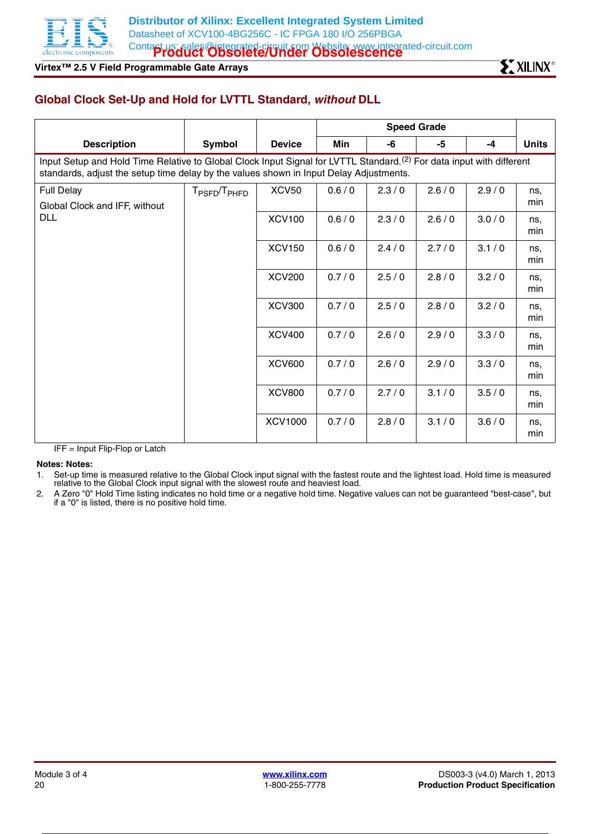

# **Global Clock Set-Up and Hold for LVTTL Standard,** *without* **DLL**

| <b>Description</b>                                                                                                                                                                                                         | Symbol                               | <b>Device</b>  | Min   | -6    | -5    | $-4$  | <b>Units</b> |  |  |  |
|----------------------------------------------------------------------------------------------------------------------------------------------------------------------------------------------------------------------------|--------------------------------------|----------------|-------|-------|-------|-------|--------------|--|--|--|
| Input Setup and Hold Time Relative to Global Clock Input Signal for LVTTL Standard. <sup>(2)</sup> For data input with different<br>standards, adjust the setup time delay by the values shown in Input Delay Adjustments. |                                      |                |       |       |       |       |              |  |  |  |
| <b>Full Delay</b><br>Global Clock and IFF, without<br><b>DLL</b>                                                                                                                                                           | T <sub>PSFD</sub> /T <sub>PHFD</sub> | <b>XCV50</b>   | 0.6/0 | 2.3/0 | 2.6/0 | 2.9/0 | ns,<br>min   |  |  |  |
|                                                                                                                                                                                                                            |                                      | <b>XCV100</b>  | 0.6/0 | 2.3/0 | 2.6/0 | 3.0/0 | ns,<br>min   |  |  |  |
|                                                                                                                                                                                                                            |                                      | <b>XCV150</b>  | 0.6/0 | 2.4/0 | 2.7/0 | 3.1/0 | ns.<br>min   |  |  |  |
|                                                                                                                                                                                                                            |                                      | <b>XCV200</b>  | 0.7/0 | 2.5/0 | 2.8/0 | 3.2/0 | ns.<br>min   |  |  |  |
|                                                                                                                                                                                                                            |                                      | <b>XCV300</b>  | 0.7/0 | 2.5/0 | 2.8/0 | 3.2/0 | ns,<br>min   |  |  |  |
|                                                                                                                                                                                                                            |                                      | <b>XCV400</b>  | 0.7/0 | 2.6/0 | 2.9/0 | 3.3/0 | ns.<br>min   |  |  |  |
|                                                                                                                                                                                                                            |                                      | <b>XCV600</b>  | 0.7/0 | 2.6/0 | 2.9/0 | 3.3/0 | ns,<br>min   |  |  |  |
|                                                                                                                                                                                                                            |                                      | <b>XCV800</b>  | 0.7/0 | 2.7/0 | 3.1/0 | 3.5/0 | ns.<br>min   |  |  |  |
|                                                                                                                                                                                                                            |                                      | <b>XCV1000</b> | 0.7/0 | 2.8/0 | 3.1/0 | 3.6/0 | ns,<br>min   |  |  |  |

IFF = Input Flip-Flop or Latch

#### **Notes: Notes:**

1. Set-up time is measured relative to the Global Clock input signal with the fastest route and the lightest load. Hold time is measured relative to the Global Clock input signal with the slowest route and heaviest load.

2. A Zero "0" Hold Time listing indicates no hold time or a negative hold time. Negative values can not be guaranteed "best-case", but if a "0" is listed, there is no positive hold time.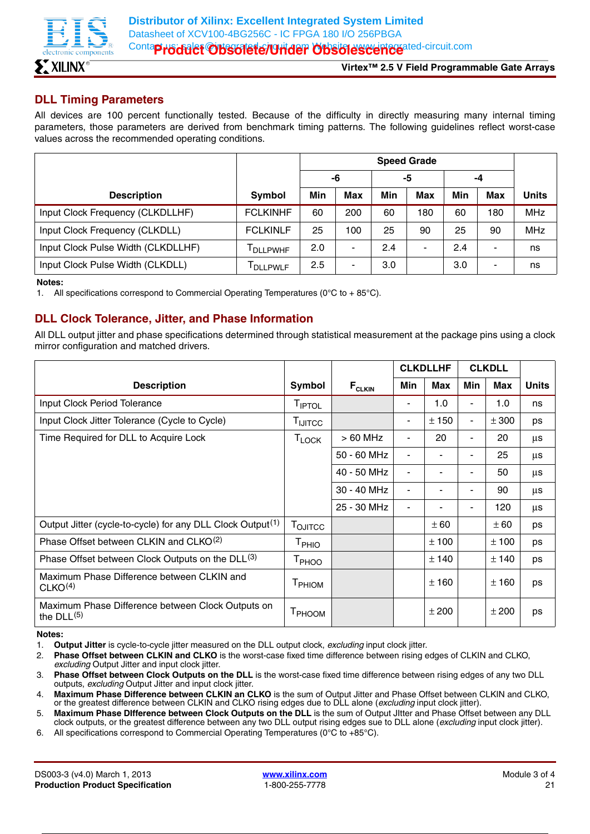

**Virtex™ 2.5 V Field Programmable Gate Arrays** <sup>R</sup>

# **DLL Timing Parameters**

All devices are 100 percent functionally tested. Because of the difficulty in directly measuring many internal timing parameters, those parameters are derived from benchmark timing patterns. The following guidelines reflect worst-case values across the recommended operating conditions.

|                                    |                      | <b>Speed Grade</b> |                          |     |            |     |                          |              |
|------------------------------------|----------------------|--------------------|--------------------------|-----|------------|-----|--------------------------|--------------|
|                                    |                      | -6                 |                          | -5  |            |     | -4                       |              |
| <b>Description</b>                 | Symbol               | Min                | <b>Max</b>               | Min | <b>Max</b> | Min | <b>Max</b>               | <b>Units</b> |
| Input Clock Frequency (CLKDLLHF)   | <b>FCLKINHF</b>      | 60                 | 200                      | 60  | 180        | 60  | 180                      | <b>MHz</b>   |
| Input Clock Frequency (CLKDLL)     | <b>FCLKINLF</b>      | 25                 | 100                      | 25  | 90         | 25  | 90                       | <b>MHz</b>   |
| Input Clock Pulse Width (CLKDLLHF) | <b>I</b> DLLPWHF     | 2.0                | -                        | 2.4 |            | 2.4 |                          | ns           |
| Input Clock Pulse Width (CLKDLL)   | <sup>I</sup> DLLPWLF | 2.5                | $\overline{\phantom{0}}$ | 3.0 |            | 3.0 | $\overline{\phantom{0}}$ | ns           |

#### **Notes:**

1. All specifications correspond to Commercial Operating Temperatures (0°C to + 85°C).

# **DLL Clock Tolerance, Jitter, and Phase Information**

All DLL output jitter and phase specifications determined through statistical measurement at the package pins using a clock mirror configuration and matched drivers.

|                                                                        |                              |             | <b>CLKDLLHF</b>          |                | <b>CLKDLL</b>            |       |              |
|------------------------------------------------------------------------|------------------------------|-------------|--------------------------|----------------|--------------------------|-------|--------------|
| <b>Description</b>                                                     | Symbol                       | $F_{CLKIN}$ | Min                      | Max            | Min                      | Max   | <b>Units</b> |
| Input Clock Period Tolerance                                           | TIPTOL                       |             | $\overline{a}$           | 1.0            |                          | 1.0   | ns           |
| Input Clock Jitter Tolerance (Cycle to Cycle)                          | T <sub>IJITCC</sub>          |             | $\overline{a}$           | ± 150          | $\overline{\phantom{a}}$ | ± 300 | ps           |
| Time Required for DLL to Acquire Lock                                  | $\mathsf{T}_{\mathsf{LOCK}}$ | $>60$ MHz   | $\overline{\phantom{0}}$ | 20             | $\overline{\phantom{a}}$ | 20    | μs           |
|                                                                        |                              | 50 - 60 MHz | $\overline{\phantom{0}}$ | -              |                          | 25    | μs           |
|                                                                        |                              | 40 - 50 MHz | $\overline{\phantom{0}}$ | -              | $\overline{\phantom{a}}$ | 50    | μs           |
|                                                                        |                              | 30 - 40 MHz | $\overline{a}$           | $\blacksquare$ | $\overline{\phantom{a}}$ | 90    | μs           |
|                                                                        |                              | 25 - 30 MHz | $\overline{\phantom{0}}$ |                |                          | 120   | μs           |
| Output Jitter (cycle-to-cycle) for any DLL Clock Output <sup>(1)</sup> | TOJITCC                      |             |                          | ± 60           |                          | ± 60  | ps           |
| Phase Offset between CLKIN and CLKO <sup>(2)</sup>                     | T <sub>PHIO</sub>            |             |                          | ±100           |                          | ±100  | ps           |
| Phase Offset between Clock Outputs on the DLL <sup>(3)</sup>           | T <sub>PHOO</sub>            |             |                          | ± 140          |                          | ± 140 | ps           |
| Maximum Phase Difference between CLKIN and<br>CLKO <sup>(4)</sup>      | T <sub>PHIOM</sub>           |             |                          | ±160           |                          | ±160  | ps           |
| Maximum Phase Difference between Clock Outputs on<br>the $DLL(5)$      | T <sub>PHOOM</sub>           |             |                          | ±200           |                          | ±200  | ps           |

#### **Notes:**

1. **Output Jitter** is cycle-to-cycle jitter measured on the DLL output clock, *excluding* input clock jitter.

- 2. **Phase Offset between CLKIN and CLKO** is the worst-case fixed time difference between rising edges of CLKIN and CLKO, *excluding* Output Jitter and input clock jitter.
- 3. **Phase Offset between Clock Outputs on the DLL** is the worst-case fixed time difference between rising edges of any two DLL outputs, *excluding* Output Jitter and input clock jitter.
- 4. **Maximum Phase Difference between CLKIN an CLKO** is the sum of Output Jitter and Phase Offset between CLKIN and CLKO, or the greatest difference between CLKIN and CLKO rising edges due to DLL alone (*excluding* input clock jitter).
- 5. **Maximum Phase DIfference between Clock Outputs on the DLL** is the sum of Output JItter and Phase Offset between any DLL clock outputs, or the greatest difference between any two DLL output rising edges sue to DLL alone (*excluding* input clock jitter).
- 6. All specifications correspond to Commercial Operating Temperatures (0°C to +85°C).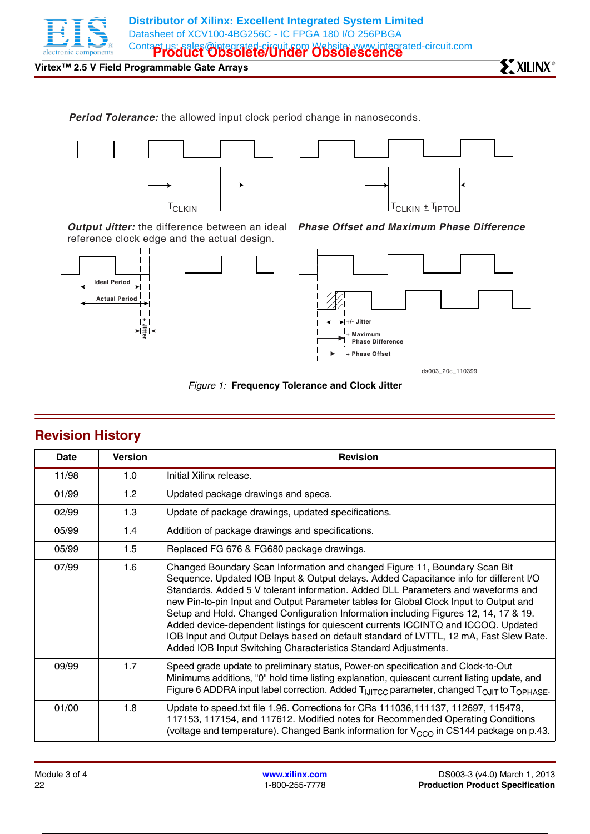

**Period Tolerance:** the allowed input clock period change in nanoseconds.





reference clock edge and the actual design.



*Output Jitter:* the difference between an ideal *Phase Offset and Maximum Phase Difference*



*Figure 1:* **Frequency Tolerance and Clock Jitter**

| <b>Date</b> | <b>Version</b>   | <b>Revision</b>                                                                                                                                                                                                                                                                                                                                                                                                                                                                                                                                                                                                                                                                             |
|-------------|------------------|---------------------------------------------------------------------------------------------------------------------------------------------------------------------------------------------------------------------------------------------------------------------------------------------------------------------------------------------------------------------------------------------------------------------------------------------------------------------------------------------------------------------------------------------------------------------------------------------------------------------------------------------------------------------------------------------|
| 11/98       | 1.0              | Initial Xilinx release.                                                                                                                                                                                                                                                                                                                                                                                                                                                                                                                                                                                                                                                                     |
| 01/99       | 1.2 <sub>2</sub> | Updated package drawings and specs.                                                                                                                                                                                                                                                                                                                                                                                                                                                                                                                                                                                                                                                         |
| 02/99       | 1.3              | Update of package drawings, updated specifications.                                                                                                                                                                                                                                                                                                                                                                                                                                                                                                                                                                                                                                         |
| 05/99       | 1.4              | Addition of package drawings and specifications.                                                                                                                                                                                                                                                                                                                                                                                                                                                                                                                                                                                                                                            |
| 05/99       | 1.5              | Replaced FG 676 & FG680 package drawings.                                                                                                                                                                                                                                                                                                                                                                                                                                                                                                                                                                                                                                                   |
| 07/99       | 1.6              | Changed Boundary Scan Information and changed Figure 11, Boundary Scan Bit<br>Sequence. Updated IOB Input & Output delays. Added Capacitance info for different I/O<br>Standards. Added 5 V tolerant information. Added DLL Parameters and waveforms and<br>new Pin-to-pin Input and Output Parameter tables for Global Clock Input to Output and<br>Setup and Hold. Changed Configuration Information including Figures 12, 14, 17 & 19.<br>Added device-dependent listings for quiescent currents ICCINTQ and ICCOQ. Updated<br>IOB Input and Output Delays based on default standard of LVTTL, 12 mA, Fast Slew Rate.<br>Added IOB Input Switching Characteristics Standard Adjustments. |
| 09/99       | 1.7              | Speed grade update to preliminary status, Power-on specification and Clock-to-Out<br>Minimums additions, "0" hold time listing explanation, quiescent current listing update, and<br>Figure 6 ADDRA input label correction. Added $T_{\text{LITCC}}$ parameter, changed $T_{\text{O,III}}$ to $T_{\text{OPHASE}}$ .                                                                                                                                                                                                                                                                                                                                                                         |
| 01/00       | 1.8              | Update to speed.txt file 1.96. Corrections for CRs 111036,111137, 112697, 115479,<br>117153, 117154, and 117612. Modified notes for Recommended Operating Conditions<br>(voltage and temperature). Changed Bank information for $V_{CCO}$ in CS144 package on p.43.                                                                                                                                                                                                                                                                                                                                                                                                                         |

# **Revision History**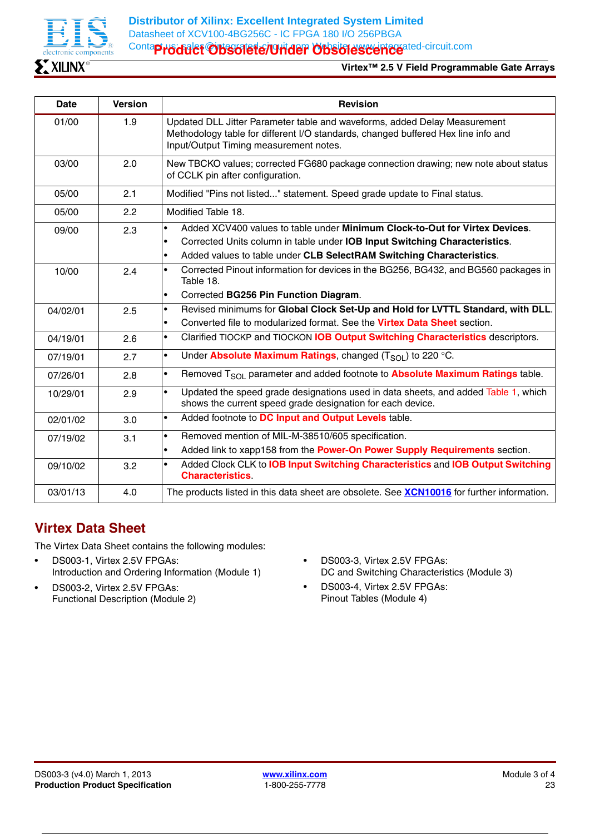

# **Virtex™ 2.5 V Field Programmable Gate Arrays** <sup>R</sup>

| <b>Date</b> | <b>Version</b> | <b>Revision</b>                                                                                                                                                                                                                                             |
|-------------|----------------|-------------------------------------------------------------------------------------------------------------------------------------------------------------------------------------------------------------------------------------------------------------|
| 01/00       | 1.9            | Updated DLL Jitter Parameter table and waveforms, added Delay Measurement<br>Methodology table for different I/O standards, changed buffered Hex line info and<br>Input/Output Timing measurement notes.                                                    |
| 03/00       | 2.0            | New TBCKO values; corrected FG680 package connection drawing; new note about status<br>of CCLK pin after configuration.                                                                                                                                     |
| 05/00       | 2.1            | Modified "Pins not listed" statement. Speed grade update to Final status.                                                                                                                                                                                   |
| 05/00       | 2.2            | Modified Table 18.                                                                                                                                                                                                                                          |
| 09/00       | 2.3            | Added XCV400 values to table under Minimum Clock-to-Out for Virtex Devices.<br>$\bullet$<br>Corrected Units column in table under IOB Input Switching Characteristics.<br>Added values to table under CLB SelectRAM Switching Characteristics.<br>$\bullet$ |
| 10/00       | 2.4            | Corrected Pinout information for devices in the BG256, BG432, and BG560 packages in<br>$\bullet$<br>Table 18.<br>Corrected BG256 Pin Function Diagram.<br>$\bullet$                                                                                         |
| 04/02/01    | 2.5            | Revised minimums for Global Clock Set-Up and Hold for LVTTL Standard, with DLL.<br>$\bullet$<br>Converted file to modularized format. See the Virtex Data Sheet section.<br>$\bullet$                                                                       |
| 04/19/01    | 2.6            | Clarified TIOCKP and TIOCKON IOB Output Switching Characteristics descriptors.<br>$\bullet$                                                                                                                                                                 |
| 07/19/01    | 2.7            | Under Absolute Maximum Ratings, changed $(TSOI)$ to 220 °C.<br>$\bullet$                                                                                                                                                                                    |
| 07/26/01    | 2.8            | Removed T <sub>SOI</sub> parameter and added footnote to <b>Absolute Maximum Ratings</b> table.<br>$\bullet$                                                                                                                                                |
| 10/29/01    | 2.9            | Updated the speed grade designations used in data sheets, and added Table 1, which<br>$\bullet$<br>shows the current speed grade designation for each device.                                                                                               |
| 02/01/02    | 3.0            | Added footnote to DC Input and Output Levels table.<br>$\bullet$                                                                                                                                                                                            |
| 07/19/02    | 3.1            | Removed mention of MIL-M-38510/605 specification.<br>$\bullet$<br>Added link to xapp158 from the Power-On Power Supply Requirements section.<br>$\bullet$                                                                                                   |
| 09/10/02    | 3.2            | Added Clock CLK to <b>IOB Input Switching Characteristics</b> and <b>IOB Output Switching</b><br>$\bullet$<br><b>Characteristics.</b>                                                                                                                       |
| 03/01/13    | 4.0            | The products listed in this data sheet are obsolete. See <b>XCN10016</b> for further information.                                                                                                                                                           |

# **Virtex Data Sheet**

The Virtex Data Sheet contains the following modules:

- DS003-1, Virtex 2.5V FPGAs: Introduction and Ordering Information (Module 1)
- DS003-2, Virtex 2.5V FPGAs: Functional Description (Module 2)
- DS003-3, Virtex 2.5V FPGAs: DC and Switching Characteristics (Module 3)
- DS003-4, Virtex 2.5V FPGAs: Pinout Tables (Module 4)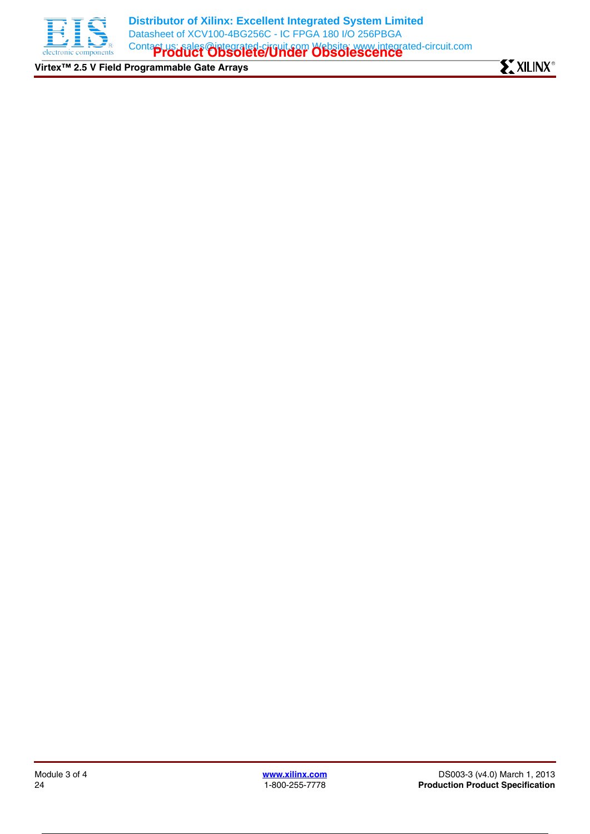

Virtex™ 2.5 V Field Programmable Gate Arrays **CONSTRANT CONSTRANT CONSTRANT CONSTRANT** XILINX<sup>®</sup>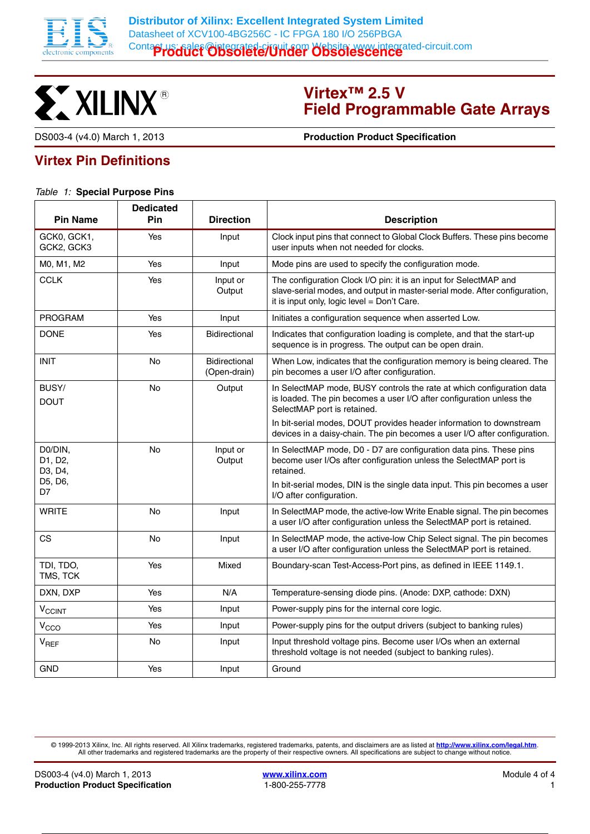



# **Virtex™ 2.5 V Field Programmable Gate Arrays**

DS003-4 (v4.0) March 1, 2013 **0 000 1000 1000 1000 Production Product Specification** 

# **Virtex Pin Definitions**

#### *Table 1:* **Special Purpose Pins**

| <b>Pin Name</b>               | <b>Dedicated</b><br>Pin | <b>Direction</b>              | <b>Description</b>                                                                                                                                                                             |
|-------------------------------|-------------------------|-------------------------------|------------------------------------------------------------------------------------------------------------------------------------------------------------------------------------------------|
| GCK0, GCK1,<br>GCK2, GCK3     | Yes                     | Input                         | Clock input pins that connect to Global Clock Buffers. These pins become<br>user inputs when not needed for clocks.                                                                            |
| M0, M1, M2                    | Yes                     | Input                         | Mode pins are used to specify the configuration mode.                                                                                                                                          |
| <b>CCLK</b>                   | Yes                     | Input or<br>Output            | The configuration Clock I/O pin: it is an input for SelectMAP and<br>slave-serial modes, and output in master-serial mode. After configuration,<br>it is input only, logic level = Don't Care. |
| <b>PROGRAM</b>                | Yes                     | Input                         | Initiates a configuration sequence when asserted Low.                                                                                                                                          |
| <b>DONE</b>                   | Yes                     | <b>Bidirectional</b>          | Indicates that configuration loading is complete, and that the start-up<br>sequence is in progress. The output can be open drain.                                                              |
| <b>INIT</b>                   | No                      | Bidirectional<br>(Open-drain) | When Low, indicates that the configuration memory is being cleared. The<br>pin becomes a user I/O after configuration.                                                                         |
| BUSY/<br><b>DOUT</b>          | No                      | Output                        | In SelectMAP mode, BUSY controls the rate at which configuration data<br>is loaded. The pin becomes a user I/O after configuration unless the<br>SelectMAP port is retained.                   |
|                               |                         |                               | In bit-serial modes, DOUT provides header information to downstream<br>devices in a daisy-chain. The pin becomes a user I/O after configuration.                                               |
| D0/DIN,<br>D1, D2,<br>D3, D4, | No                      | Input or<br>Output            | In SelectMAP mode, D0 - D7 are configuration data pins. These pins<br>become user I/Os after configuration unless the SelectMAP port is<br>retained.                                           |
| D5, D6,<br>D7                 |                         |                               | In bit-serial modes, DIN is the single data input. This pin becomes a user<br>I/O after configuration.                                                                                         |
| <b>WRITE</b>                  | <b>No</b>               | Input                         | In SelectMAP mode, the active-low Write Enable signal. The pin becomes<br>a user I/O after configuration unless the SelectMAP port is retained.                                                |
| <b>CS</b>                     | No                      | Input                         | In SelectMAP mode, the active-low Chip Select signal. The pin becomes<br>a user I/O after configuration unless the SelectMAP port is retained.                                                 |
| TDI, TDO,<br>TMS, TCK         | Yes                     | Mixed                         | Boundary-scan Test-Access-Port pins, as defined in IEEE 1149.1.                                                                                                                                |
| DXN, DXP                      | Yes                     | N/A                           | Temperature-sensing diode pins. (Anode: DXP, cathode: DXN)                                                                                                                                     |
| $V_{C CINT}$                  | Yes                     | Input                         | Power-supply pins for the internal core logic.                                                                                                                                                 |
| V <sub>CCO</sub>              | Yes                     | Input                         | Power-supply pins for the output drivers (subject to banking rules)                                                                                                                            |
| $V_{REF}$                     | No                      | Input                         | Input threshold voltage pins. Become user I/Os when an external<br>threshold voltage is not needed (subject to banking rules).                                                                 |
| <b>GND</b>                    | Yes                     | Input                         | Ground                                                                                                                                                                                         |

© 1999-2013 Xilinx, Inc. All rights reserved. All Xilinx trademarks, registered trademarks, patents, and disclaimers are as listed at **http://www.xilinx.com/legal.htm**. All other trademarks and registered trademarks are the property of their respective owners. All specifications are subject to change without notice.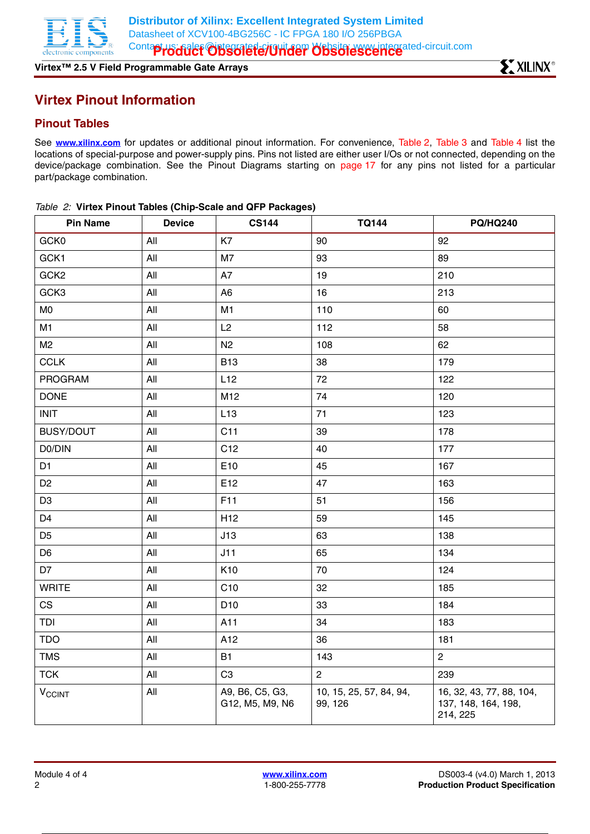

# **Virtex Pinout Information**

# **Pinout Tables**

See **www.xilinx.com** for updates or additional pinout information. For convenience, Table 2, Table 3 and Table 4 list the locations of special-purpose and power-supply pins. Pins not listed are either user I/Os or not connected, depending on the device/package combination. See the Pinout Diagrams starting on page 17 for any pins not listed for a particular part/package combination.

| <b>Pin Name</b>          | <b>Device</b> | There I move rapids (while some and are rapidly of<br><b>CS144</b> | <b>TQ144</b>                       | <b>PQ/HQ240</b>                                             |
|--------------------------|---------------|--------------------------------------------------------------------|------------------------------------|-------------------------------------------------------------|
| GCK0                     | All           | K7                                                                 | 90                                 | 92                                                          |
| GCK1                     | All           | M7                                                                 | 93                                 | 89                                                          |
| GCK <sub>2</sub>         | All           | A7                                                                 | 19                                 | 210                                                         |
| GCK3                     | All           | A <sub>6</sub>                                                     | 16                                 | 213                                                         |
| <b>MO</b>                | All           | M1                                                                 | 110                                | 60                                                          |
| M <sub>1</sub>           | All           | L2                                                                 | 112                                | 58                                                          |
| M <sub>2</sub>           | All           | N <sub>2</sub>                                                     | 108                                | 62                                                          |
| CCLK                     | All           | <b>B13</b>                                                         | 38                                 | 179                                                         |
| PROGRAM                  | All           | L12                                                                | 72                                 | 122                                                         |
| <b>DONE</b>              | All           | M12                                                                | 74                                 | 120                                                         |
| <b>INIT</b>              | All           | L13                                                                | 71                                 | 123                                                         |
| <b>BUSY/DOUT</b>         | All           | C11                                                                | 39                                 | 178                                                         |
| D0/DIN                   | All           | C12                                                                | 40                                 | 177                                                         |
| D <sub>1</sub>           | All           | E10                                                                | 45                                 | 167                                                         |
| D <sub>2</sub>           | All           | E12                                                                | 47                                 | 163                                                         |
| D <sub>3</sub>           | All           | F11                                                                | 51                                 | 156                                                         |
| D <sub>4</sub>           | All           | H <sub>12</sub>                                                    | 59                                 | 145                                                         |
| D <sub>5</sub>           | All           | J13                                                                | 63                                 | 138                                                         |
| D <sub>6</sub>           | All           | J11                                                                | 65                                 | 134                                                         |
| D7                       | All           | K10                                                                | 70                                 | 124                                                         |
| <b>WRITE</b>             | All           | C10                                                                | 32                                 | 185                                                         |
| CS                       | All           | D <sub>10</sub>                                                    | 33                                 | 184                                                         |
| TDI                      | All           | A11                                                                | 34                                 | 183                                                         |
| <b>TDO</b>               | All           | A12                                                                | 36                                 | 181                                                         |
| <b>TMS</b>               | All           | <b>B1</b>                                                          | 143                                | $\overline{2}$                                              |
| <b>TCK</b>               | All           | C <sub>3</sub>                                                     | $\overline{2}$                     | 239                                                         |
| <b>V<sub>CCINT</sub></b> | All           | A9, B6, C5, G3,<br>G12, M5, M9, N6                                 | 10, 15, 25, 57, 84, 94,<br>99, 126 | 16, 32, 43, 77, 88, 104,<br>137, 148, 164, 198,<br>214, 225 |

#### *Table 2:* **Virtex Pinout Tables (Chip-Scale and QFP Packages)**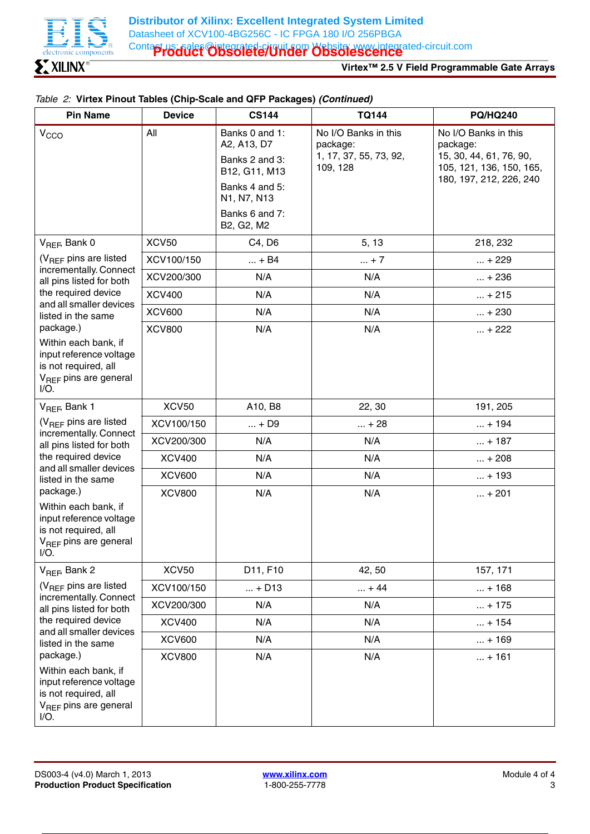

#### *Table 2:* **Virtex Pinout Tables (Chip-Scale and QFP Packages)** *(Continued)*

| <b>Pin Name</b>                                                                                                                      | <b>Device</b> | <b>CS144</b>                                                     | <b>TQ144</b>                                                           | <b>PQ/HQ240</b>                                                                         |
|--------------------------------------------------------------------------------------------------------------------------------------|---------------|------------------------------------------------------------------|------------------------------------------------------------------------|-----------------------------------------------------------------------------------------|
| V <sub>CCO</sub>                                                                                                                     | All           | Banks 0 and 1:<br>A2, A13, D7<br>Banks 2 and 3:<br>B12, G11, M13 | No I/O Banks in this<br>package:<br>1, 17, 37, 55, 73, 92,<br>109, 128 | No I/O Banks in this<br>package:<br>15, 30, 44, 61, 76, 90,<br>105, 121, 136, 150, 165, |
|                                                                                                                                      |               | Banks 4 and 5:<br>N1, N7, N13                                    |                                                                        | 180, 197, 212, 226, 240                                                                 |
|                                                                                                                                      |               | Banks 6 and 7:<br>B2, G2, M2                                     |                                                                        |                                                                                         |
| $V_{RFE}$ Bank 0                                                                                                                     | <b>XCV50</b>  | C4, D6                                                           | 5, 13                                                                  | 218, 232                                                                                |
| $(V_{BFF}$ pins are listed                                                                                                           | XCV100/150    | $ + B4$                                                          | $ + 7$                                                                 | $ + 229$                                                                                |
| incrementally. Connect<br>all pins listed for both                                                                                   | XCV200/300    | N/A                                                              | N/A                                                                    | $ + 236$                                                                                |
| the required device                                                                                                                  | <b>XCV400</b> | N/A                                                              | N/A                                                                    | $ + 215$                                                                                |
| and all smaller devices<br>listed in the same                                                                                        | <b>XCV600</b> | N/A                                                              | N/A                                                                    | $ + 230$                                                                                |
| package.)<br>Within each bank, if<br>input reference voltage<br>is not required, all<br>V <sub>REF</sub> pins are general<br>$I/O$ . | <b>XCV800</b> | N/A                                                              | N/A                                                                    | $ + 222$                                                                                |
| V <sub>REF</sub> , Bank 1                                                                                                            | <b>XCV50</b>  | A10, B8                                                          | 22, 30                                                                 | 191, 205                                                                                |
| (V <sub>REF</sub> pins are listed                                                                                                    | XCV100/150    | $ + D9$                                                          | $ + 28$                                                                | $ + 194$                                                                                |
| incrementally. Connect<br>all pins listed for both                                                                                   | XCV200/300    | N/A                                                              | N/A                                                                    | $ + 187$                                                                                |
| the required device                                                                                                                  | <b>XCV400</b> | N/A                                                              | N/A                                                                    | $ + 208$                                                                                |
| and all smaller devices<br>listed in the same                                                                                        | <b>XCV600</b> | N/A                                                              | N/A                                                                    | $ + 193$                                                                                |
| package.)<br>Within each bank, if<br>input reference voltage<br>is not required, all<br>$V_{\text{REF}}$ pins are general<br>I/U.    | <b>XCV800</b> | N/A                                                              | N/A                                                                    | $ + 201$                                                                                |
| V <sub>REF</sub> , Bank 2                                                                                                            | <b>XCV50</b>  | D11, F10                                                         | 42, 50                                                                 | 157, 171                                                                                |
| $(V_{RFF}$ pins are listed<br>incrementally. Connect                                                                                 | XCV100/150    | $ + D13$                                                         | $ + 44$                                                                | $ + 168$                                                                                |
| all pins listed for both                                                                                                             | XCV200/300    | N/A                                                              | N/A                                                                    | $ + 175$                                                                                |
| the required device<br>and all smaller devices                                                                                       | <b>XCV400</b> | N/A                                                              | N/A                                                                    | $ + 154$                                                                                |
| listed in the same                                                                                                                   | <b>XCV600</b> | N/A                                                              | N/A                                                                    | $ + 169$                                                                                |
| package.)<br>Within each bank, if<br>input reference voltage<br>is not required, all<br>$V_{\text{BFF}}$ pins are general<br>$I/O$ . | <b>XCV800</b> | N/A                                                              | N/A                                                                    | $ + 161$                                                                                |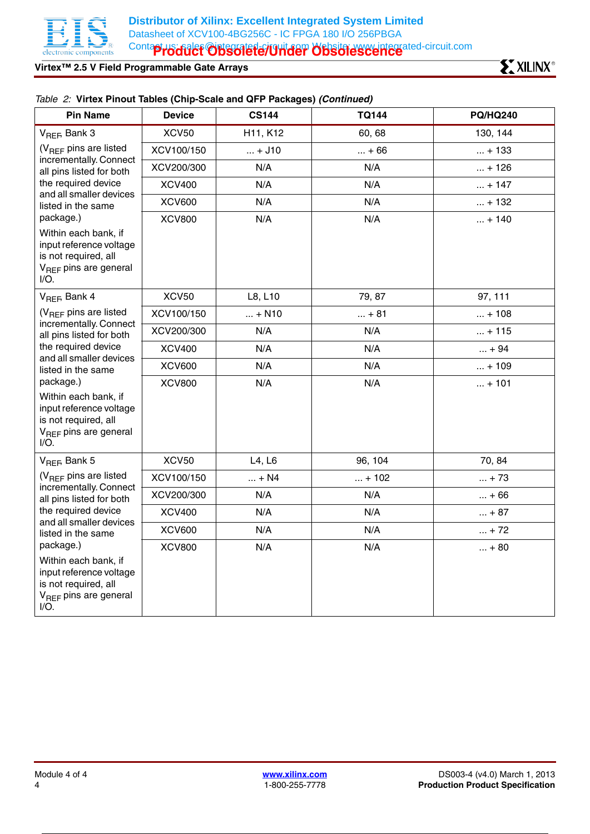

# Virtex<sup>™</sup> 2.5 V Field Programmable Gate Arrays **Research Control of Arrays** Research Control Control of Arrays Research Research Research Research Research Research Research Research Research Research Research Research Re

#### *Table 2:* **Virtex Pinout Tables (Chip-Scale and QFP Packages)** *(Continued)*

| <b>Pin Name</b>                                                                                                                   | <b>Device</b> | <b>CS144</b> | <b>TQ144</b> | <b>PQ/HQ240</b>    |
|-----------------------------------------------------------------------------------------------------------------------------------|---------------|--------------|--------------|--------------------|
| V <sub>REF</sub> , Bank 3                                                                                                         | <b>XCV50</b>  | H11, K12     | 60, 68       | 130, 144           |
| $(V_{RFF}$ pins are listed                                                                                                        | XCV100/150    | $ + J10$     | $ + 66$      | $ + 133$           |
| incrementally. Connect<br>all pins listed for both                                                                                | XCV200/300    | N/A          | N/A          | $ + 126$           |
| the required device                                                                                                               | <b>XCV400</b> | N/A          | N/A          | $ + 147$           |
| and all smaller devices<br>listed in the same                                                                                     | <b>XCV600</b> | N/A          | N/A          | + 132              |
| package.)<br>Within each bank, if<br>input reference voltage<br>is not required, all<br>$V_{BFF}$ pins are general<br>$I/O$ .     | <b>XCV800</b> | N/A          | N/A          | $ + 140$           |
| V <sub>REF</sub> , Bank 4                                                                                                         | <b>XCV50</b>  | L8, L10      | 79, 87       | 97, 111            |
| (V <sub>REF</sub> pins are listed                                                                                                 | XCV100/150    | $ + N10$     | $ + 81$      | $ + 108$           |
| incrementally. Connect<br>all pins listed for both                                                                                | XCV200/300    | N/A          | N/A          | $ + 115$           |
| the required device<br>and all smaller devices                                                                                    | <b>XCV400</b> | N/A          | N/A          | $ + 94$            |
| listed in the same                                                                                                                | <b>XCV600</b> | N/A          | N/A          | $ + 109$           |
| package.)<br>Within each bank, if<br>input reference voltage<br>is not required, all<br>V <sub>REF</sub> pins are general<br>I/O. | <b>XCV800</b> | N/A          | N/A          | $ + 101$           |
| V <sub>REF</sub> , Bank 5                                                                                                         | <b>XCV50</b>  | L4, L6       | 96, 104      | 70, 84             |
| (V <sub>REF</sub> pins are listed                                                                                                 | XCV100/150    | $ + N4$      | $ + 102$     | $ + 73$            |
| incrementally. Connect<br>all pins listed for both                                                                                | XCV200/300    | N/A          | N/A          | $\ldots$ + 66 $\,$ |
| the required device                                                                                                               | <b>XCV400</b> | N/A          | N/A          | $ + 87$            |
| and all smaller devices<br>listed in the same                                                                                     | <b>XCV600</b> | N/A          | N/A          | $ + 72$            |
| package.)                                                                                                                         | <b>XCV800</b> | N/A          | N/A          | $ + 80$            |
| Within each bank, if<br>input reference voltage<br>is not required, all<br>V <sub>REF</sub> pins are general<br>I/O.              |               |              |              |                    |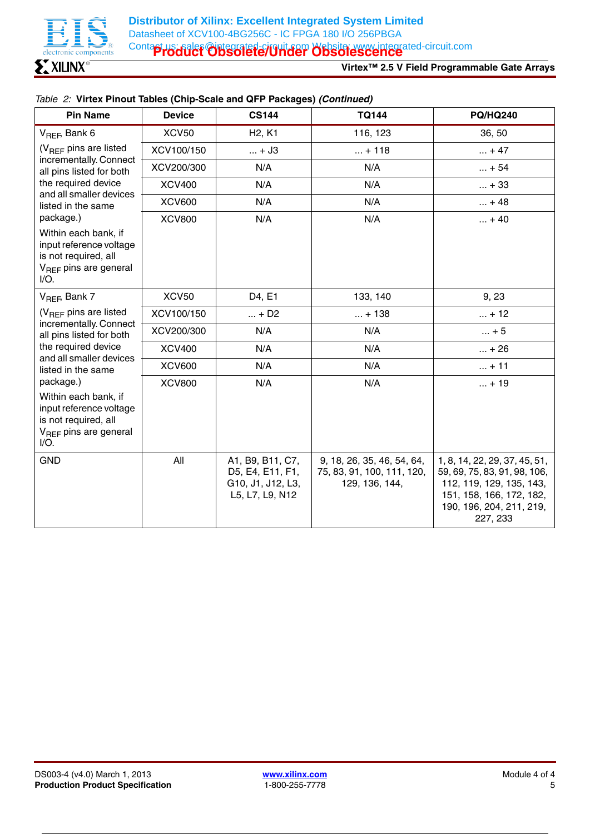

| <b>Pin Name</b>                                                                                                  | <b>Device</b> | <b>CS144</b>                                                                 | <b>TQ144</b>                                                               | <b>PQ/HQ240</b>                                                                                                                                               |
|------------------------------------------------------------------------------------------------------------------|---------------|------------------------------------------------------------------------------|----------------------------------------------------------------------------|---------------------------------------------------------------------------------------------------------------------------------------------------------------|
| $V_{REF}$ Bank 6                                                                                                 | XCV50         | H <sub>2</sub> , K <sub>1</sub>                                              | 116, 123                                                                   | 36, 50                                                                                                                                                        |
| $(V_{BFE}$ pins are listed                                                                                       | XCV100/150    | $ + J3$                                                                      | $ + 118$                                                                   | $ + 47$                                                                                                                                                       |
| incrementally. Connect<br>all pins listed for both                                                               | XCV200/300    | N/A                                                                          | N/A                                                                        | $ + 54$                                                                                                                                                       |
| the required device                                                                                              | <b>XCV400</b> | N/A                                                                          | N/A                                                                        | $ + 33$                                                                                                                                                       |
| and all smaller devices<br>listed in the same                                                                    | <b>XCV600</b> | N/A                                                                          | N/A                                                                        | $ + 48$                                                                                                                                                       |
| package.)                                                                                                        | <b>XCV800</b> | N/A                                                                          | N/A                                                                        | $ + 40$                                                                                                                                                       |
| Within each bank, if<br>input reference voltage<br>is not required, all<br>$V_{BFF}$ pins are general<br>$I/O$ . |               |                                                                              |                                                                            |                                                                                                                                                               |
| V <sub>REF</sub> , Bank 7                                                                                        | <b>XCV50</b>  | D4, E1                                                                       | 133, 140                                                                   | 9, 23                                                                                                                                                         |
| $(V_{BFF}$ pins are listed                                                                                       | XCV100/150    | $ + D2$                                                                      | $ + 138$                                                                   | $ + 12$                                                                                                                                                       |
| incrementally. Connect<br>all pins listed for both                                                               | XCV200/300    | N/A                                                                          | N/A                                                                        | $ + 5$                                                                                                                                                        |
| the required device                                                                                              | <b>XCV400</b> | N/A                                                                          | N/A                                                                        | $ + 26$                                                                                                                                                       |
| and all smaller devices<br>listed in the same                                                                    | <b>XCV600</b> | N/A                                                                          | N/A                                                                        | $ + 11$                                                                                                                                                       |
| package.)                                                                                                        | <b>XCV800</b> | N/A                                                                          | N/A                                                                        | $ + 19$                                                                                                                                                       |
| Within each bank, if<br>input reference voltage<br>is not required, all<br>$V_{BFF}$ pins are general<br>$l/O.$  |               |                                                                              |                                                                            |                                                                                                                                                               |
| <b>GND</b>                                                                                                       | All           | A1, B9, B11, C7,<br>D5, E4, E11, F1,<br>G10, J1, J12, L3,<br>L5, L7, L9, N12 | 9, 18, 26, 35, 46, 54, 64,<br>75, 83, 91, 100, 111, 120,<br>129, 136, 144, | 1, 8, 14, 22, 29, 37, 45, 51,<br>59, 69, 75, 83, 91, 98, 106,<br>112, 119, 129, 135, 143,<br>151, 158, 166, 172, 182,<br>190, 196, 204, 211, 219,<br>227, 233 |

### *Table 2:* **Virtex Pinout Tables (Chip-Scale and QFP Packages)** *(Continued)*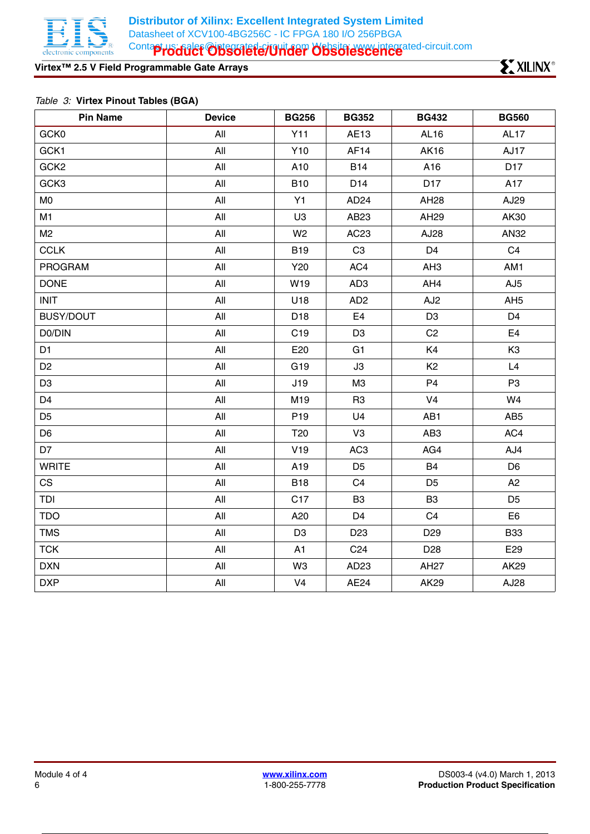

Virtex<sup>™</sup> 2.5 V Field Programmable Gate Arrays **Research Control of Arrays** Research Control Control of Arrays Research Research Research Research Research Research Research Research Research Research Research Research Re

#### *Table 3:* **Virtex Pinout Tables (BGA)**

| <b>Pin Name</b>  | <b>Device</b> | <b>BG256</b>    | <b>BG352</b>     | <b>BG432</b>    | <b>BG560</b>     |
|------------------|---------------|-----------------|------------------|-----------------|------------------|
| GCK0             | All           | Y11             | AE13             | AL16            | AL <sub>17</sub> |
| GCK1             | All           | Y10             | AF14             | AK16            | AJ17             |
| GCK <sub>2</sub> | All           | A10             | <b>B14</b>       | A16             | D <sub>17</sub>  |
| GCK3             | All           | <b>B10</b>      | D <sub>14</sub>  | D <sub>17</sub> | A17              |
| <b>MO</b>        | All           | Y1              | AD <sub>24</sub> | AH28            | AJ29             |
| M1               | All           | U <sub>3</sub>  | AB23             | AH29            | AK30             |
| M <sub>2</sub>   | All           | W <sub>2</sub>  | AC <sub>23</sub> | AJ28            | AN32             |
| <b>CCLK</b>      | All           | <b>B19</b>      | C <sub>3</sub>   | D <sub>4</sub>  | C <sub>4</sub>   |
| PROGRAM          | All           | Y20             | AC4              | AH <sub>3</sub> | AM1              |
| <b>DONE</b>      | All           | W19             | AD <sub>3</sub>  | AH4             | AJ <sub>5</sub>  |
| <b>INIT</b>      | All           | U18             | AD <sub>2</sub>  | AJ <sub>2</sub> | AH <sub>5</sub>  |
| <b>BUSY/DOUT</b> | All           | D <sub>18</sub> | E <sub>4</sub>   | D <sub>3</sub>  | D <sub>4</sub>   |
| D0/DIN           | All           | C <sub>19</sub> | D <sub>3</sub>   | C <sub>2</sub>  | E <sub>4</sub>   |
| D <sub>1</sub>   | All           | E20             | G <sub>1</sub>   | K4              | K <sub>3</sub>   |
| D <sub>2</sub>   | All           | G19             | J3               | K <sub>2</sub>  | L4               |
| D <sub>3</sub>   | All           | J19             | M <sub>3</sub>   | P <sub>4</sub>  | P <sub>3</sub>   |
| D <sub>4</sub>   | All           | M19             | R <sub>3</sub>   | V <sub>4</sub>  | W4               |
| D <sub>5</sub>   | All           | P <sub>19</sub> | U <sub>4</sub>   | AB1             | AB <sub>5</sub>  |
| D <sub>6</sub>   | All           | T <sub>20</sub> | V <sub>3</sub>   | AB <sub>3</sub> | AC4              |
| D7               | All           | V19             | AC <sub>3</sub>  | AG4             | AJ4              |
| <b>WRITE</b>     | All           | A19             | D <sub>5</sub>   | <b>B4</b>       | D <sub>6</sub>   |
| <b>CS</b>        | All           | <b>B18</b>      | C <sub>4</sub>   | D <sub>5</sub>  | A2               |
| TDI              | All           | C <sub>17</sub> | B <sub>3</sub>   | B <sub>3</sub>  | D <sub>5</sub>   |
| <b>TDO</b>       | All           | A20             | D <sub>4</sub>   | C <sub>4</sub>  | E <sub>6</sub>   |
| <b>TMS</b>       | All           | D <sub>3</sub>  | D <sub>23</sub>  | D <sub>29</sub> | <b>B33</b>       |
| <b>TCK</b>       | All           | A1              | C <sub>24</sub>  | D <sub>28</sub> | E <sub>29</sub>  |
| <b>DXN</b>       | All           | W <sub>3</sub>  | AD <sub>23</sub> | <b>AH27</b>     | <b>AK29</b>      |
| <b>DXP</b>       | All           | V <sub>4</sub>  | AE24             | <b>AK29</b>     | AJ28             |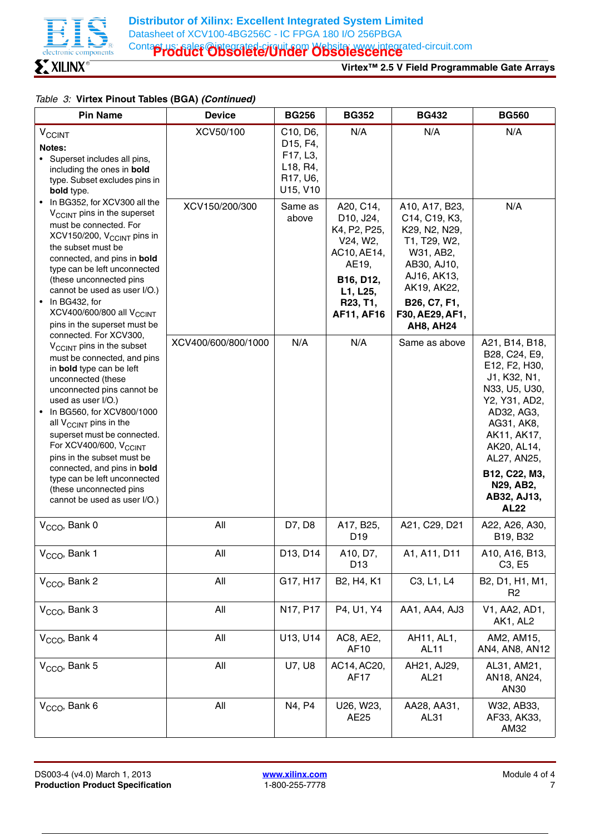

#### *Table 3:* **Virtex Pinout Tables (BGA)** *(Continued)*

| <b>Pin Name</b>                                                                                                                                                                                                                                                                                                                                                                                                                                                                                                                                                                                                                                                                                                                                                                                                                                                                                                                                                                                                                                                | <b>Device</b>       | <b>BG256</b>                                                                                                             | <b>BG352</b>                                                                                                                                                   | <b>BG432</b>                                                                                                                                                                      | <b>BG560</b>                                                                                                                                                                                                                            |
|----------------------------------------------------------------------------------------------------------------------------------------------------------------------------------------------------------------------------------------------------------------------------------------------------------------------------------------------------------------------------------------------------------------------------------------------------------------------------------------------------------------------------------------------------------------------------------------------------------------------------------------------------------------------------------------------------------------------------------------------------------------------------------------------------------------------------------------------------------------------------------------------------------------------------------------------------------------------------------------------------------------------------------------------------------------|---------------------|--------------------------------------------------------------------------------------------------------------------------|----------------------------------------------------------------------------------------------------------------------------------------------------------------|-----------------------------------------------------------------------------------------------------------------------------------------------------------------------------------|-----------------------------------------------------------------------------------------------------------------------------------------------------------------------------------------------------------------------------------------|
| <b>V<sub>CCINT</sub></b><br>Notes:<br>• Superset includes all pins,<br>including the ones in bold<br>type. Subset excludes pins in<br>bold type.<br>• In BG352, for XCV300 all the<br>$V_{\text{CCINT}}$ pins in the superset<br>must be connected. For<br>XCV150/200, V <sub>CCINT</sub> pins in<br>the subset must be<br>connected, and pins in bold<br>type can be left unconnected<br>(these unconnected pins<br>cannot be used as user I/O.)<br>• In BG432, for<br>XCV400/600/800 all V <sub>CCINT</sub><br>pins in the superset must be<br>connected. For XCV300,<br>$V_{\text{CCINT}}$ pins in the subset<br>must be connected, and pins<br>in <b>bold</b> type can be left<br>unconnected (these<br>unconnected pins cannot be<br>used as user I/O.)<br>• In BG560, for XCV800/1000<br>all V <sub>CCINT</sub> pins in the<br>superset must be connected.<br>For XCV400/600, V <sub>CCINT</sub><br>pins in the subset must be<br>connected, and pins in bold<br>type can be left unconnected<br>(these unconnected pins<br>cannot be used as user I/O.) | XCV50/100           | C10, D6,<br>D <sub>15</sub> , F <sub>4</sub> ,<br>F17, L3,<br>L <sub>18</sub> , R <sub>4</sub> ,<br>R17, U6,<br>U15, V10 | N/A                                                                                                                                                            | N/A                                                                                                                                                                               | N/A                                                                                                                                                                                                                                     |
|                                                                                                                                                                                                                                                                                                                                                                                                                                                                                                                                                                                                                                                                                                                                                                                                                                                                                                                                                                                                                                                                | XCV150/200/300      | Same as<br>above                                                                                                         | A20, C14,<br>D10, J24,<br>K4, P2, P25,<br>V24, W2,<br>AC10, AE14,<br>AE19,<br>B16, D12,<br>L1, L25,<br>R <sub>23</sub> , T <sub>1</sub> ,<br><b>AF11, AF16</b> | A10, A17, B23,<br>C14, C19, K3,<br>K29, N2, N29,<br>T1, T29, W2,<br>W31, AB2,<br>AB30, AJ10,<br>AJ16, AK13,<br>AK19, AK22,<br>B26, C7, F1,<br>F30, AE29, AF1,<br><b>AH8, AH24</b> | N/A                                                                                                                                                                                                                                     |
|                                                                                                                                                                                                                                                                                                                                                                                                                                                                                                                                                                                                                                                                                                                                                                                                                                                                                                                                                                                                                                                                | XCV400/600/800/1000 | N/A                                                                                                                      | N/A                                                                                                                                                            | Same as above                                                                                                                                                                     | A21, B14, B18,<br>B28, C24, E9,<br>E12, F2, H30,<br>J1, K32, N1,<br>N33, U5, U30,<br>Y2, Y31, AD2,<br>AD32, AG3,<br>AG31, AK8,<br>AK11, AK17,<br>AK20, AL14,<br>AL27, AN25,<br>B12, C22, M3,<br>N29, AB2,<br>AB32, AJ13,<br><b>AL22</b> |
| V <sub>CCO</sub> , Bank 0                                                                                                                                                                                                                                                                                                                                                                                                                                                                                                                                                                                                                                                                                                                                                                                                                                                                                                                                                                                                                                      | All                 | D7, D8                                                                                                                   | A17, B25,<br>D <sub>19</sub>                                                                                                                                   | A21, C29, D21                                                                                                                                                                     | A22, A26, A30,<br>B19, B32                                                                                                                                                                                                              |
| V <sub>CCO</sub> , Bank 1                                                                                                                                                                                                                                                                                                                                                                                                                                                                                                                                                                                                                                                                                                                                                                                                                                                                                                                                                                                                                                      | All                 | D13, D14                                                                                                                 | A10, D7,<br>D <sub>13</sub>                                                                                                                                    | A1, A11, D11                                                                                                                                                                      | A10, A16, B13,<br>C <sub>3</sub> , E <sub>5</sub>                                                                                                                                                                                       |
| V <sub>CCO</sub> , Bank 2                                                                                                                                                                                                                                                                                                                                                                                                                                                                                                                                                                                                                                                                                                                                                                                                                                                                                                                                                                                                                                      | All                 | G17, H17                                                                                                                 | B2, H4, K1                                                                                                                                                     | C3, L1, L4                                                                                                                                                                        | B2, D1, H1, M1,<br>R2                                                                                                                                                                                                                   |
| V <sub>CCO</sub> , Bank 3                                                                                                                                                                                                                                                                                                                                                                                                                                                                                                                                                                                                                                                                                                                                                                                                                                                                                                                                                                                                                                      | All                 | N17, P17                                                                                                                 | P4, U1, Y4                                                                                                                                                     | AA1, AA4, AJ3                                                                                                                                                                     | V1, AA2, AD1,<br>AK1, AL2                                                                                                                                                                                                               |
| V <sub>CCO</sub> , Bank 4                                                                                                                                                                                                                                                                                                                                                                                                                                                                                                                                                                                                                                                                                                                                                                                                                                                                                                                                                                                                                                      | All                 | U13, U14                                                                                                                 | AC8, AE2,<br>AF10                                                                                                                                              | AH11, AL1,<br><b>AL11</b>                                                                                                                                                         | AM2, AM15,<br>AN4, AN8, AN12                                                                                                                                                                                                            |
| V <sub>CCO</sub> , Bank 5                                                                                                                                                                                                                                                                                                                                                                                                                                                                                                                                                                                                                                                                                                                                                                                                                                                                                                                                                                                                                                      | All                 | U7, U8                                                                                                                   | AC14, AC20,<br>AF17                                                                                                                                            | AH21, AJ29,<br>AL21                                                                                                                                                               | AL31, AM21,<br>AN18, AN24,<br>AN30                                                                                                                                                                                                      |
| V <sub>CCO</sub> , Bank 6                                                                                                                                                                                                                                                                                                                                                                                                                                                                                                                                                                                                                                                                                                                                                                                                                                                                                                                                                                                                                                      | All                 | N4, P4                                                                                                                   | U26, W23,<br>AE25                                                                                                                                              | AA28, AA31,<br>AL31                                                                                                                                                               | W32, AB33,<br>AF33, AK33,<br>AM32                                                                                                                                                                                                       |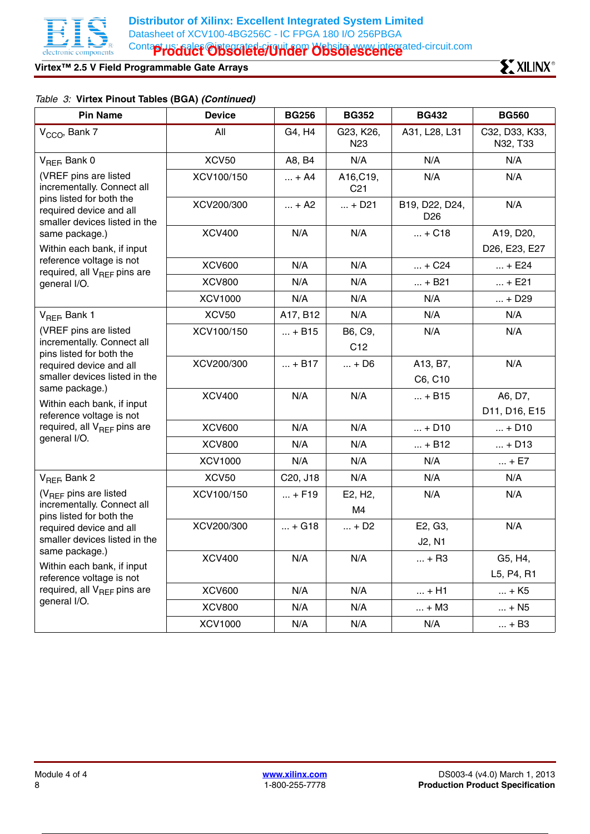

Virtex<sup>™</sup> 2.5 V Field Programmable Gate Arrays **Research Control of Arrays** Research Control Control of Arrays Research Research Research Research Research Research Research Research Research Research Research Research Re

# *Table 3:* **Virtex Pinout Tables (BGA)** *(Continued)*

| <b>Pin Name</b>                                                                      | <b>Device</b>  | <b>BG256</b> | <b>BG352</b>                 | <b>BG432</b>                      | <b>BG560</b>               |
|--------------------------------------------------------------------------------------|----------------|--------------|------------------------------|-----------------------------------|----------------------------|
| V <sub>CCO</sub> , Bank 7                                                            | All            | G4, H4       | G23, K26,<br>N <sub>23</sub> | A31, L28, L31                     | C32, D33, K33,<br>N32, T33 |
| $V_{REF}$ Bank 0                                                                     | <b>XCV50</b>   | A8, B4       | N/A                          | N/A                               | N/A                        |
| (VREF pins are listed<br>incrementally. Connect all                                  | XCV100/150     | $ + A4$      | A16, C19,<br>C <sub>21</sub> | N/A                               | N/A                        |
| pins listed for both the<br>required device and all<br>smaller devices listed in the | XCV200/300     | $ + A2$      | $ + D21$                     | B19, D22, D24,<br>D <sub>26</sub> | N/A                        |
| same package.)                                                                       | <b>XCV400</b>  | N/A          | N/A                          | $ + C18$                          | A19, D20,                  |
| Within each bank, if input                                                           |                |              |                              |                                   | D26, E23, E27              |
| reference voltage is not<br>required, all V <sub>REF</sub> pins are                  | <b>XCV600</b>  | N/A          | N/A                          | $ + C24$                          | $ + E24$                   |
| general I/O.                                                                         | <b>XCV800</b>  | N/A          | N/A                          | $ + B21$                          | $ + E21$                   |
|                                                                                      | <b>XCV1000</b> | N/A          | N/A                          | N/A                               | $ + D29$                   |
| V <sub>REF</sub> , Bank 1                                                            | <b>XCV50</b>   | A17, B12     | N/A                          | N/A                               | N/A                        |
| (VREF pins are listed                                                                | XCV100/150     | $ + B15$     | B6, C9,                      | N/A                               | N/A                        |
| incrementally. Connect all<br>pins listed for both the                               |                |              | C12                          |                                   |                            |
| required device and all                                                              | XCV200/300     | $ + B17$     | $ + D6$                      | A13, B7,                          | N/A                        |
| smaller devices listed in the                                                        |                |              |                              | C6, C10                           |                            |
| same package.)<br>Within each bank, if input                                         | <b>XCV400</b>  | N/A          | N/A                          | $ + B15$                          | A6, D7,                    |
| reference voltage is not                                                             |                |              |                              |                                   | D11, D16, E15              |
| required, all V <sub>REF</sub> pins are                                              | <b>XCV600</b>  | N/A          | N/A                          | $ + D10$                          | $ + D10$                   |
| general I/O.                                                                         | <b>XCV800</b>  | N/A          | N/A                          | $ + B12$                          | $ + D13$                   |
|                                                                                      | <b>XCV1000</b> | N/A          | N/A                          | N/A                               | $ + E7$                    |
| $V_{\text{REF}}$ Bank 2                                                              | <b>XCV50</b>   | C20, J18     | N/A                          | N/A                               | N/A                        |
| (V <sub>REF</sub> pins are listed                                                    | XCV100/150     | $ + F19$     | E2, H <sub>2</sub> ,         | N/A                               | N/A                        |
| incrementally. Connect all<br>pins listed for both the                               |                |              | M4                           |                                   |                            |
| required device and all                                                              | XCV200/300     | $ + G18$     | $ + D2$                      | E2, G3,                           | N/A                        |
| smaller devices listed in the                                                        |                |              |                              | J2, N1                            |                            |
| same package.)                                                                       | <b>XCV400</b>  | N/A          | N/A                          | $ + R3$                           | G5, H4,                    |
| Within each bank, if input<br>reference voltage is not                               |                |              |                              |                                   | L5, P4, R1                 |
| required, all V <sub>REF</sub> pins are                                              | <b>XCV600</b>  | N/A          | N/A                          | $ + H1$                           | $ + K5$                    |
| general I/O.                                                                         | <b>XCV800</b>  | N/A          | N/A                          | $\ldots$ + M3                     | $ + N5$                    |
|                                                                                      | <b>XCV1000</b> | N/A          | N/A                          | N/A                               | $ + B3$                    |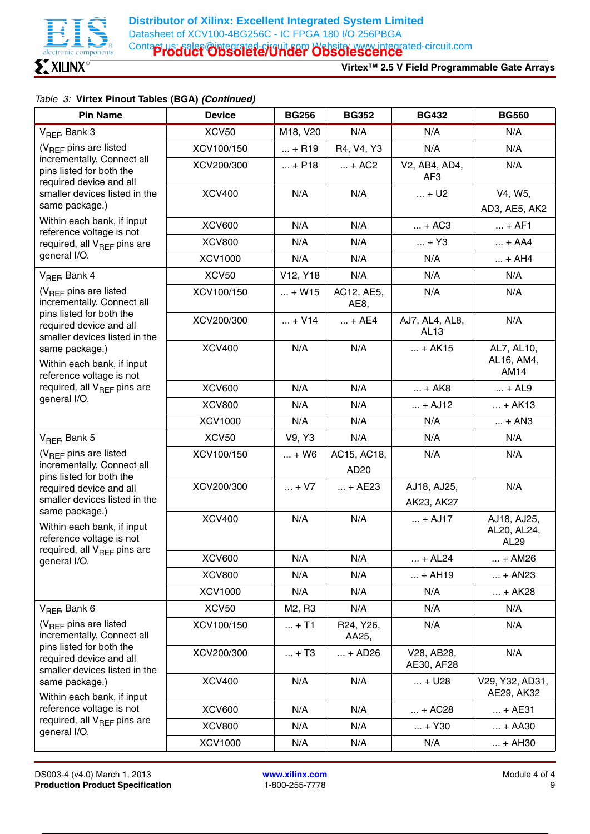

#### *Table 3:* **Virtex Pinout Tables (BGA)** *(Continued)*

| <b>Pin Name</b>                                                                      | <b>Device</b>  | <b>BG256</b>                    | <b>BG352</b>        | <b>BG432</b>              | <b>BG560</b>                       |  |
|--------------------------------------------------------------------------------------|----------------|---------------------------------|---------------------|---------------------------|------------------------------------|--|
| $V_{RFE}$ Bank 3                                                                     | <b>XCV50</b>   | M18, V20                        | N/A                 | N/A                       | N/A                                |  |
| $(V_{BFF}$ pins are listed                                                           | XCV100/150     | $ + R19$                        | R4, V4, Y3          | N/A                       | N/A                                |  |
| incrementally. Connect all<br>pins listed for both the<br>required device and all    | XCV200/300     | $ + P18$                        | $ + AC2$            | V2, AB4, AD4,<br>AF3      | N/A                                |  |
| smaller devices listed in the<br>same package.)                                      | <b>XCV400</b>  | N/A                             | N/A                 | $ + U2$                   | V4, W5,<br>AD3, AE5, AK2           |  |
| Within each bank, if input                                                           | <b>XCV600</b>  | N/A                             | N/A                 | $ + AC3$                  | $ + AF1$                           |  |
| reference voltage is not<br>required, all V <sub>REF</sub> pins are                  | <b>XCV800</b>  | N/A                             | N/A                 | $ + Y3$                   | $ + AA4$                           |  |
| general I/O.                                                                         | <b>XCV1000</b> | N/A                             | N/A                 | N/A                       | $ + AH4$                           |  |
| $V_{REF}$ Bank 4                                                                     | <b>XCV50</b>   | V12, Y18                        | N/A                 | N/A                       | N/A                                |  |
| $(V_{BFF}$ pins are listed<br>incrementally. Connect all                             | XCV100/150     | $ + W15$                        | AC12, AE5,<br>AE8,  | N/A                       | N/A                                |  |
| pins listed for both the<br>required device and all<br>smaller devices listed in the | XCV200/300     | $ + V14$                        | $ + AE4$            | AJ7, AL4, AL8,<br>AL13    | N/A                                |  |
| same package.)<br>Within each bank, if input<br>reference voltage is not             | <b>XCV400</b>  | N/A                             | N/A                 | $ + AK15$                 | AL7, AL10,<br>AL16, AM4,<br>AM14   |  |
| required, all V <sub>REF</sub> pins are                                              | <b>XCV600</b>  | N/A                             | N/A                 | $ + AK8$                  | $ + AL9$                           |  |
| general I/O.                                                                         | <b>XCV800</b>  | N/A                             | N/A                 | $ + AJ12$                 | $ + AK13$                          |  |
|                                                                                      | <b>XCV1000</b> | N/A                             | N/A                 | N/A                       | $ + AN3$                           |  |
| V <sub>REF</sub> , Bank 5                                                            | <b>XCV50</b>   | V9, Y3                          | N/A                 | N/A                       | N/A                                |  |
| $(V_{BFF}$ pins are listed<br>incrementally. Connect all<br>pins listed for both the | XCV100/150     | $ + W6$                         | AC15, AC18,<br>AD20 | N/A                       | N/A                                |  |
| required device and all<br>smaller devices listed in the                             | XCV200/300     | $ + V7$                         | $ + AE23$           | AJ18, AJ25,<br>AK23, AK27 | N/A                                |  |
| same package.)<br>Within each bank, if input<br>reference voltage is not             | <b>XCV400</b>  | N/A                             | N/A                 | $ +$ AJ17                 | AJ18, AJ25,<br>AL20, AL24,<br>AL29 |  |
| required, all V <sub>REF</sub> pins are<br>general I/O.                              | <b>XCV600</b>  | N/A                             | N/A                 | $ + AL24$                 | $ + AM26$                          |  |
|                                                                                      | <b>XCV800</b>  | N/A                             | N/A                 | + AH19                    | $ + AN23$                          |  |
|                                                                                      | <b>XCV1000</b> | N/A                             | N/A                 | N/A                       | $ + AK28$                          |  |
| $V_{REF}$ Bank 6                                                                     | <b>XCV50</b>   | M <sub>2</sub> , R <sub>3</sub> | N/A                 | N/A                       | N/A                                |  |
| (V <sub>REF</sub> pins are listed<br>incrementally. Connect all                      | XCV100/150     | $ + T1$                         | R24, Y26,<br>AA25,  | N/A                       | N/A                                |  |
| pins listed for both the<br>required device and all<br>smaller devices listed in the | XCV200/300     | $ + T3$                         | + AD26              | V28, AB28,<br>AE30, AF28  | N/A                                |  |
| same package.)<br>Within each bank, if input                                         | <b>XCV400</b>  | N/A                             | N/A                 | $ + U28$                  | V29, Y32, AD31,<br>AE29, AK32      |  |
| reference voltage is not                                                             | <b>XCV600</b>  | N/A                             | N/A                 | + AC28                    | $ + AE31$                          |  |
| required, all $V_{REF}$ pins are<br>general I/O.                                     | <b>XCV800</b>  | N/A                             | N/A                 | $ + Y30$                  | $ + AA30$                          |  |
|                                                                                      | <b>XCV1000</b> | N/A                             | N/A                 | N/A                       | $ + AH30$                          |  |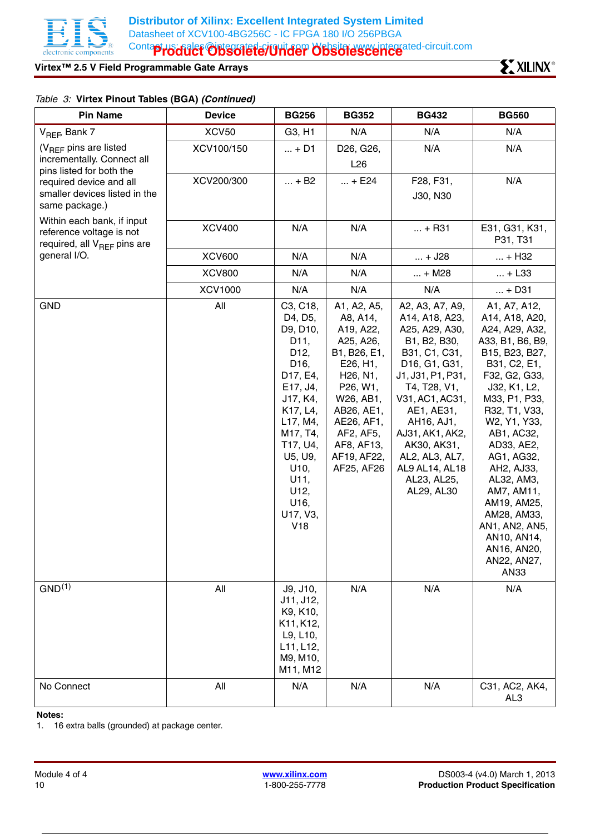

# *Table 3:* **Virtex Pinout Tables (BGA)** *(Continued)*

| <b>Pin Name</b>                                                                            | <b>Device</b>  | <b>BG256</b>                                                                                                                                                                                                                        | <b>BG352</b>                                                                                                                                                                                                                                               | <b>BG432</b>                                                                                                                                                                                                                                                                                 | <b>BG560</b>                                                                                                                                                                                                                                                                                                                                                                       |  |
|--------------------------------------------------------------------------------------------|----------------|-------------------------------------------------------------------------------------------------------------------------------------------------------------------------------------------------------------------------------------|------------------------------------------------------------------------------------------------------------------------------------------------------------------------------------------------------------------------------------------------------------|----------------------------------------------------------------------------------------------------------------------------------------------------------------------------------------------------------------------------------------------------------------------------------------------|------------------------------------------------------------------------------------------------------------------------------------------------------------------------------------------------------------------------------------------------------------------------------------------------------------------------------------------------------------------------------------|--|
| $V_{REF}$ Bank 7                                                                           | <b>XCV50</b>   | G3, H1                                                                                                                                                                                                                              | N/A                                                                                                                                                                                                                                                        | N/A                                                                                                                                                                                                                                                                                          | N/A                                                                                                                                                                                                                                                                                                                                                                                |  |
| $(V_{BFF}$ pins are listed                                                                 | XCV100/150     | $ + D1$                                                                                                                                                                                                                             | D26, G26,                                                                                                                                                                                                                                                  | N/A                                                                                                                                                                                                                                                                                          | N/A                                                                                                                                                                                                                                                                                                                                                                                |  |
| incrementally. Connect all<br>pins listed for both the                                     |                |                                                                                                                                                                                                                                     | L26                                                                                                                                                                                                                                                        |                                                                                                                                                                                                                                                                                              |                                                                                                                                                                                                                                                                                                                                                                                    |  |
| required device and all                                                                    | XCV200/300     | $ + B2$                                                                                                                                                                                                                             | $ + E24$                                                                                                                                                                                                                                                   | F28, F31,                                                                                                                                                                                                                                                                                    | N/A                                                                                                                                                                                                                                                                                                                                                                                |  |
| smaller devices listed in the<br>same package.)                                            |                |                                                                                                                                                                                                                                     |                                                                                                                                                                                                                                                            | J30, N30                                                                                                                                                                                                                                                                                     |                                                                                                                                                                                                                                                                                                                                                                                    |  |
| Within each bank, if input<br>reference voltage is not<br>required, all $V_{BFF}$ pins are | <b>XCV400</b>  | N/A                                                                                                                                                                                                                                 | N/A                                                                                                                                                                                                                                                        | $ + R31$                                                                                                                                                                                                                                                                                     | E31, G31, K31,<br>P31, T31                                                                                                                                                                                                                                                                                                                                                         |  |
| general I/O.                                                                               | <b>XCV600</b>  | N/A                                                                                                                                                                                                                                 | N/A                                                                                                                                                                                                                                                        | $ + J28$                                                                                                                                                                                                                                                                                     | $ + H32$                                                                                                                                                                                                                                                                                                                                                                           |  |
|                                                                                            | <b>XCV800</b>  | N/A                                                                                                                                                                                                                                 | N/A                                                                                                                                                                                                                                                        | + M28                                                                                                                                                                                                                                                                                        | $ + L33$                                                                                                                                                                                                                                                                                                                                                                           |  |
|                                                                                            | <b>XCV1000</b> | N/A                                                                                                                                                                                                                                 | N/A                                                                                                                                                                                                                                                        | N/A                                                                                                                                                                                                                                                                                          | $ + D31$                                                                                                                                                                                                                                                                                                                                                                           |  |
| <b>GND</b>                                                                                 | All            | C3, C18,<br>D4, D5,<br>D9, D10,<br>D11,<br>D <sub>12</sub> ,<br>D <sub>16</sub> ,<br>D17, E4,<br>E17, J4,<br>J17, K4,<br>K17, L4,<br>L17, M4,<br>M17, T4,<br>T17, U4,<br>U5, U9,<br>U10,<br>U11,<br>U12,<br>U16,<br>U17, V3,<br>V18 | A1, A2, A5,<br>A8, A14,<br>A19, A22,<br>A25, A26,<br>B1, B26, E1,<br>E26, H1,<br>H <sub>26</sub> , N <sub>1</sub> ,<br>P <sub>26</sub> , W <sub>1</sub> ,<br>W26, AB1,<br>AB26, AE1,<br>AE26, AF1,<br>AF2, AF5,<br>AF8, AF13,<br>AF19, AF22,<br>AF25, AF26 | A2, A3, A7, A9,<br>A14, A18, A23,<br>A25, A29, A30,<br>B1, B2, B30,<br>B31, C1, C31,<br>D16, G1, G31,<br>J1, J31, P1, P31,<br>T4, T28, V1,<br>V31, AC1, AC31,<br>AE1, AE31,<br>AH16, AJ1,<br>AJ31, AK1, AK2,<br>AK30, AK31,<br>AL2, AL3, AL7,<br>AL9 AL14, AL18<br>AL23, AL25,<br>AL29, AL30 | A1, A7, A12,<br>A14, A18, A20,<br>A24, A29, A32,<br>A33, B1, B6, B9,<br>B15, B23, B27,<br>B31, C2, E1,<br>F32, G2, G33,<br>J32, K1, L2,<br>M33, P1, P33,<br>R32, T1, V33,<br>W2, Y1, Y33,<br>AB1, AC32,<br>AD33, AE2,<br>AG1, AG32,<br>AH2, AJ33,<br>AL32, AM3,<br>AM7, AM11,<br>AM19, AM25,<br>AM28, AM33,<br>AN1, AN2, AN5,<br>AN10, AN14,<br>AN16, AN20,<br>AN22, AN27,<br>AN33 |  |
| GND <sup>(1)</sup>                                                                         | All            | J9, J10,<br>J11, J12,<br>K9, K10,<br>K11, K12,<br>L9, L10,<br>L11, L12,<br>M9, M10,<br>M11, M12                                                                                                                                     | N/A                                                                                                                                                                                                                                                        | N/A                                                                                                                                                                                                                                                                                          | N/A                                                                                                                                                                                                                                                                                                                                                                                |  |
| No Connect                                                                                 | All            | N/A                                                                                                                                                                                                                                 | N/A                                                                                                                                                                                                                                                        | N/A                                                                                                                                                                                                                                                                                          | C31, AC2, AK4,<br>AL <sub>3</sub>                                                                                                                                                                                                                                                                                                                                                  |  |

#### **Notes:**

1. 16 extra balls (grounded) at package center.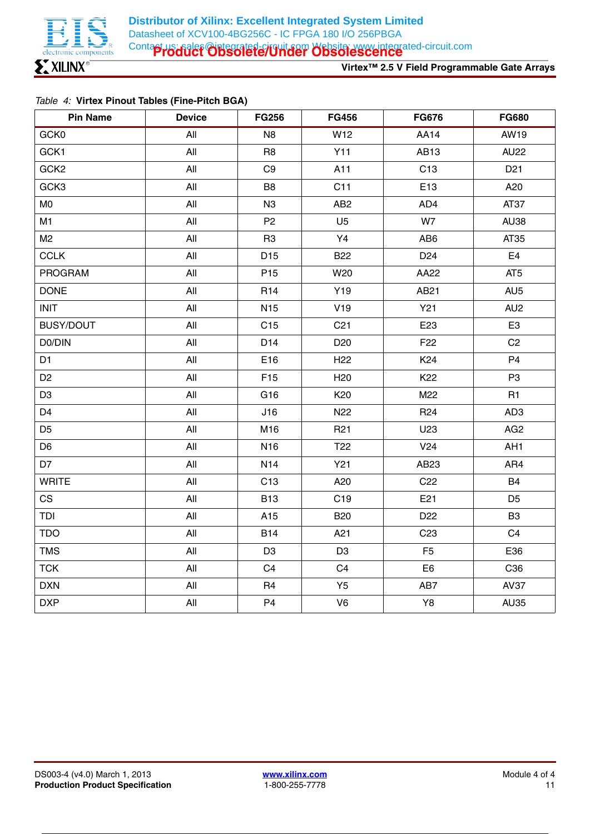

#### *Table 4:* **Virtex Pinout Tables (Fine-Pitch BGA)**

| <b>Pin Name</b>  | <b>Device</b> | <b>FG256</b>    | <b>FG456</b>    | <b>FG676</b>    | <b>FG680</b>    |
|------------------|---------------|-----------------|-----------------|-----------------|-----------------|
| GCK0             | All           | N <sub>8</sub>  | W12             | <b>AA14</b>     | AW19            |
| GCK1             | All           | R <sub>8</sub>  | Y11             | AB13            | <b>AU22</b>     |
| GCK <sub>2</sub> | All           | C <sub>9</sub>  | A11             | C <sub>13</sub> | D <sub>21</sub> |
| GCK3             | All           | B <sub>8</sub>  | C11             | E13             | A20             |
| <b>MO</b>        | All           | N <sub>3</sub>  | AB <sub>2</sub> | AD4             | AT37            |
| M1               | All           | P <sub>2</sub>  | U <sub>5</sub>  | W7              | <b>AU38</b>     |
| M2               | All           | R <sub>3</sub>  | Y4              | AB6             | AT35            |
| <b>CCLK</b>      | All           | D <sub>15</sub> | <b>B22</b>      | D <sub>24</sub> | E <sub>4</sub>  |
| <b>PROGRAM</b>   | All           | P <sub>15</sub> | W20             | AA22            | AT <sub>5</sub> |
| <b>DONE</b>      | All           | R <sub>14</sub> | Y19             | AB21            | AU <sub>5</sub> |
| <b>INIT</b>      | All           | N <sub>15</sub> | V19             | Y21             | AU <sub>2</sub> |
| <b>BUSY/DOUT</b> | All           | C15             | C <sub>21</sub> | E23             | E <sub>3</sub>  |
| D0/DIN           | All           | D <sub>14</sub> | D <sub>20</sub> | F <sub>22</sub> | C <sub>2</sub>  |
| D <sub>1</sub>   | All           | E16             | H <sub>22</sub> | K24             | P <sub>4</sub>  |
| D <sub>2</sub>   | All           | F <sub>15</sub> | H <sub>20</sub> | K <sub>22</sub> | P <sub>3</sub>  |
| D <sub>3</sub>   | All           | G16             | K20             | M22             | R <sub>1</sub>  |
| D <sub>4</sub>   | All           | J16             | N <sub>22</sub> | R <sub>24</sub> | AD <sub>3</sub> |
| D <sub>5</sub>   | All           | M16             | R <sub>21</sub> | U23             | AG <sub>2</sub> |
| D <sub>6</sub>   | All           | N <sub>16</sub> | T <sub>22</sub> | V24             | AH <sub>1</sub> |
| D7               | All           | N14             | Y21             | AB23            | AR4             |
| <b>WRITE</b>     | All           | C13             | A20             | C <sub>22</sub> | <b>B4</b>       |
| CS               | All           | <b>B13</b>      | C <sub>19</sub> | E21             | D <sub>5</sub>  |
| TDI              | All           | A15             | <b>B20</b>      | D <sub>22</sub> | B <sub>3</sub>  |
| <b>TDO</b>       | All           | <b>B14</b>      | A21             | C <sub>23</sub> | C <sub>4</sub>  |
| <b>TMS</b>       | All           | D <sub>3</sub>  | D <sub>3</sub>  | F <sub>5</sub>  | E36             |
| <b>TCK</b>       | All           | C <sub>4</sub>  | C <sub>4</sub>  | E <sub>6</sub>  | C36             |
| <b>DXN</b>       | All           | R <sub>4</sub>  | Y5              | AB7             | AV37            |
| <b>DXP</b>       | All           | P <sub>4</sub>  | V <sub>6</sub>  | Y8              | AU35            |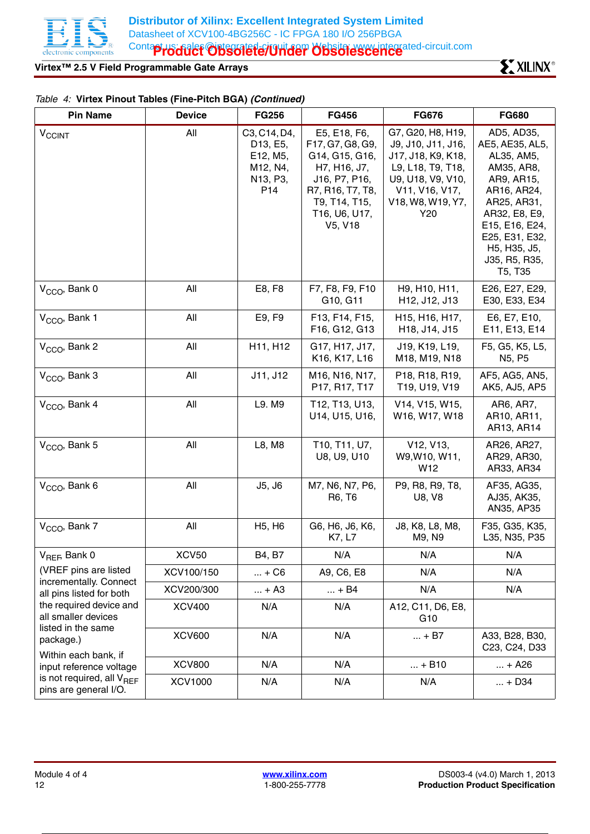

Virtex<sup>™</sup> 2.5 V Field Programmable Gate Arrays **Research Control of Arrays** Research Control Control of Arrays Research Research Research Research Research Research Research Research Research Research Research Research Re

| <b>Pin Name</b>                                                      | <b>Device</b>  | <b>FG256</b>                                                                                              | <b>FG456</b>                                                                                                                                         | <b>FG676</b>                                                                                                                                          | <b>FG680</b>                                                                                                                                                                                                                                  |  |
|----------------------------------------------------------------------|----------------|-----------------------------------------------------------------------------------------------------------|------------------------------------------------------------------------------------------------------------------------------------------------------|-------------------------------------------------------------------------------------------------------------------------------------------------------|-----------------------------------------------------------------------------------------------------------------------------------------------------------------------------------------------------------------------------------------------|--|
| All<br><b>V<sub>CCINT</sub></b>                                      |                | C3, C14, D4,<br>D <sub>13</sub> , E <sub>5</sub> ,<br>E12, M5,<br>M12, N4,<br>N13, P3,<br>P <sub>14</sub> | E5, E18, F6,<br>F17, G7, G8, G9,<br>G14, G15, G16,<br>H7, H16, J7,<br>J16, P7, P16,<br>R7, R16, T7, T8,<br>T9, T14, T15,<br>T16, U6, U17,<br>V5, V18 | G7, G20, H8, H19,<br>J9, J10, J11, J16,<br>J17, J18, K9, K18,<br>L9, L18, T9, T18,<br>U9, U18, V9, V10,<br>V11, V16, V17,<br>V18, W8, W19, Y7,<br>Y20 | AD5, AD35,<br>AE5, AE35, AL5,<br>AL35, AM5,<br>AM35, AR8,<br>AR9, AR15,<br>AR16, AR24,<br>AR25, AR31,<br>AR32, E8, E9,<br>E15, E16, E24,<br>E25, E31, E32,<br>H <sub>5</sub> , H <sub>35</sub> , J <sub>5</sub> ,<br>J35, R5, R35,<br>T5, T35 |  |
| $VCCO$ , Bank 0                                                      | All            | E8, F8                                                                                                    | F7, F8, F9, F10<br>G <sub>10</sub> , G <sub>11</sub>                                                                                                 | H9, H10, H11,<br>H <sub>12</sub> , J <sub>12</sub> , J <sub>13</sub>                                                                                  | E26, E27, E29,<br>E30, E33, E34                                                                                                                                                                                                               |  |
| V <sub>CCO</sub> , Bank 1                                            | All            | E9, F9                                                                                                    | F13, F14, F15,<br>F16, G12, G13                                                                                                                      | H15, H16, H17,<br>H18, J14, J15                                                                                                                       | E6, E7, E10,<br>E11, E13, E14                                                                                                                                                                                                                 |  |
| V <sub>CCO</sub> , Bank 2                                            | All            |                                                                                                           | G17, H17, J17,<br>K16, K17, L16                                                                                                                      | J19, K19, L19,<br>M18, M19, N18                                                                                                                       | F5, G5, K5, L5,<br>N <sub>5</sub> , P <sub>5</sub>                                                                                                                                                                                            |  |
| V <sub>CCO</sub> , Bank 3                                            | All            | J11, J12                                                                                                  | M16, N16, N17,<br>P17, R17, T17                                                                                                                      | P18, R18, R19,<br>T19, U19, V19                                                                                                                       | AF5, AG5, AN5,<br>AK5, AJ5, AP5                                                                                                                                                                                                               |  |
| V <sub>CCO</sub> , Bank 4                                            | All            | L9. M9                                                                                                    | T12, T13, U13,<br>U14, U15, U16,                                                                                                                     | V14, V15, W15,<br>W16, W17, W18                                                                                                                       | AR6, AR7,<br>AR10, AR11,<br>AR13, AR14                                                                                                                                                                                                        |  |
| V <sub>CCO</sub> , Bank 5                                            | All            |                                                                                                           | T10, T11, U7,<br>U8, U9, U10                                                                                                                         | V12, V13,<br>W9, W10, W11,<br>W <sub>12</sub>                                                                                                         | AR26, AR27,<br>AR29, AR30,<br>AR33, AR34                                                                                                                                                                                                      |  |
| V <sub>CCO</sub> , Bank 6                                            | All            | J5, J6<br>M7, N6, N7, P6,<br>R6, T6                                                                       |                                                                                                                                                      | P9, R8, R9, T8,<br>U8, V8                                                                                                                             | AF35, AG35,<br>AJ35, AK35,<br>AN35, AP35                                                                                                                                                                                                      |  |
| V <sub>CCO</sub> , Bank 7                                            | All            | H <sub>5</sub> , H <sub>6</sub>                                                                           | G6, H6, J6, K6,<br>K7, L7                                                                                                                            | J8, K8, L8, M8,<br>M9, N9                                                                                                                             | F35, G35, K35,<br>L35, N35, P35                                                                                                                                                                                                               |  |
| $V_{REF}$ Bank 0                                                     | <b>XCV50</b>   | B4, B7                                                                                                    | N/A                                                                                                                                                  | N/A                                                                                                                                                   | N/A                                                                                                                                                                                                                                           |  |
| (VREF pins are listed<br>incrementally. Connect                      | XCV100/150     | $ + C6$                                                                                                   | A9, C6, E8                                                                                                                                           | N/A                                                                                                                                                   | N/A                                                                                                                                                                                                                                           |  |
| all pins listed for both                                             | XCV200/300     | $ + A3$                                                                                                   | $ + B4$                                                                                                                                              | N/A                                                                                                                                                   | N/A                                                                                                                                                                                                                                           |  |
| the required device and<br>all smaller devices<br>listed in the same | <b>XCV400</b>  | N/A                                                                                                       | N/A                                                                                                                                                  | A12, C11, D6, E8,<br>G <sub>10</sub>                                                                                                                  |                                                                                                                                                                                                                                               |  |
| package.)<br>Within each bank, if                                    | <b>XCV600</b>  | N/A                                                                                                       | N/A                                                                                                                                                  | $ + B7$                                                                                                                                               | A33, B28, B30,<br>C23, C24, D33                                                                                                                                                                                                               |  |
| input reference voltage                                              | <b>XCV800</b>  | N/A                                                                                                       | N/A                                                                                                                                                  | $ + B10$                                                                                                                                              | $ + A26$                                                                                                                                                                                                                                      |  |
| is not required, all $V_{REF}$<br>pins are general I/O.              | <b>XCV1000</b> | N/A                                                                                                       | N/A                                                                                                                                                  | N/A                                                                                                                                                   | $ + D34$                                                                                                                                                                                                                                      |  |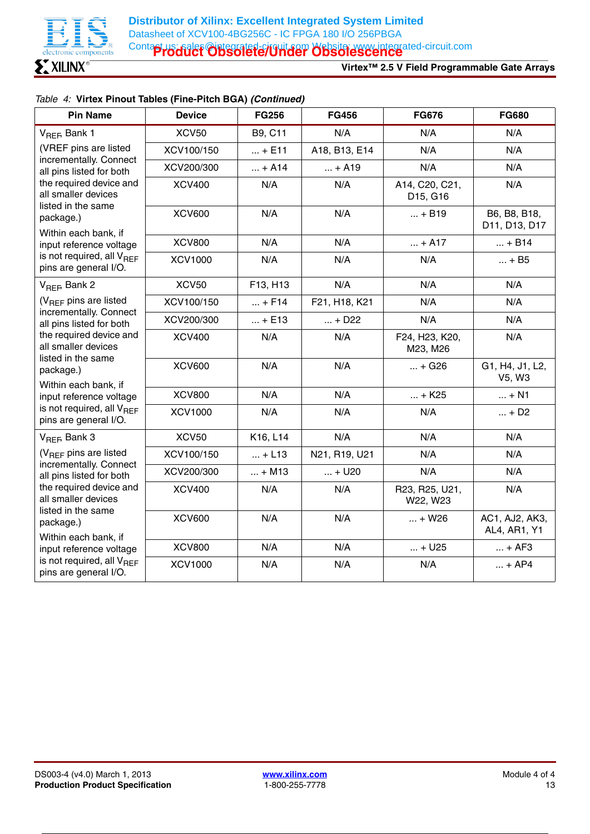

| <b>Pin Name</b>                                                      | <b>Device</b>  | <b>FG256</b> | <b>FG456</b>  | <b>FG676</b>               | <b>FG680</b>                   |
|----------------------------------------------------------------------|----------------|--------------|---------------|----------------------------|--------------------------------|
| V <sub>REF</sub> , Bank 1                                            | <b>XCV50</b>   | B9, C11      | N/A           | N/A                        | N/A                            |
| (VREF pins are listed                                                | XCV100/150     | $ + E11$     | A18, B13, E14 | N/A                        | N/A                            |
| incrementally. Connect<br>all pins listed for both                   | XCV200/300     | $ + A14$     | $ + A19$      | N/A                        | N/A                            |
| the required device and<br>all smaller devices<br>listed in the same | <b>XCV400</b>  | N/A          | N/A           | A14, C20, C21,<br>D15, G16 | N/A                            |
| package.)<br>Within each bank, if                                    | <b>XCV600</b>  | N/A          | N/A           | $ + B19$                   | B6, B8, B18,<br>D11, D13, D17  |
| input reference voltage                                              | <b>XCV800</b>  | N/A          | N/A           | $ + A17$                   | $ + B14$                       |
| is not required, all $V_{\text{BFF}}$<br>pins are general I/O.       | <b>XCV1000</b> | N/A          | N/A           | N/A                        | $ + B5$                        |
| V <sub>REF</sub> , Bank 2                                            | <b>XCV50</b>   | F13, H13     | N/A           | N/A                        | N/A                            |
| $(V_{RFF}$ pins are listed                                           | XCV100/150     | $ +$ F14     | F21, H18, K21 | N/A                        | N/A                            |
| incrementally. Connect<br>all pins listed for both                   | XCV200/300     | $ + E13$     | $ + D22$      | N/A                        | N/A                            |
| the required device and<br>all smaller devices                       | <b>XCV400</b>  | N/A          | N/A           | F24, H23, K20,<br>M23, M26 | N/A                            |
| listed in the same<br>package.)<br>Within each bank, if              | <b>XCV600</b>  | N/A          | N/A           | $ + G26$                   | G1, H4, J1, L2,<br>V5, W3      |
| input reference voltage                                              | <b>XCV800</b>  | N/A          | N/A           | $ + K25$                   | $ + N1$                        |
| is not required, all V <sub>REF</sub><br>pins are general I/O.       | <b>XCV1000</b> | N/A          | N/A           | N/A                        | $ + D2$                        |
| V <sub>REF</sub> , Bank 3                                            | <b>XCV50</b>   | K16, L14     | N/A           | N/A                        | N/A                            |
| $(V_{REF}$ pins are listed                                           | XCV100/150     | $ + L13$     | N21, R19, U21 | N/A                        | N/A                            |
| incrementally. Connect<br>all pins listed for both                   | XCV200/300     | $ + M13$     | $ + U20$      | N/A                        | N/A                            |
| the required device and<br>all smaller devices                       | <b>XCV400</b>  | N/A          | N/A           | R23, R25, U21,<br>W22, W23 | N/A                            |
| listed in the same<br>package.)<br>Within each bank, if              | <b>XCV600</b>  | N/A          | N/A           | $ + W26$                   | AC1, AJ2, AK3,<br>AL4, AR1, Y1 |
| input reference voltage                                              | <b>XCV800</b>  | N/A          | N/A           | $ + U25$                   | $ + AF3$                       |
| is not required, all V <sub>REF</sub><br>pins are general I/O.       | <b>XCV1000</b> | N/A          | N/A           | N/A                        | $ + AP4$                       |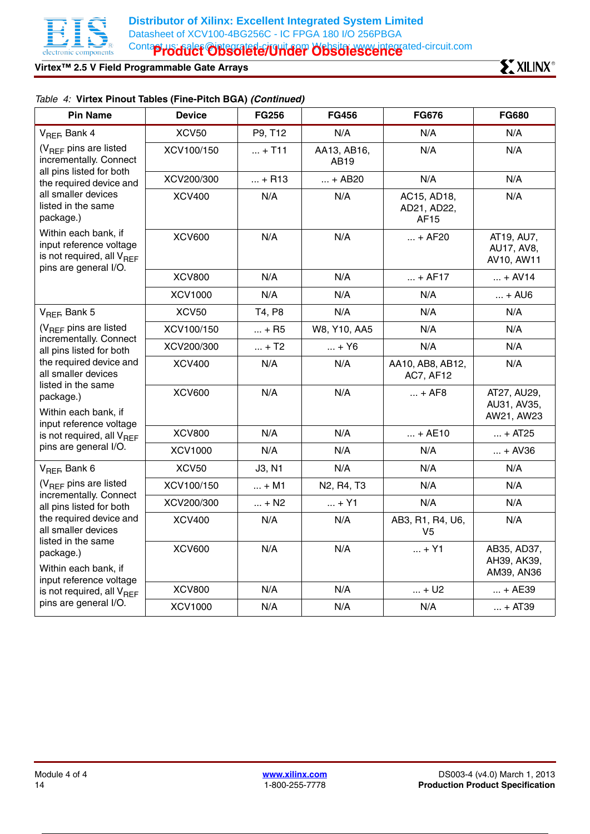

Virtex<sup>™</sup> 2.5 V Field Programmable Gate Arrays **Research Control of Arrays** Research Control Control of Arrays Research Research Research Research Research Research Research Research Research Research Research Research Re

| <b>Pin Name</b>                                                                                                   | <b>Device</b>  | <b>FG256</b> | <b>FG456</b>               | <b>FG676</b>                         | <b>FG680</b>                             |
|-------------------------------------------------------------------------------------------------------------------|----------------|--------------|----------------------------|--------------------------------------|------------------------------------------|
| V <sub>REF</sub> , Bank 4                                                                                         | <b>XCV50</b>   | P9, T12      | N/A                        | N/A                                  | N/A                                      |
| (V <sub>RFF</sub> pins are listed<br>incrementally. Connect                                                       | XCV100/150     | $ + T11$     | N/A<br>AA13, AB16,<br>AB19 |                                      | N/A                                      |
| all pins listed for both<br>the required device and                                                               | XCV200/300     | $ + R13$     | $ + AB20$                  | N/A                                  | N/A                                      |
| all smaller devices<br>listed in the same<br>package.)                                                            | <b>XCV400</b>  | N/A          | N/A                        | AC15, AD18,<br>AD21, AD22,<br>AF15   | N/A                                      |
| Within each bank, if<br>input reference voltage<br>is not required, all $V_{\text{RFF}}$<br>pins are general I/O. | <b>XCV600</b>  | N/A          | N/A                        |                                      | AT19, AU7,<br>AU17, AV8,<br>AV10, AW11   |
|                                                                                                                   | <b>XCV800</b>  | N/A          | N/A                        | $ + AF17$                            | $ + AV14$                                |
|                                                                                                                   | <b>XCV1000</b> | N/A          | N/A                        | N/A                                  | $ +$ AU6                                 |
| V <sub>REF</sub> , Bank 5                                                                                         | <b>XCV50</b>   | T4, P8       | N/A                        | N/A                                  | N/A                                      |
| (V <sub>REF</sub> pins are listed                                                                                 | XCV100/150     | $ + R5$      | W8, Y10, AA5               | N/A                                  | N/A                                      |
| incrementally. Connect<br>all pins listed for both                                                                | XCV200/300     | $ + T2$      | $ + Y6$                    | N/A                                  | N/A                                      |
| the required device and<br>all smaller devices                                                                    | <b>XCV400</b>  | N/A          | N/A                        | AA10, AB8, AB12,<br><b>AC7, AF12</b> | N/A                                      |
| listed in the same<br>package.)<br>Within each bank, if<br>input reference voltage                                | <b>XCV600</b>  | N/A          | N/A                        | $ + AF8$                             | AT27, AU29,<br>AU31, AV35,<br>AW21, AW23 |
| is not required, all V <sub>REF</sub>                                                                             | <b>XCV800</b>  | N/A          | N/A                        | $ + AE10$                            | $ + AT25$                                |
| pins are general I/O.                                                                                             | <b>XCV1000</b> | N/A          | N/A                        | N/A                                  | $ + AV36$                                |
| V <sub>REF</sub> , Bank 6                                                                                         | <b>XCV50</b>   | J3, N1       | N/A                        | N/A                                  | N/A                                      |
| (V <sub>REF</sub> pins are listed<br>incrementally. Connect                                                       | XCV100/150     | $ + M1$      | N2, R4, T3                 | N/A                                  | N/A                                      |
| all pins listed for both                                                                                          | XCV200/300     | $ + N2$      | $ + Y1$                    | N/A                                  | N/A                                      |
| the required device and<br>all smaller devices                                                                    | <b>XCV400</b>  | N/A          | N/A                        | AB3, R1, R4, U6,<br>V5               | N/A                                      |
| listed in the same<br>package.)<br>Within each bank, if<br>input reference voltage                                | <b>XCV600</b>  | N/A          | N/A                        | $ + Y1$                              | AB35, AD37,<br>AH39, AK39,<br>AM39, AN36 |
| is not required, all $V_{BFE}$                                                                                    | <b>XCV800</b>  | N/A          | N/A                        | $ + U2$                              | $ + AE39$                                |
| pins are general I/O.                                                                                             | <b>XCV1000</b> | N/A          | N/A                        | N/A                                  | $ + AT39$                                |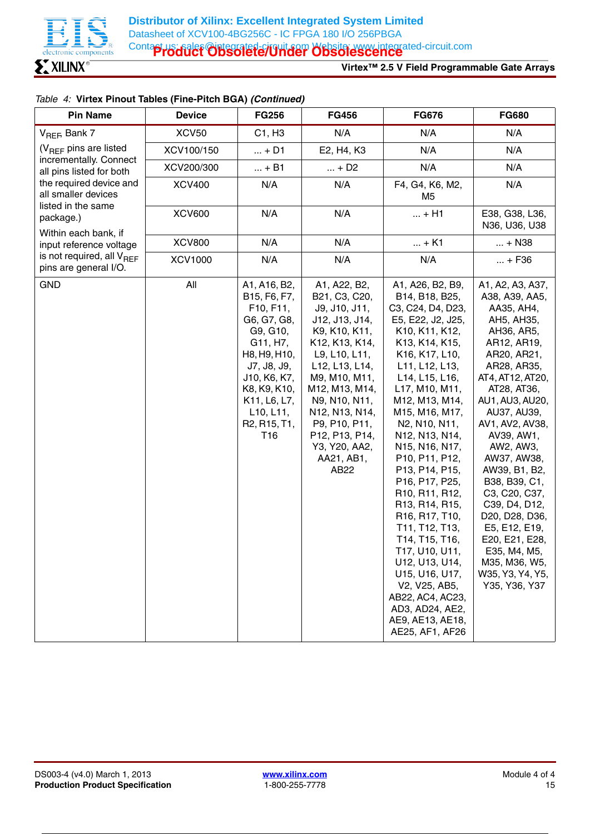

| <b>Pin Name</b>                                                | <b>Device</b>  | <b>FG256</b>                                                                                                                                                                                                                                                                                               | <b>FG456</b>                                                                                                                                                                                                                                                                           | <b>FG676</b>                                                                                                                                                                                                                                                                                                                                                                                                                                                                                                                                                                                                                                                         | <b>FG680</b>                                                                                                                                                                                                                                                                                                                                                                                                                                               |  |  |
|----------------------------------------------------------------|----------------|------------------------------------------------------------------------------------------------------------------------------------------------------------------------------------------------------------------------------------------------------------------------------------------------------------|----------------------------------------------------------------------------------------------------------------------------------------------------------------------------------------------------------------------------------------------------------------------------------------|----------------------------------------------------------------------------------------------------------------------------------------------------------------------------------------------------------------------------------------------------------------------------------------------------------------------------------------------------------------------------------------------------------------------------------------------------------------------------------------------------------------------------------------------------------------------------------------------------------------------------------------------------------------------|------------------------------------------------------------------------------------------------------------------------------------------------------------------------------------------------------------------------------------------------------------------------------------------------------------------------------------------------------------------------------------------------------------------------------------------------------------|--|--|
| V <sub>REF</sub> , Bank 7                                      | <b>XCV50</b>   | C1, H3                                                                                                                                                                                                                                                                                                     | N/A                                                                                                                                                                                                                                                                                    | N/A                                                                                                                                                                                                                                                                                                                                                                                                                                                                                                                                                                                                                                                                  | N/A                                                                                                                                                                                                                                                                                                                                                                                                                                                        |  |  |
| $(V_{BFF}$ pins are listed                                     | XCV100/150     | $ + D1$                                                                                                                                                                                                                                                                                                    | E2, H4, K3                                                                                                                                                                                                                                                                             | N/A                                                                                                                                                                                                                                                                                                                                                                                                                                                                                                                                                                                                                                                                  | N/A                                                                                                                                                                                                                                                                                                                                                                                                                                                        |  |  |
| incrementally. Connect<br>all pins listed for both             | XCV200/300     | $ + B1$                                                                                                                                                                                                                                                                                                    | $ + D2$                                                                                                                                                                                                                                                                                | N/A                                                                                                                                                                                                                                                                                                                                                                                                                                                                                                                                                                                                                                                                  | N/A                                                                                                                                                                                                                                                                                                                                                                                                                                                        |  |  |
| the required device and<br>all smaller devices                 | <b>XCV400</b>  | N/A                                                                                                                                                                                                                                                                                                        | N/A                                                                                                                                                                                                                                                                                    | F4, G4, K6, M2,<br>M5                                                                                                                                                                                                                                                                                                                                                                                                                                                                                                                                                                                                                                                | N/A                                                                                                                                                                                                                                                                                                                                                                                                                                                        |  |  |
| listed in the same<br>package.)                                | <b>XCV600</b>  | N/A                                                                                                                                                                                                                                                                                                        | N/A                                                                                                                                                                                                                                                                                    | $ + H1$                                                                                                                                                                                                                                                                                                                                                                                                                                                                                                                                                                                                                                                              | E38, G38, L36,<br>N36, U36, U38                                                                                                                                                                                                                                                                                                                                                                                                                            |  |  |
| Within each bank, if<br>input reference voltage                | <b>XCV800</b>  | N/A                                                                                                                                                                                                                                                                                                        | N/A                                                                                                                                                                                                                                                                                    | $ + K1$                                                                                                                                                                                                                                                                                                                                                                                                                                                                                                                                                                                                                                                              | $ + N38$                                                                                                                                                                                                                                                                                                                                                                                                                                                   |  |  |
| is not required, all $V_{\text{RFF}}$<br>pins are general I/O. | <b>XCV1000</b> | N/A                                                                                                                                                                                                                                                                                                        | N/A                                                                                                                                                                                                                                                                                    | N/A                                                                                                                                                                                                                                                                                                                                                                                                                                                                                                                                                                                                                                                                  | $ + F36$                                                                                                                                                                                                                                                                                                                                                                                                                                                   |  |  |
| <b>GND</b>                                                     | All            | A1, A16, B2,<br>B15, F6, F7,<br>F <sub>10</sub> , F <sub>11</sub> ,<br>G6, G7, G8,<br>G9, G10,<br>G11, H7,<br>H8, H9, H10,<br>J7, J8, J9,<br>J10, K6, K7,<br>K8, K9, K10,<br>K11, L6, L7,<br>L <sub>10</sub> , L <sub>11</sub> ,<br>R <sub>2</sub> , R <sub>15</sub> , T <sub>1</sub> ,<br>T <sub>16</sub> | A1, A22, B2,<br>B21, C3, C20,<br>J9, J10, J11,<br>J12, J13, J14,<br>K9, K10, K11,<br>K12, K13, K14,<br>L9, L10, L11,<br>L12, L13, L14,<br>M9, M10, M11,<br>M12, M13, M14,<br>N9, N10, N11,<br>N12, N13, N14,<br>P9, P10, P11,<br>P12, P13, P14,<br>Y3, Y20, AA2,<br>AA21, AB1,<br>AB22 | A1, A26, B2, B9,<br>B14, B18, B25,<br>C3, C24, D4, D23,<br>E5, E22, J2, J25,<br>K10, K11, K12,<br>K13, K14, K15,<br>K16, K17, L10,<br>L11, L12, L13,<br>L14, L15, L16,<br>L17, M10, M11,<br>M12, M13, M14,<br>M15, M16, M17,<br>N2, N10, N11,<br>N12, N13, N14,<br>N <sub>15</sub> , N <sub>16</sub> , N <sub>17</sub> ,<br>P10, P11, P12,<br>P13, P14, P15,<br>P16, P17, P25,<br>R10, R11, R12,<br>R13, R14, R15,<br>R <sub>16</sub> , R <sub>17</sub> , T <sub>10</sub> ,<br>T11, T12, T13,<br>T14, T15, T16,<br>T17, U10, U11,<br>U12, U13, U14,<br>U15, U16, U17,<br>V2, V25, AB5,<br>AB22, AC4, AC23,<br>AD3, AD24, AE2,<br>AE9, AE13, AE18,<br>AE25, AF1, AF26 | A1, A2, A3, A37,<br>A38, A39, AA5,<br>AA35, AH4,<br>AH5, AH35,<br>AH36, AR5,<br>AR12, AR19,<br>AR20, AR21,<br>AR28, AR35,<br>AT4, AT12, AT20,<br>AT28, AT36,<br>AU1, AU3, AU20,<br>AU37, AU39,<br>AV1, AV2, AV38,<br>AV39, AW1,<br>AW2, AW3,<br>AW37, AW38,<br>AW39, B1, B2,<br>B38, B39, C1,<br>C3, C20, C37,<br>C39, D4, D12,<br>D20, D28, D36,<br>E5, E12, E19,<br>E20, E21, E28,<br>E35, M4, M5,<br>M35, M36, W5,<br>W35, Y3, Y4, Y5,<br>Y35, Y36, Y37 |  |  |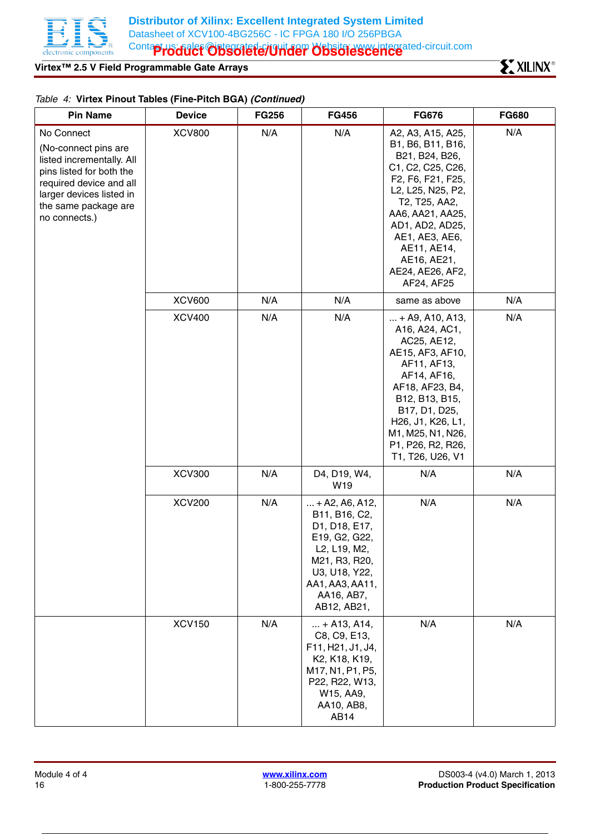

# Virtex<sup>™</sup> 2.5 V Field Programmable Gate Arrays **Research Control of Arrays** Research Control Control of Arrays Research Research Research Research Research Research Research Research Research Research Research Research Re

| <b>Pin Name</b>                                                                                                                                                                             | <b>Device</b> | <b>FG256</b> | <b>FG456</b>                                                                                                                                                           | <b>FG676</b>                                                                                                                                                                                                                                                                                       |     |
|---------------------------------------------------------------------------------------------------------------------------------------------------------------------------------------------|---------------|--------------|------------------------------------------------------------------------------------------------------------------------------------------------------------------------|----------------------------------------------------------------------------------------------------------------------------------------------------------------------------------------------------------------------------------------------------------------------------------------------------|-----|
| No Connect<br>(No-connect pins are<br>listed incrementally. All<br>pins listed for both the<br>required device and all<br>larger devices listed in<br>the same package are<br>no connects.) | <b>XCV800</b> | N/A          | N/A                                                                                                                                                                    | A2, A3, A15, A25,<br>B1, B6, B11, B16,<br>B21, B24, B26,<br>C1, C2, C25, C26,<br>F2, F6, F21, F25,<br>L2, L25, N25, P2,<br>T2, T25, AA2,<br>AA6, AA21, AA25,<br>AD1, AD2, AD25,<br>AE1, AE3, AE6,<br>AE11, AE14,<br>AE16, AE21,<br>AE24, AE26, AF2,<br>AF24, AF25                                  | N/A |
|                                                                                                                                                                                             | <b>XCV600</b> | N/A          | N/A                                                                                                                                                                    | same as above                                                                                                                                                                                                                                                                                      | N/A |
|                                                                                                                                                                                             | <b>XCV400</b> | N/A          | N/A                                                                                                                                                                    | $ + A9, A10, A13,$<br>A16, A24, AC1,<br>AC25, AE12,<br>AE15, AF3, AF10,<br>AF11, AF13,<br>AF14, AF16,<br>AF18, AF23, B4,<br>B12, B13, B15,<br>B17, D1, D25,<br>H <sub>26</sub> , J <sub>1</sub> , K <sub>26</sub> , L <sub>1</sub> ,<br>M1, M25, N1, N26,<br>P1, P26, R2, R26,<br>T1, T26, U26, V1 | N/A |
|                                                                                                                                                                                             | <b>XCV300</b> | N/A          | D4, D19, W4,<br>W19                                                                                                                                                    | N/A                                                                                                                                                                                                                                                                                                | N/A |
|                                                                                                                                                                                             | <b>XCV200</b> | N/A          | $ + A2, A6, A12,$<br>B11, B16, C2,<br>D1, D18, E17,<br>E19, G2, G22,<br>L2, L19, M2,<br>M21, R3, R20,<br>U3, U18, Y22,<br>AA1, AA3, AA11,<br>AA16, AB7,<br>AB12, AB21, | N/A                                                                                                                                                                                                                                                                                                | N/A |
|                                                                                                                                                                                             | <b>XCV150</b> | N/A          | $ + A13, A14,$<br>C8, C9, E13,<br>F11, H21, J1, J4,<br>K2, K18, K19,<br>M17, N1, P1, P5,<br>P22, R22, W13,<br>W15, AA9,<br>AA10, AB8,<br>AB14                          | N/A                                                                                                                                                                                                                                                                                                | N/A |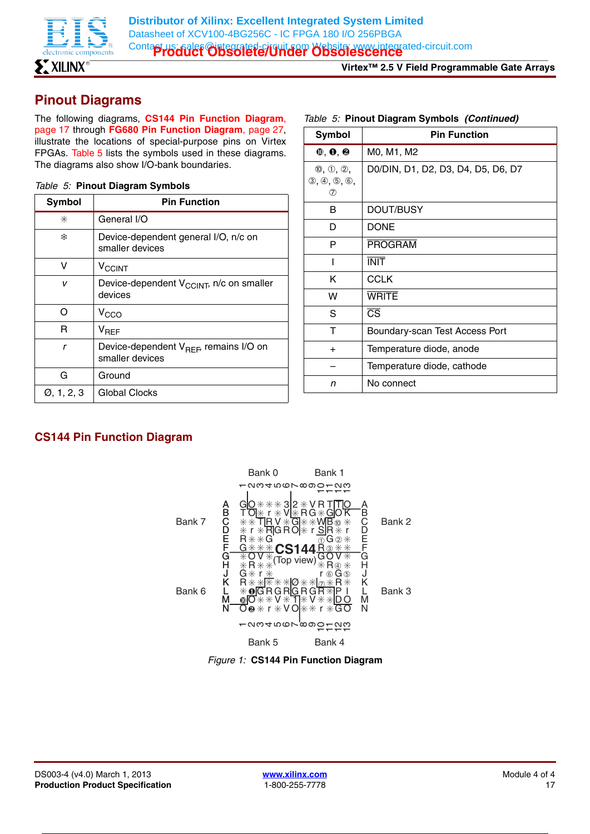

**Virtex™ 2.5 V Field Programmable Gate Arrays** <sup>R</sup>

# **Pinout Diagrams**

The following diagrams, **CS144 Pin Function Diagram**, page 17 through **FG680 Pin Function Diagram**, page 27, illustrate the locations of special-purpose pins on Virtex FPGAs. Table 5 lists the symbols used in these diagrams. The diagrams also show I/O-bank boundaries.

#### *Table 5:* **Pinout Diagram Symbols**

| Symbol                  | <b>Pin Function</b>                                                   |
|-------------------------|-----------------------------------------------------------------------|
| $\ast$                  | General I/O                                                           |
| 尜                       | Device-dependent general I/O, n/c on<br>smaller devices               |
| v                       | $\rm v_{\rm CCINT}$                                                   |
| V                       | Device-dependent V <sub>CCINT</sub> , n/c on smaller<br>devices       |
| ∩                       | V <sub>CCO</sub>                                                      |
| R                       | $\mathsf{V}_{\mathsf{REF}}$                                           |
| r                       | Device-dependent V <sub>RFF</sub> , remains I/O on<br>smaller devices |
| G                       | Ground                                                                |
| $\varnothing$ , 1, 2, 3 | Global Clocks                                                         |

| Symbol                                                          | <b>Pin Function</b>                |
|-----------------------------------------------------------------|------------------------------------|
| $①$ , $④$ , $②$                                                 | M0, M1, M2                         |
| $\mathbb{0}, \mathbb{0}, \mathbb{2},$<br>(3, 4, 5, 6, 6)<br>(7) | D0/DIN, D1, D2, D3, D4, D5, D6, D7 |
| R                                                               | DOUT/BUSY                          |
| D                                                               | <b>DONE</b>                        |
| P                                                               | <b>PROGRAM</b>                     |
|                                                                 | <b>INIT</b>                        |
| K                                                               | <b>CCLK</b>                        |
| w                                                               | <b>WRITE</b>                       |
| S                                                               | $\overline{\text{CS}}$             |
| т                                                               | Boundary-scan Test Access Port     |
| $\div$                                                          | Temperature diode, anode           |
|                                                                 | Temperature diode, cathode         |
| n                                                               | No connect                         |

#### *Table 5:* **Pinout Diagram Symbols** *(Continued)*

# **CS144 Pin Function Diagram**



*Figure 1:* **CS144 Pin Function Diagram**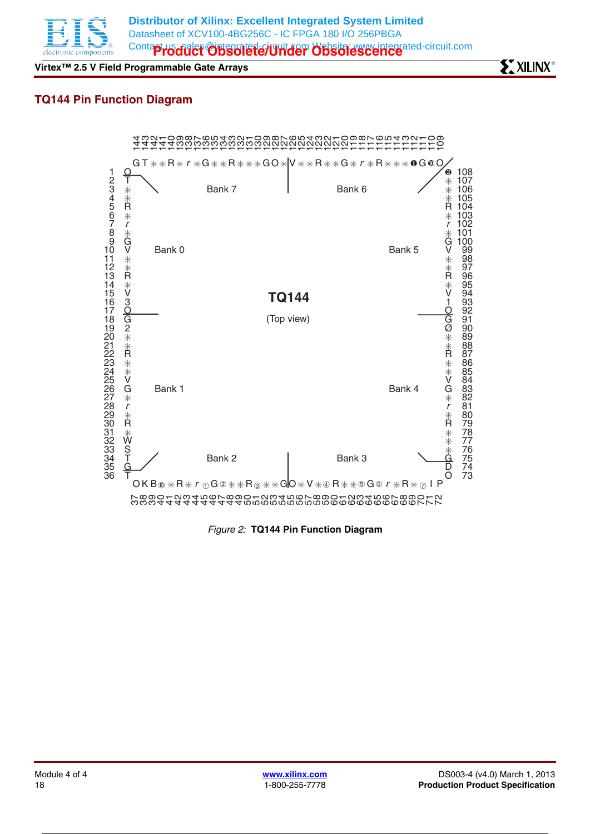

# **TQ144 Pin Function Diagram**



*Figure 2:* **TQ144 Pin Function Diagram**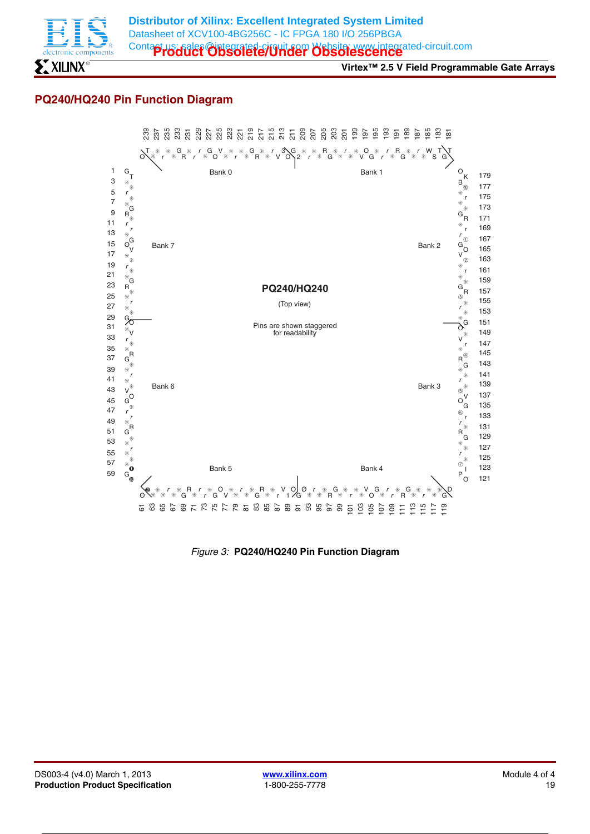

# **PQ240/HQ240 Pin Function Diagram**



*Figure 3:* **PQ240/HQ240 Pin Function Diagram**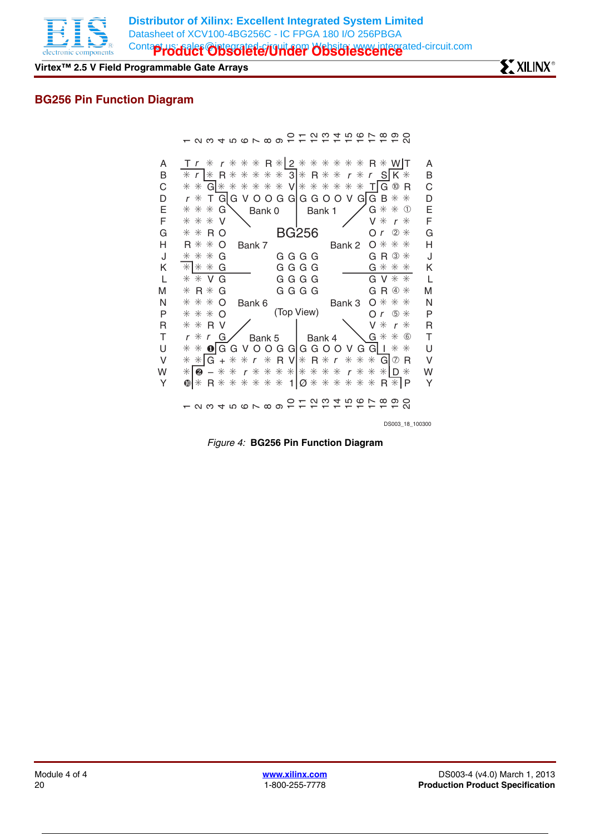

# **BG256 Pin Function Diagram**

- 2010 - 2020 - 2020 - 2020 - 2030 - 2030 - 2030 - 2030 - 20

B C D E F G H J K L M N P R T U V W Y A **\* ● -** \* \* ┏ \* \* \* \* <mark>\*</mark> \* \* \* \* ┏ \* \* \* <mark>D</mark> \* <mark>☀ <u>\*</u> G + \* \*r \* R V</mark> \* R \* r \* \* \* G ② R \* R \* \* \* \* \* 1 | Ø \* \* \* \* \* \* \* R \* | P *r r* ✳ ✳✳✳ ✳ ✳✳✳✳✳✳ ✳ T R 2 R WT ❶ ✳✳ ✳✳ GGVOOGGGGOOVGG I ➂ ✳ G R ➃ ✳ ➄ *r* ✳  $\circledast$  \* R \* \* \* \* \* \* B C D E F G H J K L M N P R T U V W Y A - 2 3 4 5 6 7 8 9 7 8 9 7 8 9 7 8 9 9 7 8 9 9 0 1 Bank 0 | Bank 1 Bank 5 Bank 3 Bank 4 O Bank 6 Bank 3 O  $R$   $*$   $*$  O Bank 7 Bank 2 O  $*$   $*$   $*$ R O **BG256** Or 2 (Top View) O O ✳ *r* ✳ ✳✳✳✳✳ ✳ ✳✳ ✳ *r* ✳ R R SK 3 *r* ✳✳ ✳✳✳✳✳✳ ✳✳✳✳✳✳ V G T G ➉ R ✳ ✳✳ TGGVOOGGGGOOVGGB *r*  $***<sub>6</sub>$ ✳✳✳  $* * R O$  $R$   $*$   $*$   $O$ ✳✳✳  $*$  \* \* G  $*\overline{*}$  $* R * G$ ✳✳✳ ✳✳✳  $* * R V$ ✳ *r r*  $G \setminus$  Bank 0 | Bank 1  $\angle$  G  $\ast \ast \circ$ ✳ ✳ *r r* ✳ ✳✳✳  $G V * *$ 0  $* * *$ ✳ ✳ *r*  $G \times$  Bank 5 Bank 4  $G$   $*$   $*$  ©  $\vee$   $\qquad$   $\vee$   $\vee$ G GGGG <u>G</u> GGGG <u>G</u> VG GGGG GV  $R * G$  GGGG GR RV / | \ V

DS003\_18\_100300

*Figure 4:* **BG256 Pin Function Diagram**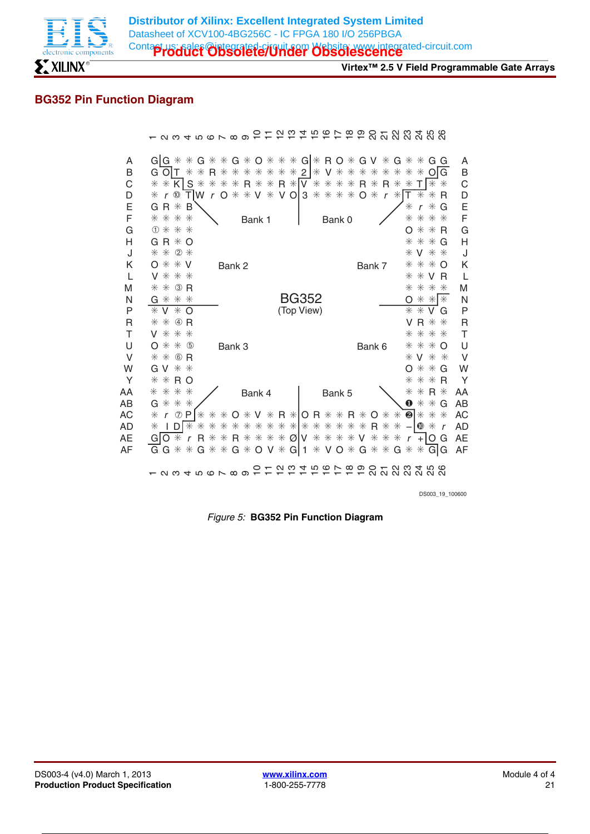

## **BG352 Pin Function Diagram**

G A G G ✳ ✳ G ✳ ✳ G ✳ O ✳ ✳ ✳ G ✳ R O ✳ G V ✳ G ✳ ✳ G 12345678910 11 12 13 14 15 16 17 18 19 20 21 22 23 24 25 26 B  $\overline{C}$ D E F G H J K L M N P R T U V W Y AA AB AC AD AE AF G O T ✳ ✳ R ✳ ✳ ✳ ✳ ✳ ✳ ✳ 2 V ✳ ✳ ✳ ✳ ✳ ✳ ✳ ✳ O G ✳ \* \* <mark>K | S</mark> \* \* \* \* R \* \* R \* <mark>V</mark> \* \* \* \* R \* R \* <u>R \* \* T \* \*</u> ✳ *r* T *r* O ✳ ✳ V ✳ V O 3 ✳ ✳ ✳ ✳ O ✳ *r* ✳ T ✳ ✳ R ➉ W ✳ *r* ➆ P ✳ ✳ ✳ O ✳ V ✳ R ✳ O R ✳ ✳ R ✳ O ✳ ✳ ❷ ✳ ✳ ✳  $\frac{1}{2}$  $\frac{1}{2}$  $\frac{1}{2}$   $\frac{1}{2}$   $\frac{1}{2}$   $\frac{1}{2}$   $\frac{1}{2}$   $\frac{1}{2}$   $\frac{1}{2}$   $\frac{1}{2}$   $\frac{1}{2}$   $\frac{1}{2}$   $\frac{1}{2}$   $\frac{1}{2}$   $\frac{1}{2}$   $\frac{1}{2}$   $\frac{1}{2}$   $\frac{1}{2}$   $\frac{1}{2}$   $\frac{1}{2}$   $\frac{1}{2}$   $\frac{1}{2}$ G O ✳ *r* R ✳ ✳ R ✳ ✳ ✳ ✳ Ø V ✳ ✳ ✳ ✳ V ✳ ✳ ✳ *r* + O G  $\overline{\mathsf{G}}$   $\mathsf{G}$   $\ast$   $\ast$   $\mathsf{G}$   $\ast$   $\ast$   $\mathsf{G}$   $\ast$   $\ast$   $\mathsf{G}$   $\ast$   $\ast$   $\mathsf{G}$   $\ast$   $\ast$   $\mathsf{G}$   $\ast$   $\ast$   $\overline{\mathsf{G}}$   $\ast$   $\ast$   $\overline{\mathsf{G}}$   $\mathsf{G}$ ✳ *r* ✳ G  $\ast$ O ✳ ✳ R  $* * * G$ ✳ V ✳ ✳ ✳ ✳ ✳ O  $* * v R$ ✳ ✳ ✳ ✳  $Q$   $*$   $*$   $\overline{\ast}$  $*$   $*$  V G V R ✳ ✳  $* *$  $* * * 0$  $*$  V  $*$   $*$  $O$   $*$   $*$   $G$  $* * * R$ ✳ ✳ R ✳  $\bullet$   $*$   $*$  G AB  $G R * B$ ✳ ✳ ✳ ✳ ➀ ✳ ✳ ✳  $G R * O$ ✳ ✳ ➁ ✳  $Q$   $*$   $*$   $V$ V ✳ ✳ ✳  $* * ③ R$  $G$   $*$   $*$   $*$  $*V*O$  $* * @ R$ V ✳ ✳ ✳  $O * * 9$  $* * ⑤ R$  $GV * *$ ✳ ✳ R O ✳ ✳ ✳ ✳  $G$   $*$   $*$   $*$  $\mathbf{0}$   $*$  r B  $\mathcal{C}$ D E F G H J K L M N P R T  $\cup$ V W Y AA AC AD AE  $G$ <sup> $G$ </sup> AF A 1 2 3 4 5 6 7 8 9 10 11 12 13 14 15 16 17 18 19 20 21 22 23 24 25 26 Bank 1 Bank 0 Bank 4 Bank 6 Bank 5 Bank 3 Bank 2 Bank 7 BG352 (Top View) ✳

DS003\_19\_100600

*Figure 5:* **BG352 Pin Function Diagram**

| DS003-4 (v4.0) March 1, 2013            |
|-----------------------------------------|
| <b>Production Product Specification</b> |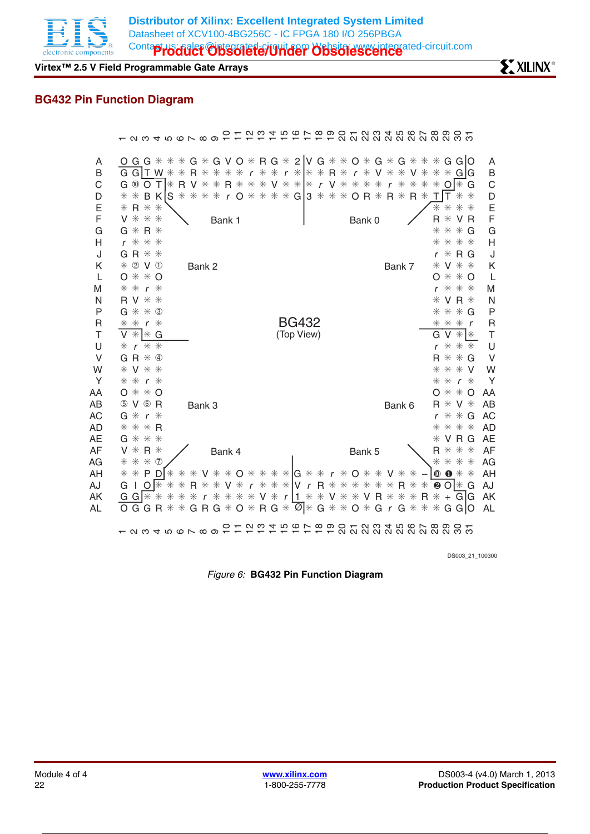

1 2 3 4 5 6 7 8 9 10 11 12 13 14 15 16 17 18 19 20 21 22 23 24 25 26 27 28 29 30 31

Virtex<sup>™</sup> 2.5 V Field Programmable Gate Arrays **Research Control of Arrays** XILINX<sup>®</sup>

# **BG432 Pin Function Diagram**

| A<br>B<br>C<br>D<br>Ε<br>F<br>G<br>Н<br>J<br>K | O G G $*$ $*$<br>G GIT W $*$<br>$^{\circledR}$<br>Т<br>$\ast$<br>G<br>$\circ$<br>B<br>$S *$<br>$**$<br>Κ<br>$R * *$<br>$*$<br>V * * *<br>$G * R *$<br>$r$ $*$ $*$ $*$<br>$R * *$<br>G<br>$*$ 2 V ① | $\ast$<br>$\ast$<br>R V | $G * G V O * R G * 2 V G * * O * G * G * * * * G G O$<br>$R$ $*$ $*$ $*$ $*$ $r$<br>$* * R *$<br>* * * r O * * * * G 3 * * * O R *<br>Bank 1 | $*$ | $*$ | * * r * * * R * r *<br>$V$ * * * $r$ V * * * |  | V<br>$\ast$<br>Bank 0 | $\ast$<br>$\mathbf{r}$ | $*$ V $*$<br>$\ast$<br>$*$<br>$R * R *$ | $*$<br>$*$<br>$*$<br>R<br>$\ast$<br>$\ast$<br>r | $*$<br>$\ast$<br>$\Omega$<br>$\ast$<br>$*$<br>$\ast$<br>$*$<br>$*$<br>* * *<br>$*$ R G<br><b>V</b> * * | GIG<br>G<br>$\ast$<br>$\ast$<br>V <sub>R</sub><br>$*G$ | Α<br>B<br>C<br>D<br>E<br>F<br>G<br>Η<br>J |
|------------------------------------------------|----------------------------------------------------------------------------------------------------------------------------------------------------------------------------------------------------|-------------------------|----------------------------------------------------------------------------------------------------------------------------------------------|-----|-----|----------------------------------------------|--|-----------------------|------------------------|-----------------------------------------|-------------------------------------------------|--------------------------------------------------------------------------------------------------------|--------------------------------------------------------|-------------------------------------------|
| L                                              | $0 * * 0$                                                                                                                                                                                          | Bank 2                  |                                                                                                                                              |     |     |                                              |  |                       | Bank 7                 |                                         | ⋇<br>O                                          | $*$ $*$ O                                                                                              |                                                        | Κ<br>L                                    |
| M                                              | $**$<br>一米<br>$\mathbf{r}$                                                                                                                                                                         |                         |                                                                                                                                              |     |     |                                              |  |                       |                        |                                         | r                                               | $\ast$                                                                                                 | $**$                                                   | M                                         |
| N                                              | <b>RV * *</b>                                                                                                                                                                                      |                         |                                                                                                                                              |     |     |                                              |  |                       |                        |                                         | $\ast$                                          | $V R$ $*$                                                                                              |                                                        | N                                         |
| P                                              | $G$ $*$ $*$ $\circledcirc$                                                                                                                                                                         |                         |                                                                                                                                              |     |     |                                              |  |                       |                        |                                         |                                                 | $* * * G$                                                                                              |                                                        | P                                         |
| R                                              | $* * r *$                                                                                                                                                                                          |                         |                                                                                                                                              |     |     | BG432                                        |  |                       |                        |                                         |                                                 | $* * * r$                                                                                              |                                                        | R                                         |
| T                                              | $* $ + G<br>V                                                                                                                                                                                      |                         |                                                                                                                                              |     |     | (Top View)                                   |  |                       |                        |                                         | G                                               | V                                                                                                      | $*$ $*$                                                | T                                         |
| U                                              | $r * *$<br>$*$                                                                                                                                                                                     |                         |                                                                                                                                              |     |     |                                              |  |                       |                        |                                         | r                                               | $*$<br>$*$                                                                                             | $\ast$                                                 | U                                         |
| V                                              | $G R$ $*$<br>4                                                                                                                                                                                     |                         |                                                                                                                                              |     |     |                                              |  |                       |                        |                                         | R.                                              | $* * G$                                                                                                |                                                        | V                                         |
| W                                              | $*$ V $*$ $*$                                                                                                                                                                                      |                         |                                                                                                                                              |     |     |                                              |  |                       |                        |                                         |                                                 | * * * V                                                                                                |                                                        | W                                         |
| Y                                              | $**$<br>$r *$                                                                                                                                                                                      |                         |                                                                                                                                              |     |     |                                              |  |                       |                        |                                         |                                                 | $* * r *$                                                                                              |                                                        | Υ                                         |
| AA<br>AB                                       | $0 * * 0$<br>5 V 6 R                                                                                                                                                                               |                         |                                                                                                                                              |     |     |                                              |  |                       |                        |                                         | O<br>R                                          | $*$ $*$ O<br>$*$ V $*$                                                                                 |                                                        | AA<br>AB                                  |
| <b>AC</b>                                      | G *<br>$*$<br>$\mathbf{r}$                                                                                                                                                                         | Bank 3                  |                                                                                                                                              |     |     |                                              |  |                       | Bank 6                 |                                         | r                                               | $\ast$                                                                                                 | $*G$                                                   | AC                                        |
| <b>AD</b>                                      | $* * * R$                                                                                                                                                                                          |                         |                                                                                                                                              |     |     |                                              |  |                       |                        |                                         | ⋇                                               | * * *                                                                                                  |                                                        | AD                                        |
| AE                                             | $G$ $*$ $*$ $*$                                                                                                                                                                                    |                         |                                                                                                                                              |     |     |                                              |  |                       |                        |                                         | ⋇                                               | V                                                                                                      | R G                                                    | AE                                        |
| AF                                             | $V * R *$                                                                                                                                                                                          |                         | Bank 4                                                                                                                                       |     |     |                                              |  | Bank 5                |                        |                                         | R.                                              | $* * *$                                                                                                |                                                        | AF                                        |
| AG                                             | * * * 0                                                                                                                                                                                            |                         |                                                                                                                                              |     |     |                                              |  |                       |                        |                                         | $\ast$                                          | $**$ $*$                                                                                               |                                                        | AG                                        |
| AH                                             | $**$<br>P<br>D                                                                                                                                                                                     | $\ast$<br>$\ast$        | V * * O * * * * H G * * r * O * *                                                                                                            |     |     |                                              |  |                       | -V                     | $\ast$<br>⋇                             |                                                 | $\mathbf{0} \bullet \ast$                                                                              | ⋇                                                      | AH                                        |
| AJ                                             | $*$<br>O<br>∦<br>G                                                                                                                                                                                 | $\ast$                  | R * * V * r * * *  V r R * * * * * * R * *                                                                                                   |     |     |                                              |  |                       |                        |                                         | ❷                                               | $O$   $*$                                                                                              | G                                                      | AJ                                        |
| AK                                             | $G$ $*$<br>$\ast$<br>$\ast$<br>G                                                                                                                                                                   | $\ast$<br>$\ast$        | r * * * * V *                                                                                                                                |     |     | r   1 * * V * * V R * * *                    |  |                       |                        |                                         | $R * +$                                         |                                                                                                        | GIG                                                    | AK                                        |
| AL                                             | $\ast$<br>G G<br>R.<br>O                                                                                                                                                                           | $\ast$                  | $G R G * O * R G *$                                                                                                                          |     |     | $\emptyset$ $*$ G $*$ $*$ O $*$ G r G $*$    |  |                       |                        |                                         | $\ast$<br>$\ast$                                | G                                                                                                      | GIO                                                    | AL                                        |
|                                                | $Q \cup Q \cup Q \cup Q \cup Q$                                                                                                                                                                    |                         |                                                                                                                                              |     |     |                                              |  | $\sim$                |                        |                                         |                                                 |                                                                                                        |                                                        |                                           |

DS003\_21\_100300

*Figure 6:* **BG432 Pin Function Diagram**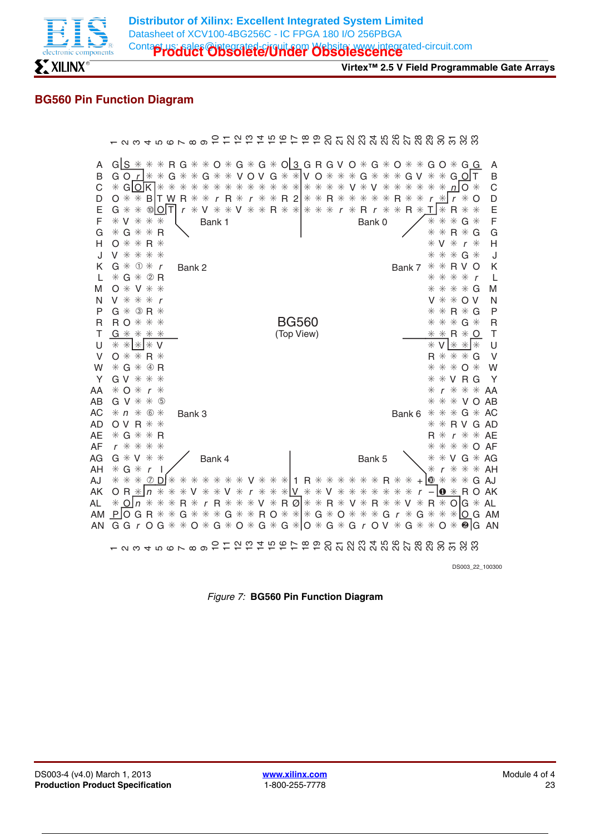

# **BG560 Pin Function Diagram**

 $\overline{1}$ 

- 2 2 3 2 3 2 3 2 3 2 3 2 3 2 3 3 4 5 6 7 8 9 9 5 7 8 9 9 7 8 9 7 l.

| Α         | G  <u>S *</u> * * R G * * O * G * G * O <u>  3</u> G R G V O * G * O * * G O * G <u>G</u> |                                           |           |                                     |                              |              |                                          |  |                  |        |         |                        |         |                                                      |         | Α                       |
|-----------|-------------------------------------------------------------------------------------------|-------------------------------------------|-----------|-------------------------------------|------------------------------|--------------|------------------------------------------|--|------------------|--------|---------|------------------------|---------|------------------------------------------------------|---------|-------------------------|
| B         | $*$ G $*$<br>G O $r$ $\mid$ $\ast$                                                        |                                           |           | * G * * V O V G * * V O * * * G *   |                              |              |                                          |  | $*$              | $\ast$ | G V     |                        |         | $* * G$ OIT                                          |         | $\sf B$                 |
| С         |                                                                                           |                                           |           |                                     |                              |              |                                          |  | $*$              |        | * * *   |                        |         | $* * nIO *$                                          |         | $\mathsf C$             |
| D         | $0$ $*$ $*$ BIT W R $*$ $*$                                                               |                                           |           | r R * r * * R 2 * * R * * * *       |                              |              |                                          |  | $*$              | $R *$  |         | $\ast$<br>$\mathbf{r}$ | $*$     | $\ast$<br>$\mathbf{r}$                               | $\circ$ | D                       |
| Ε         | ®lOlT<br>$G * *$                                                                          | r                                         |           | * V * * V * * R * * * * * r * R r * |                              |              |                                          |  |                  |        | $* R *$ |                        | $\ast$  | $\ast$<br>R.                                         | $\ast$  | E                       |
| F         | * V * * *                                                                                 |                                           | Bank 1    |                                     |                              |              |                                          |  | Bank 0           |        |         | $\ast$                 | $\ast$  | $\ast$<br>$G *$                                      |         | F                       |
| G         | $*G**R$                                                                                   |                                           |           |                                     |                              |              |                                          |  |                  |        |         | ⋇                      | $\ast$  | $R * G$                                              |         | G                       |
| н         | $0**R*$                                                                                   |                                           |           |                                     |                              |              |                                          |  |                  |        |         |                        |         | $*$ V $*$ $r$ $*$                                    |         | Η                       |
| J         | V * * * *                                                                                 |                                           |           |                                     |                              |              |                                          |  |                  |        |         |                        |         | $* * * G *$                                          |         | J                       |
| Κ         | $G * 0 * r$                                                                               | Bank 2                                    |           |                                     |                              |              |                                          |  |                  |        | Bank 7  |                        |         | $* * R V$                                            | $\circ$ | Κ                       |
| L         | $*G*QR$                                                                                   |                                           |           |                                     |                              |              |                                          |  |                  |        |         |                        |         | $****r$                                              |         | L                       |
| Μ         | $O*V**$                                                                                   |                                           |           |                                     |                              |              |                                          |  |                  |        |         |                        |         | * * * * G                                            |         | M                       |
| N         | $V$ * * * r                                                                               |                                           |           |                                     |                              |              |                                          |  |                  |        |         |                        |         | $V$ $*$ $*$ O V                                      |         | N                       |
| P         | $G * ③ R *$                                                                               |                                           |           |                                     |                              |              |                                          |  |                  |        |         |                        |         | $* * R * G$                                          |         | $\mathsf{P}$            |
| R         | R O $*$ $*$ $*$                                                                           |                                           |           |                                     |                              | <b>BG560</b> |                                          |  |                  |        |         |                        |         | * * * G *                                            |         | $\overline{\mathsf{R}}$ |
| т         | $G$ $*$ $*$ $*$ $*$                                                                       |                                           |           |                                     |                              | (Top View)   |                                          |  |                  |        |         |                        |         | * * R * O                                            |         | T                       |
| U         | $* *   *   * V$                                                                           |                                           |           |                                     |                              |              |                                          |  |                  |        |         | $\ast$                 | $V$ $*$ | $* *$                                                |         | U                       |
| V         | $0$ $*$ $*$ $R$ $*$                                                                       |                                           |           |                                     |                              |              |                                          |  |                  |        |         |                        |         | $R$ $*$ $*$ $*$ $G$                                  |         | V                       |
| W         | $*$ G $*$<br>$\circledcirc$ R                                                             |                                           |           |                                     |                              |              |                                          |  |                  |        |         |                        |         | $* * * o *$                                          |         | W                       |
| Y         | $G V * * * *$                                                                             |                                           |           |                                     |                              |              |                                          |  |                  |        |         |                        |         | $*$ $*$ $V$ R G                                      |         | Υ                       |
| AA        | $*$ O $*$ r $*$                                                                           |                                           |           |                                     |                              |              |                                          |  |                  |        |         |                        |         | $*$ $r$ $*$ $*$ $*$ AA                               |         |                         |
| AB        | $G V * *$<br>$\circledS$                                                                  |                                           |           |                                     |                              |              |                                          |  |                  |        |         |                        |         | * * * V O AB                                         |         |                         |
| <b>AC</b> | $* n * 6 *$                                                                               | Bank 3                                    |           |                                     |                              |              |                                          |  |                  |        | Bank 6  |                        |         | $* * * G * AC$                                       |         |                         |
| AD        | $O V R$ $*$ $*$                                                                           |                                           |           |                                     |                              |              |                                          |  |                  |        |         |                        |         | $*$ $*$ R V G AD                                     |         |                         |
| AE        | $*G**R$                                                                                   |                                           |           |                                     |                              |              |                                          |  |                  |        |         |                        | $R *$   | $r$ $*$ $*$ AE                                       |         |                         |
| AF        | $r$ * * * *                                                                               |                                           |           |                                     |                              |              |                                          |  |                  |        |         | $\ast$                 |         | $* * * o$ AF                                         |         |                         |
| AG        | $G * V * *$                                                                               |                                           | Bank 4    |                                     |                              |              |                                          |  | Bank 5           |        |         |                        | $* * v$ |                                                      |         | $G * AG$                |
| AH        | $*$ G $*$<br>$\mathbf{r}$                                                                 |                                           |           |                                     |                              |              |                                          |  |                  |        |         | ⋇                      |         | $r$ * * * AH                                         |         |                         |
| AJ        | $* * * ⑦$<br>'⋇<br>D                                                                      | * * * * * * V * * * 1 R * * * * * *       |           |                                     |                              |              |                                          |  | R                | $\ast$ | $\ast$  |                        |         | $\left  \bm{0} \ast \ast \ast \mathsf{G} \right $ AJ |         |                         |
| ΑK        | O R $*$ ln<br>$\ast$<br>$\ast$                                                            | $\ast$<br>V                               | $* * V *$ |                                     | r * * * <u>V</u> * * V * * * |              |                                          |  | $\ast$<br>$\ast$ | $\ast$ | $\ast$  |                        |         | $\mathbf{0} * \mathbf{R}$ O AK                       |         |                         |
| AL        | $*$ Oln $*$ $*$<br>$*$                                                                    | $R * r R * * r V * R Q   * * R * V * R *$ |           |                                     |                              |              |                                          |  |                  | * V    |         | $\ast$                 |         | $R * O G * AL$                                       |         |                         |
| AM        | POGR * * G * * * G * * R O * *   * G * O * * * G r * G * * * O G AM                       |                                           |           |                                     |                              |              |                                          |  |                  |        |         |                        |         |                                                      |         |                         |
| AN        | GGrOG**O*G*O*G*G*G* O*G*GrOV*G**O*@ GAN                                                   |                                           |           |                                     |                              |              |                                          |  |                  |        |         |                        |         |                                                      |         |                         |
|           |                                                                                           |                                           |           |                                     | ro o L                       |              |                                          |  |                  |        |         |                        |         |                                                      |         |                         |
|           | $ \alpha$ $\alpha$ $+$ $\alpha$ $\alpha$ $\alpha$ $\alpha$ $-$                            |                                           |           |                                     |                              |              | <u>ํ ฅ ฅ ฅ ฅ ฅ ฅ ฅ ฅ ฅ ฅ ฅ ฅ ฅ ฅ ฅ ฅ</u> |  |                  |        |         |                        |         |                                                      |         |                         |
|           |                                                                                           |                                           |           |                                     |                              |              |                                          |  |                  |        |         |                        |         |                                                      |         |                         |

DS003\_22\_100300

*Figure 7:* **BG560 Pin Function Diagram**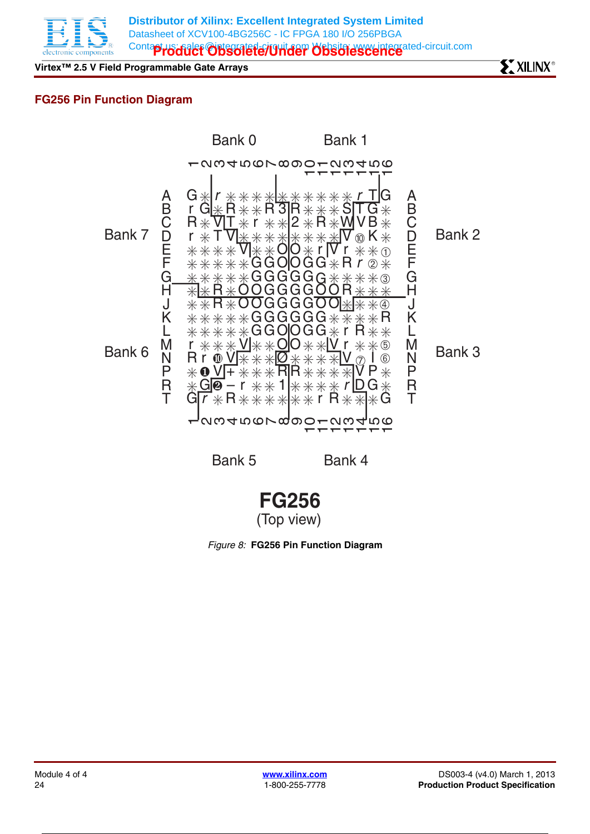

Virtex<sup>™</sup> 2.5 V Field Programmable Gate Arrays **Research Control of Arrays** XILINX<sup>®</sup>

# **FG256 Pin Function Diagram**





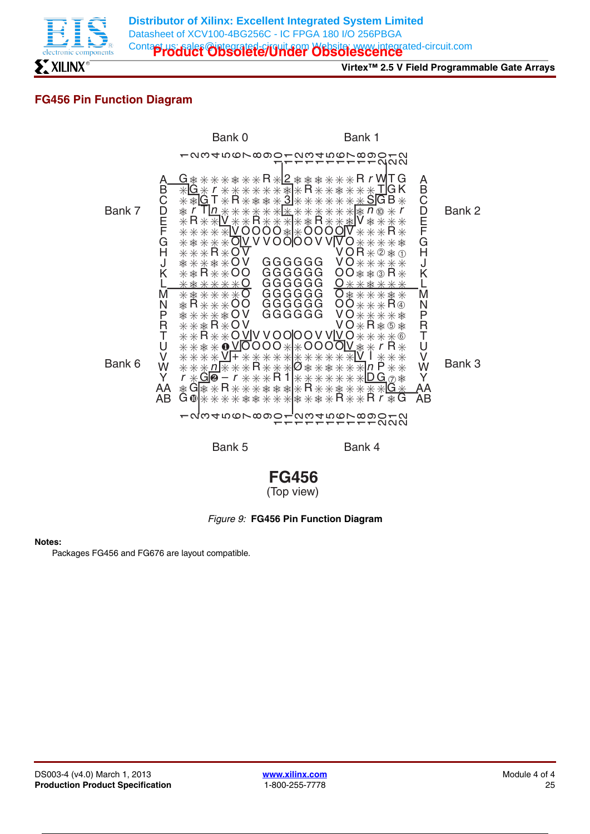

# **FG456 Pin Function Diagram**



Bank 5

Bank 4

**FG456** (Top view)

### *Figure 9:* **FG456 Pin Function Diagram**

#### **Notes:**

Packages FG456 and FG676 are layout compatible.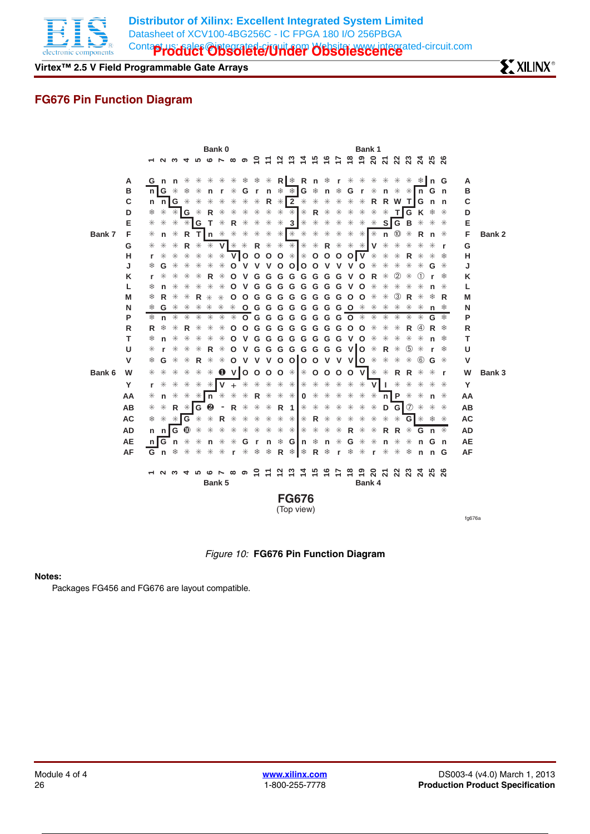

Virtex<sup>™</sup> 2.5 V Field Programmable Gate Arrays **Research Control of Arrays** XILINX<sup>®</sup>

# **FG676 Pin Function Diagram**

|        |           | Bank 0 |                    |              |              |        |                                                |              | Bank 1   |        |             |              |               |                |                |                 |               |              |                |              |        |        |                |                 |              |                 |              |              |        |
|--------|-----------|--------|--------------------|--------------|--------------|--------|------------------------------------------------|--------------|----------|--------|-------------|--------------|---------------|----------------|----------------|-----------------|---------------|--------------|----------------|--------------|--------|--------|----------------|-----------------|--------------|-----------------|--------------|--------------|--------|
|        |           |        |                    |              |              | မာ     | $\circ$ $\sim$ $\circ$ $\circ$ $\circ$ $\circ$ |              |          |        |             |              |               |                |                |                 |               |              |                |              | ಼ ನ    | 21     | $\mathbf{z}$   | ສ               | $\mathbb{Z}$ | <b>25</b><br>26 |              |              |        |
|        | Α         | G      | n                  | n            | ⋇            | Ж      | ⋇                                              | ⋇            | ⋇        | ₩      | *           | $\ast$       | RI            | ₩              | R              | n               | *             | r            | $\ast$         | ⋇            | ⋇      | $\ast$ | $\ast$         | ⋇               | * 1          | n               | G            | Α            |        |
|        | в         |        | n I G              | $\ast$       | ₩            | ⋇      | n                                              | r            | ⋇        | G      | r           | n            |               |                |                | *               | n             | ₩            | G              | r            | ⋇      | n      | $\ast$         |                 | $*$ n G n    |                 |              | в            |        |
|        | C         | n      | n                  | G            | $\ast$       | ⋇      | ⋇                                              | ⋇            | ⋇        | $\ast$ | $\ast$      |              | $R$ $*$       | $\overline{2}$ | $\ast$         | $\ast$          | $\ast$        | $\ast$       | $\ast$         | $\ast$       | R      | R      | W              | т               | G            | n               | n            | C            |        |
|        | D         | *      | $*$                | $*$          | G            | $\ast$ | R                                              | ⋇            | ⋇        | $\ast$ | $\ast$      | $\ast$       | $*$           | $*1$           | $\ast$         | R               | $\ast$        | $\ast$       | $\ast$         | $\ast$       | $\ast$ | $\ast$ | т              | G               | K            | *               | $\ast$       | D            |        |
|        | Е         | $\ast$ | $^*\!\!$           | $\ast$       | $*$          | G      | т                                              | ⋇            | R        | $\ast$ | $\ast$      | $\ast$       | $*$           | 3              | $\ast$         | $\ast$          | $\ast$        | $\ast$       | $\ast$         | $\ast$       | $\ast$ | sl     | G              | в               | ⋇            | $\ast$          | $\ast$       | Е            |        |
| Bank 7 | F         | $\ast$ | n                  | $\ast$       | R            | т      | n                                              | $\ast$       | ⋇        | $\ast$ | $\ast$      | $\ast$       | $*$           | $*$            | $\ast$         | $\ast$          | $\ast$        | $\ast$       | $\ast$         | $\ast$       | $*$    | n      | $^{\circledR}$ | $\ast$          | R            | n               | $\ast$       | F            | Bank 2 |
|        | G         | $\ast$ | $\ast$             | $\ast$       | R            | $\ast$ | $\ast$                                         | v            | $\ast$   | $\ast$ | R           | $\ast$       | $\ast$        | $*$            | $\ast$         | $\ast$          | R             | $\ast$       | $\ast$         | $\ast$       | v      | $\ast$ | ⋇              | ⋇               | ⋇            | ⋇               | r            | G            |        |
|        | н         | r      | $\ast$             | $\ast$       | $\ast$       | $\ast$ | $^{\ast}$                                      | $\ast$       | v        | Ο      | Ο           | Ο            | $\circ$       |                | $*$ $*$        | $\mathbf{o}$    | $\circ$       | $\mathbf{o}$ | $\overline{O}$ | V            | $\ast$ | $\ast$ | $\ast$         | R               | ⋇            | $\ast$          | *            | н            |        |
|        | J         | *      | G                  | $\ast$       | ⋇            | ⋇      | ⋇                                              |              | О        |        |             | v            | O             | οI             | $\circ$        | O               | v             | v            |                | n            | ⋇      | $\ast$ | ⋇              | ⋇               | ⋇            | G               | ⋇            | J            |        |
|        | κ         | r      | $\ast$             | ⋇            | ⋇            | ⋇      | R                                              |              | O        |        | G           | G            | G             | G              | G              | G               | G             | G            |                | Ο            | R      | $\ast$ | 2              | ⋇               | (1)          |                 | *            | ĸ            |        |
|        | L         | 尜      | n                  | $\ast$       | ⋇            | ⋇      | Ж                                              | ⋇            | O        |        | G           | G            | G             | G              | G              | G               | G             | G            | v              | ი            | ⋇      | $\ast$ | $\ast$         | $\ast$          | ⋇            | n               | $\ast$       | L            |        |
|        | М         | *      | R                  | ⋇            | ⋇            | R      | $\ast$                                         | $\ast$       | O        | O      | G           | G            | G             | G              | G              | G               | G             | G            | O              | O            | ⋇      | $\ast$ | (3)            | R               | $\ast$       | *               | R            | M            |        |
|        | N         | *      | G                  | $\ast$       | $\ast$       | $\ast$ | $\ast$                                         | $\ast$       | $\ast$   | O      | G           | G            | G             | G G            |                | G               | G             | G O          |                | $\ast$       | $\ast$ | $\ast$ | $\ast$         | $\ast$          | $\ast$       | n               | ₩            | N            |        |
|        | P         | 尜      | n                  | $\ast$       | ⋇            | $\ast$ | $^*\!\!$                                       | $\ast$       | $\ast$   | Ο      | G           | G            | G             | G G            |                | G               | G             | G            | $\circ$        | $\ast$       | $\ast$ | $\ast$ | $\ast$         | $\ast$          | $\ast$       | G               | 柒            | P            |        |
|        | R         | R      | *                  | ⋇            | R            | ⋇      | ⋇                                              | ⋇            | Ο        | Ο      | G           | G            | G             | G              | G              | G               | G             | G            | Ω              | Ο            | ⋇      | $\ast$ | $\ast$         | R               | (4)          | R               | ₩            | $\mathsf{R}$ |        |
|        | T         | 楽      | n                  | $\ast$       | ⋇            | ⋇      | $\ast$                                         | $\ast$       | О        |        | G           | G            | G             | G              | G              | G               | G             | G            | v              | O            | $\ast$ | $\ast$ | $\ast$         | $\ast$          | $\ast$       | n               | *            | T            |        |
|        | U         | ⋇      | r                  | $\ast$       | ⋇            | $\ast$ | R                                              | $\ast$       | O        | v      | G           | G            |               |                |                | G G G G G G V O |               |              |                |              | $*$    | R      | $\ast$         | $\circledS$     | $\ast$       | $\mathbf{r}$    | ❄            | U            |        |
|        | v         | ₩      | G                  | $\ast$       | ⋇            | R      | $\ast$                                         | $\ast$       | O        | v      | v           | v            | $\mathbf{o}$  | ol             | 0 <sub>o</sub> |                 | <b>V</b>      | V            | <b>V</b>       | $\mathbf{o}$ | $\ast$ | $\ast$ | $\ast$         | $\ast$          | $^{\circ}$   | G               | $\ast$       | ٧            |        |
| Bank 6 | w         | $\ast$ | $\ast$             | $\ast$       | ⋇            | ⋇      | ⋇                                              | $\bf o$      | V        | O      | O           | $\mathbf{o}$ |               | $\bullet$ $*$  | $\ast$         | O               | $\mathbf{o}$  | $\mathbf{o}$ | $\circ$        | ۷I           | $\ast$ | $\ast$ | R              | R               | $\ast$       | ⋇               | r            | W            | Bank 3 |
|        | Y         | r      | $\ast$             | $\ast$       | $\ast$       | $\ast$ | $\ast$                                         | $\mathsf{V}$ | $^{+}$   | $\ast$ | $\ast$      | $\ast$       | $\ast$        | $\ast$         | $\ast$         | $\ast$          | $\ast$        | $\ast$       | $\ast$         | $\ast$       | v      | -1     | $\ast$         | ⋇               | ⋇            | $\ast$          | $\ast$       | Y            |        |
|        | AA        | ⋇      | n                  | $\ast$       | ⋇            | $\ast$ | n.                                             | $\ast$       | $\ast$   | $*$    | R           | $\ast$       | $\ast$        | $*$            | 0              | $\ast$          | $\ast$        | $\ast$       | $\ast$         | $\ast$       | $*$    |        | nIP            | $\ast$          | $\ast$       | n               | $\ast$       | AA           |        |
|        | AB        | $\ast$ | $*$                | $\mathsf{R}$ | $\ast$       | G      | ❷                                              |              | R        | $\ast$ | $*$         | $*$          | R             | $\mathbf{1}$   | $\ast$         | $\ast$          | $\ast$        | $\ast$       | $\ast$         | $\ast$       | $\ast$ | D      |                | $G   \oslash$   | $\ast$       | $\ast$          | ⋇            | AB           |        |
|        | <b>AC</b> | *      | $\ast$             | $\ast$       | G            | $\ast$ | ⋇                                              | R            | ⋇        | ⋇      | ⋇           | $\ast$       | $\ast$        | $\ast$         | $\ast$         | R               | $\ast$        | $\ast$       | $\ast$         | ⋇            | ⋇      | ⋇      | $\ast$         | $GI*$           |              | ₩               | $\ast$       | <b>AC</b>    |        |
|        | <b>AD</b> | n      | n l                | G            | $\mathbf{C}$ | $\ast$ | $\ast$                                         | $\ast$       | ⋇        | $\ast$ | $\ast$      | $\ast$       | $\ast$        | $*$            | $\ast$         | $\ast$          | $*$           | $\ast$       | R              | $\ast$       | $\ast$ | R      | R              | $\ast$          | G            | n               | $\ast$       | <b>AD</b>    |        |
|        | <b>AE</b> | n I    | G                  | n            | ⋇            | $\ast$ | n                                              | $\ast$       | ⋇        | G      | r           | n            | *             | G              | n              | *               | n             | $\ast$       | G              | $\ast$       | $\ast$ | n      | $\ast$         | $\ast$          | n            | G               | $\mathsf{n}$ | AE           |        |
|        | AF        |        | Gn                 | 尜            | ⋇            | $\ast$ | ⋇                                              | ⋇            | r        | $*$    | *           | *            | R             | ※              | *              | R               | *             | r            | *              | ⋇            | r      | $\ast$ | $\ast$         | *               | n            |                 | n G          | <b>AF</b>    |        |
|        |           |        | $ \sim$ $\sim$ $-$ |              |              | ပ      |                                                | ∽ ہ          | $\infty$ | ග      | $\tilde{=}$ |              | $\frac{2}{3}$ | చ              |                | င္              | $\frac{6}{5}$ | 7            | $\frac{8}{1}$  | <u>ု</u>     |        |        |                | <b>25233458</b> |              |                 |              |              |        |
|        |           |        |                    |              |              |        | Bank 5                                         |              |          |        |             |              |               |                |                |                 |               |              |                | Bank 4       |        |        |                |                 |              |                 |              |              |        |
|        |           |        |                    |              |              |        |                                                |              |          |        |             |              |               | <b>FG676</b>   |                |                 |               |              |                |              |        |        |                |                 |              |                 |              |              |        |
|        |           |        |                    |              |              |        |                                                |              |          |        |             |              |               | (Top view)     |                |                 |               |              |                |              |        |        |                |                 |              |                 |              | fg676a       |        |
|        |           |        |                    |              |              |        |                                                |              |          |        |             |              |               |                |                |                 |               |              |                |              |        |        |                |                 |              |                 |              |              |        |

### *Figure 10:* **FG676 Pin Function Diagram**

#### **Notes:**

Packages FG456 and FG676 are layout compatible.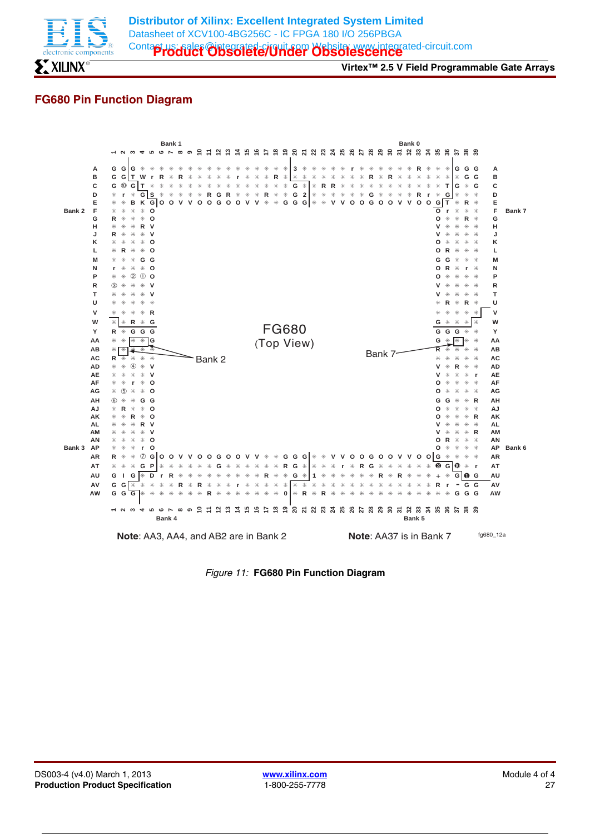

## **FG680 Pin Function Diagram**



*Figure 11:* **FG680 Pin Function Diagram**